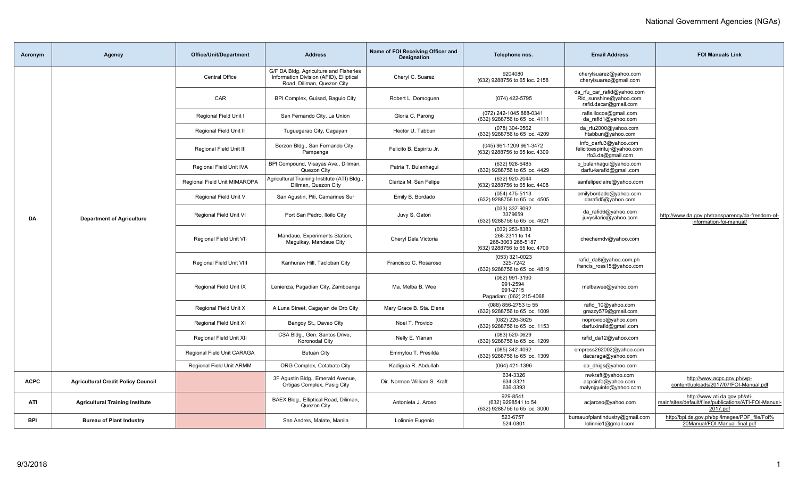| Acronym     | <b>Agency</b>                             | Office/Unit/Department       | <b>Address</b>                                                                                                  | Name of FOI Receiving Officer and<br><b>Designation</b> | Telephone nos.                                                                         | <b>Email Address</b>                                                          | <b>FOI Manuals Link</b>                                                                            |
|-------------|-------------------------------------------|------------------------------|-----------------------------------------------------------------------------------------------------------------|---------------------------------------------------------|----------------------------------------------------------------------------------------|-------------------------------------------------------------------------------|----------------------------------------------------------------------------------------------------|
|             |                                           | <b>Central Office</b>        | G/F DA Bldg. Agriculture and Fisheries<br>Information Division (AFID), Elliptical<br>Road, Diliman, Quezon City | Cheryl C. Suarez                                        | 9204080<br>(632) 9288756 to 65 loc. 2158                                               | cherylsuarez@yahoo.com<br>cherylsuarez@gmail.com                              |                                                                                                    |
|             |                                           | CAR                          | BPI Complex, Guisad, Baguio City                                                                                | Robert L. Domoguen                                      | (074) 422-5795                                                                         | da rfu car rafid@yahoo.com<br>Rld sunshine@yahoo.com<br>rafid.dacar@gmail.com |                                                                                                    |
|             |                                           | Regional Field Unit I        | San Fernando City, La Union                                                                                     | Gloria C. Parong                                        | (072) 242-1045 888-0341<br>(632) 9288756 to 65 loc. 4111                               | rafis.ilocos@gmail.com<br>da rafid1@yahoo.com                                 |                                                                                                    |
|             |                                           | Regional Field Unit II       | Tuguegarao City, Cagayan                                                                                        | Hector U. Tabbun                                        | (078) 304-0562<br>(632) 9288756 to 65 loc. 4209                                        | da rfu2000@yahoo.com<br>htabbun@yahoo.com                                     |                                                                                                    |
|             |                                           | Regional Field Unit III      | Berzon Bldg., San Fernando City,<br>Pampanga                                                                    | Felicito B. Espiritu Jr.                                | (045) 961-1209 961-3472<br>(632) 9288756 to 65 loc. 4309                               | info darfu3@yahoo.com<br>felicitoespiritujr@yahoo.com<br>rfo3.da@gmail.com    |                                                                                                    |
|             |                                           | Regional Field Unit IVA      | BPI Compound, Visayas Ave., Diliman,<br>Quezon City                                                             | Patria T. Bulanhaqui                                    | (632) 928-6485<br>(632) 9288756 to 65 loc. 4429                                        | p_bulanhagui@yahoo.com<br>darfu4arafid@gmail.com                              |                                                                                                    |
|             |                                           | Regional Field Unit MIMAROPA | Agricultural Training Institute (ATI) Bldg.,<br>Diliman, Quezon City                                            | Clariza M. San Felipe                                   | (632) 920-2044<br>(632) 9288756 to 65 loc. 4408                                        | sanfelipeclaire@yahoo.com                                                     |                                                                                                    |
|             |                                           | Regional Field Unit V        | San Agustin, Pili, Camarines Sur                                                                                | Emily B. Bordado                                        | $(054)$ 475-5113<br>(632) 9288756 to 65 loc. 4505                                      | emilybordado@yahoo.com<br>darafid5@yahoo.com                                  |                                                                                                    |
| DA          | <b>Department of Agriculture</b>          | Regional Field Unit VI       | Port San Pedro, Iloilo City                                                                                     | Juvy S. Gaton                                           | (033) 337-9092<br>3379659<br>(632) 9288756 to 65 loc. 4621                             | da rafid6@yahoo.com<br>juvysilario@yahoo.com                                  | http://www.da.gov.ph/transparency/da-freedom-of-<br>information-foi-manual/                        |
|             |                                           | Regional Field Unit VII      | Mandaue, Experiments Station,<br>Maguikay, Mandaue City                                                         | Cheryl Dela Victoria                                    | (032) 253-8383<br>268-2311 to 14<br>268-3063 268-5187<br>(632) 9288756 to 65 loc. 4709 | chechemdv@yahoo.com                                                           |                                                                                                    |
|             |                                           | Regional Field Unit VIII     | Kanhuraw Hill, Tacloban City                                                                                    | Francisco C. Rosaroso                                   | (053) 321-0023<br>325-7242<br>(632) 9288756 to 65 loc. 4819                            | rafid_da8@yahoo.com.ph<br>francis ross15@yahoo.com                            |                                                                                                    |
|             |                                           | Regional Field Unit IX       | Lenienza, Pagadian City, Zamboanga                                                                              | Ma. Melba B. Wee                                        | (062) 991-3190<br>991-2594<br>991-2715<br>Pagadian: (062) 215-4068                     | melbawee@yahoo.com                                                            |                                                                                                    |
|             |                                           | Regional Field Unit X        | A Luna Street, Cagayan de Oro City                                                                              | Mary Grace B. Sta. Elena                                | (088) 856-2753 to 55<br>(632) 9288756 to 65 loc. 1009                                  | rafid_10@yahoo.com<br>grazzy579@gmail.com                                     |                                                                                                    |
|             |                                           | Regional Field Unit XI       | Bangoy St., Davao City                                                                                          | Noel T. Provido                                         | (082) 226-3625<br>(632) 9288756 to 65 loc. 1153                                        | noprovido@yahoo.com<br>darfuxirafid@qmail.com                                 |                                                                                                    |
|             |                                           | Regional Field Unit XII      | CSA Bldg., Gen. Santos Drive,<br>Koronodal City                                                                 | Nelly E. Ylanan                                         | (083) 520-0629<br>(632) 9288756 to 65 loc. 1209                                        | rafid da12@yahoo.com                                                          |                                                                                                    |
|             |                                           | Regional Field Unit CARAGA   | <b>Butuan City</b>                                                                                              | Emmylou T. Presilda                                     | (085) 342-4092<br>(632) 9288756 to 65 loc. 1309                                        | empress262002@yahoo.com<br>dacaraga@yahoo.com                                 |                                                                                                    |
|             |                                           | Regional Field Unit ARMM     | ORG Complex, Cotabato City                                                                                      | Kadiguia R. Abdullah                                    | (064) 421-1396                                                                         | da dhigs@yahoo.com                                                            |                                                                                                    |
| <b>ACPC</b> | <b>Agricultural Credit Policy Council</b> |                              | 3F Agustin Bldg., Emerald Avenue,<br>Ortigas Complex, Pasig City                                                | Dir. Norman William S. Kraft                            | 634-3326<br>634-3321<br>636-3393                                                       | nwkraft@yahoo.com<br>acpcinfo@yahoo.com<br>malynjquinto@yahoo.com             | http://www.acpc.gov.ph/wp-<br>content/uploads/2017/07/FOI-Manual.pdf                               |
| ATI         | <b>Agricultural Training Institute</b>    |                              | BAEX Bldg., Elliptical Road, Diliman,<br>Quezon City                                                            | Antonieta J. Arceo                                      | 929-8541<br>(632) 9298541 to 54<br>(632) 9288756 to 65 loc. 3000                       | acjarceo@yahoo.com                                                            | http://www.ati.da.gov.ph/ati-<br>main/sites/default/files/publications/ATI-FOI-Manual-<br>2017.pdf |
| <b>BPI</b>  | <b>Bureau of Plant Industry</b>           |                              | San Andres, Malate, Manila                                                                                      | Lolinnie Eugenio                                        | 523-6757<br>524-0801                                                                   | bureauofplantindustry@gmail.com<br>lolinnie1@gmail.com                        | http://bpi.da.gov.ph/bpi/images/PDF_file/Foi%<br>20Manual/FOI-Manual-final.pdf                     |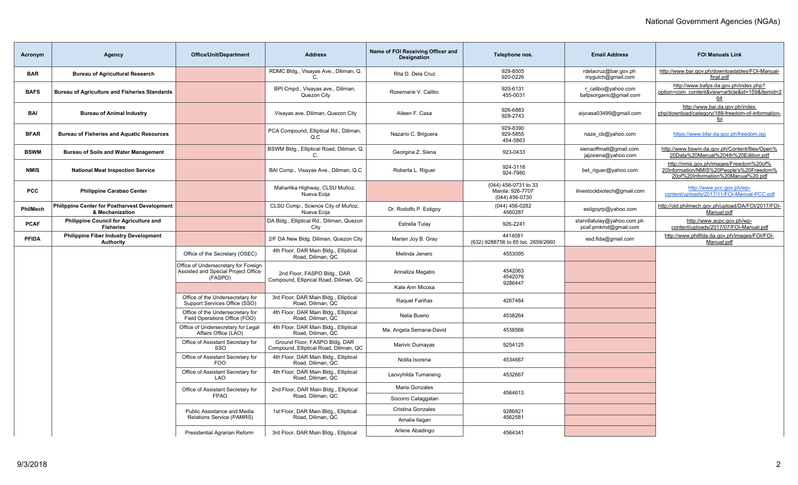| Acronym      | <b>Agency</b>                                                     | <b>Office/Unit/Department</b>                                                          | <b>Address</b>                                                          | Name of FOI Receiving Officer and<br><b>Designation</b> | Telephone nos.                                             | <b>Email Address</b>                                | <b>FOI Manuals Link</b>                                                                                                   |
|--------------|-------------------------------------------------------------------|----------------------------------------------------------------------------------------|-------------------------------------------------------------------------|---------------------------------------------------------|------------------------------------------------------------|-----------------------------------------------------|---------------------------------------------------------------------------------------------------------------------------|
| <b>BAR</b>   | <b>Bureau of Agricultural Research</b>                            |                                                                                        | RDMC Bldg., Visayas Ave., Diliman, Q.                                   | Rita D. Dela Cruz                                       | 928-8505<br>920-0226                                       | rdelacruz@bar.gov.ph<br>mygulch@gmail.com           | http://www.bar.gov.ph/downloadables/FOI-Manual-<br>final.pdf                                                              |
| <b>BAFS</b>  | <b>Bureau of Agriculture and Fisheries Standards</b>              |                                                                                        | BPI Cmpd., Visayas ave., Diliman,<br>Quezon City                        | Rosemarie V. Calibo                                     | 920-6131<br>455-0031                                       | r calibo@yahoo.com<br>bafpsorganic@gmail.com        | http://www.bafps.da.gov.ph/index.php?<br>option=com_content&view=article&id=159&Itemid=2<br>64                            |
| BAI          | <b>Bureau of Animal Industry</b>                                  |                                                                                        | Visayas ave. Diliman, Quezon City                                       | Aileen F. Casa                                          | 926-6883<br>928-2743                                       | aiycasa03499@gmail.com                              | http://www.bai.da.gov.ph/index.<br>php/download/category/188-freedom-of-information-<br>foi                               |
| <b>BFAR</b>  | <b>Bureau of Fisheries and Aquatic Resources</b>                  |                                                                                        | PCA Compound, Elliptical Rd., Diliman,<br>Q.C                           | Nazario C. Briguera                                     | 929-8390<br>929-5855<br>454-5863                           | naze cb@yahoo.com                                   | https://www.bfar.da.gov.ph/freedom.jsp                                                                                    |
| <b>BSWM</b>  | <b>Bureau of Soils and Water Management</b>                       |                                                                                        | BSWM Bldg., Elliptical Road, Diliman, Q.<br>C.                          | Georgina Z. Siena                                       | 923-0433                                                   | sienaoffmatt@gmail.com<br>jajzsiena@yahoo.com       | http://www.bswm.da.gov.ph/Content/files/Open%<br>20Data%20Manual%204th%20Edition.pdf                                      |
| <b>NMIS</b>  | <b>National Meat Inspection Service</b>                           |                                                                                        | BAI Comp., Visayas Ave., Diliman, Q.C                                   | Roberta L. Riguer                                       | 924-3118<br>924-7980                                       | bet riguer@yahoo.com                                | http://nmis.gov.ph/images/Freedom%20of%<br>20Information/NMIS%20People's%20Freedom%<br>20of%20Information%20Manual%20.pdf |
| <b>PCC</b>   | <b>Philippine Carabao Center</b>                                  |                                                                                        | Maharlika Highway, CLSU Muñoz,<br>Nueva Ecija                           |                                                         | (044) 456-0731 to 33<br>Manila: 926-7707<br>(044) 456-0730 | ilivestockbiotech@gmail.com                         | http://www.pcc.gov.ph/wp-<br>content/uploads/2017/11/FOI-Manual-PCC.pdf                                                   |
| PhilMech     | Philippine Center for Postharvest Development<br>& Mechanization  |                                                                                        | CLSU Comp., Science City of Muñoz,<br>Nueva Ecija                       | Dr. Rodolfo P. Estigoy                                  | (044) 456-0282<br>4560287                                  | estigoyrp@yahoo.com                                 | http://old.philmech.gov.ph/upload/DA/FOI/2017/FOI-<br>Manual.pdf                                                          |
| <b>PCAF</b>  | <b>Philippine Council for Agriculture and</b><br><b>Fisheries</b> |                                                                                        | DA Bldg., Elliptical Rd., Diliman, Quezon<br>City                       | Estrella Tulay                                          | 926-2241                                                   | starvillatulay@yahoo.com.ph<br>pcaf.pmkmd@gmail.com | http://www.acpc.gov.ph/wp-<br>content/uploads/2017/07/FOI-Manual.pdf                                                      |
| <b>PFIDA</b> | <b>Philippine Fiber Industry Development</b><br><b>Authority</b>  |                                                                                        | 2/F DA New Bldg. Diliman, Quezon City                                   | Marian Joy B. Gray                                      | 4414081<br>(632) 9288756 to 65 loc. 2659/2660              | esd.fida@gmail.com                                  | http://www.philfida.da.gov.ph/images/FOI/FOI-<br>Manual.pdf                                                               |
|              |                                                                   | Office of the Secretary (OSEC)                                                         | 4th Floor, DAR Main Bldg., Elliptical<br>Road, Diliman, QC              | Melinda Jenero                                          | 4553095                                                    |                                                     |                                                                                                                           |
|              |                                                                   | Office of Undersecretary for Foreign<br>Assisted and Special Project Office<br>(FASPO) | 2nd Floor, FASPO Bldg., DAR<br>Compound, Elliprical Road, Diliman, QC   | Annaliza Magabo                                         | 4542063<br>4542076<br>9286447                              |                                                     |                                                                                                                           |
|              |                                                                   |                                                                                        |                                                                         | Kate Ann Micosa                                         |                                                            |                                                     |                                                                                                                           |
|              |                                                                   | Office of the Undersecretary for<br>Support Services Office (SSO)                      | 3rd Floor, DAR Main Bldg., Elliptical<br>Road, Diliman, QC              | Raquel Fariñas                                          | 4267484                                                    |                                                     |                                                                                                                           |
|              |                                                                   | Office of the Undersecretary for<br>Field Operations Office (FOO)                      | 4th Floor, DAR Main Bldg., Elliptical<br>Road, Diliman, QC              | Nelia Bueno                                             | 4538264                                                    |                                                     |                                                                                                                           |
|              |                                                                   | Office of Undersecretary for Legal<br>Affairs Office (LAO)                             | 4th Floor, DAR Main Bldg., Elliptical<br>Road, Diliman, QC              | Ma. Angela Semana-David                                 | 4538566                                                    |                                                     |                                                                                                                           |
|              |                                                                   | Office of Assistant Secretary for<br>SSO                                               | Ground Floor, FASPO Bldg, DAR<br>Compound, Elliptical Road, Diliman, QC | Marivic Dumayas                                         | 9254125                                                    |                                                     |                                                                                                                           |
|              |                                                                   | Office of Assistant Secretary for<br><b>FOO</b>                                        | 4th Floor, DAR Main Bldg., Elliptical<br>Road, Diliman, QC              | Nolita Isorena                                          | 4534667                                                    |                                                     |                                                                                                                           |
|              |                                                                   | Office of Assistant Secretary for<br><b>LAO</b>                                        | 4th Floor, DAR Main Bldg., Elliptical<br>Road, Diliman, QC              | Leovyhilda Tumaneng                                     | 4532667                                                    |                                                     |                                                                                                                           |
|              |                                                                   | Office of Assistant Secretary for                                                      | 2nd Floor, DAR Main Bldg., Elliptical                                   | Maria Gonzales                                          | 4564613                                                    |                                                     |                                                                                                                           |
|              |                                                                   | <b>FPAO</b>                                                                            | Road, Diliman, QC                                                       | Socorro Cataggatan                                      |                                                            |                                                     |                                                                                                                           |
|              |                                                                   | Public Assistance and Media<br>Relations Service (PAMRS)                               | 1st Floor, DAR Main Bldg., Elliptical<br>Road, Diliman, QC              | <b>Cristina Gonzales</b>                                | 9286821<br>4562581                                         |                                                     |                                                                                                                           |
|              |                                                                   |                                                                                        |                                                                         | Amalia Ilagan                                           |                                                            |                                                     |                                                                                                                           |
|              |                                                                   | Presidential Agrarian Reform                                                           | 3rd Floor, DAR Main Bldg., Elliptical                                   | Arlene Abadingo                                         | 4564341                                                    |                                                     |                                                                                                                           |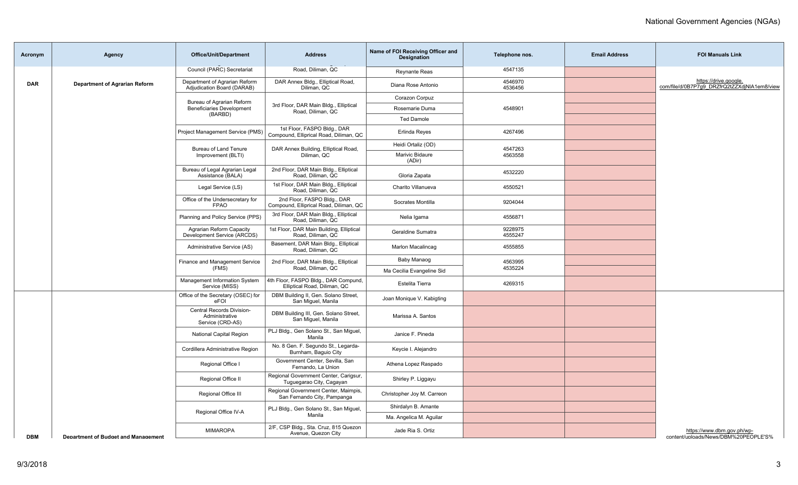| Acronym    | <b>Agency</b>                              | <b>Office/Unit/Department</b>                                   | <b>Address</b>                                                        | Name of FOI Receiving Officer and<br><b>Designation</b> | Telephone nos.     | <b>Email Address</b> | <b>FOI Manuals Link</b>                                               |
|------------|--------------------------------------------|-----------------------------------------------------------------|-----------------------------------------------------------------------|---------------------------------------------------------|--------------------|----------------------|-----------------------------------------------------------------------|
|            |                                            | Council (PARC) Secretariat                                      | Road, Diliman, QC                                                     | <b>Reynante Reas</b>                                    | 4547135            |                      |                                                                       |
| <b>DAR</b> | <b>Department of Agrarian Reform</b>       | Department of Agrarian Reform<br>Adjudication Board (DARAB)     | DAR Annex Bldg., Elliptical Road,<br>Diliman, QC                      | Diana Rose Antonio                                      | 4546970<br>4536456 |                      | https://drive.google.<br>com/file/d/0B7P7g9_DRZfrQ2tZZXdjNIA1em8/view |
|            |                                            | Bureau of Agrarian Reform                                       | 3rd Floor, DAR Main Bldg., Elliptical<br>Road, Diliman, QC            | Corazon Corpuz                                          |                    |                      |                                                                       |
|            |                                            | <b>Beneficiaries Development</b><br>(BARBD)                     |                                                                       | Rosemarie Duma                                          | 4548901            |                      |                                                                       |
|            |                                            |                                                                 |                                                                       | <b>Ted Damole</b>                                       |                    |                      |                                                                       |
|            |                                            | Project Management Service (PMS)                                | 1st Floor, FASPO Bldg., DAR<br>Compound, Elliprical Road, Diliman, QC | Erlinda Reves                                           | 4267496            |                      |                                                                       |
|            |                                            | Bureau of Land Tenure                                           | DAR Annex Building, Elliptical Road,                                  | Heidi Ortaliz (OD)                                      | 4547263            |                      |                                                                       |
|            |                                            | Improvement (BLTI)                                              | Diliman, QC                                                           | Marivic Bidaure<br>(ADir)                               | 4563558            |                      |                                                                       |
|            |                                            | Bureau of Legal Agrarian Legal<br>Assistance (BALA)             | 2nd Floor, DAR Main Bldg., Elliptical<br>Road, Diliman, QC            | Gloria Zapata                                           | 4532220            |                      |                                                                       |
|            |                                            | Legal Service (LS)                                              | 1st Floor, DAR Main Bldg., Elliptical<br>Road, Diliman, QC            | Charito Villanueva                                      | 4550521            |                      |                                                                       |
|            |                                            | Office of the Undersecretary for<br><b>FPAO</b>                 | 2nd Floor, FASPO Bldg., DAR<br>Compound, Elliprical Road, Diliman, QC | Socrates Montilla                                       | 9204044            |                      |                                                                       |
|            |                                            | Planning and Policy Service (PPS)                               | 3rd Floor, DAR Main Bldg., Elliptical<br>Road, Diliman, QC            | Nelia Igama                                             | 4556871            |                      |                                                                       |
|            |                                            | Agrarian Reform Capacity<br>Development Service (ARCDS)         | 1st Floor, DAR Main Building, Elliptical<br>Road, Diliman, QC         | Geraldine Sumatra                                       | 9228975<br>4555247 |                      |                                                                       |
|            |                                            | Administrative Service (AS)                                     | Basement, DAR Main Bldg., Elliptical<br>Road, Diliman, QC             | Marlon Macalincag                                       | 4555855            |                      |                                                                       |
|            |                                            | Finance and Management Service                                  | 2nd Floor, DAR Main Bldg., Elliptical                                 | Baby Manaog                                             | 4563995            |                      |                                                                       |
|            |                                            | (FMS)                                                           | Road, Diliman, QC                                                     | Ma Cecilia Evangeline Sid                               | 4535224            |                      |                                                                       |
|            |                                            | Management Information System<br>Service (MISS)                 | 4th Floor, FASPO Bldg., DAR Compund,<br>Elliptical Road, Diliman, QC  | Estelita Tierra                                         | 4269315            |                      |                                                                       |
|            |                                            | Office of the Secretary (OSEC) for<br>eFOI                      | DBM Building II, Gen. Solano Street,<br>San Miquel, Manila            | Joan Monique V. Kabigting                               |                    |                      |                                                                       |
|            |                                            | Central Records Division-<br>Administrative<br>Service (CRD-AS) | DBM Building III, Gen. Solano Street,<br>San Miquel, Manila           | Marissa A. Santos                                       |                    |                      |                                                                       |
|            |                                            | <b>National Capital Region</b>                                  | PLJ Bldg., Gen Solano St., San Miguel,<br>Manila                      | Janice F. Pineda                                        |                    |                      |                                                                       |
|            |                                            | Cordillera Administrative Region                                | No. 8 Gen. F. Segundo St., Legarda-<br>Burnham, Baguio City           | Keycie I. Alejandro                                     |                    |                      |                                                                       |
|            |                                            | Regional Office I                                               | Government Center, Sevilla, San<br>Fernando, La Union                 | Athena Lopez Raspado                                    |                    |                      |                                                                       |
|            |                                            | Regional Office II                                              | Regional Government Center, Carigsur,<br>Tuguegarao City, Cagayan     | Shirley P. Liggayu                                      |                    |                      |                                                                       |
|            |                                            | Regional Office III                                             | Regional Government Center, Maimpis,<br>San Fernando City, Pampanga   | Christopher Joy M. Carreon                              |                    |                      |                                                                       |
|            |                                            | Regional Office IV-A                                            | PLJ Bldg., Gen Solano St., San Miguel,                                | Shirdalyn B. Amante                                     |                    |                      |                                                                       |
|            |                                            |                                                                 | Manila                                                                | Ma. Angelica M. Aguilar                                 |                    |                      |                                                                       |
| <b>DBM</b> | <b>Department of Budget and Management</b> | <b>MIMAROPA</b>                                                 | 2/F, CSP Bldg., Sta. Cruz, 815 Quezon<br>Avenue, Quezon City          | Jade Ria S. Ortiz                                       |                    |                      | https://www.dbm.gov.ph/wp-<br>content/uploads/News/DBM%20PEOPLE'S%    |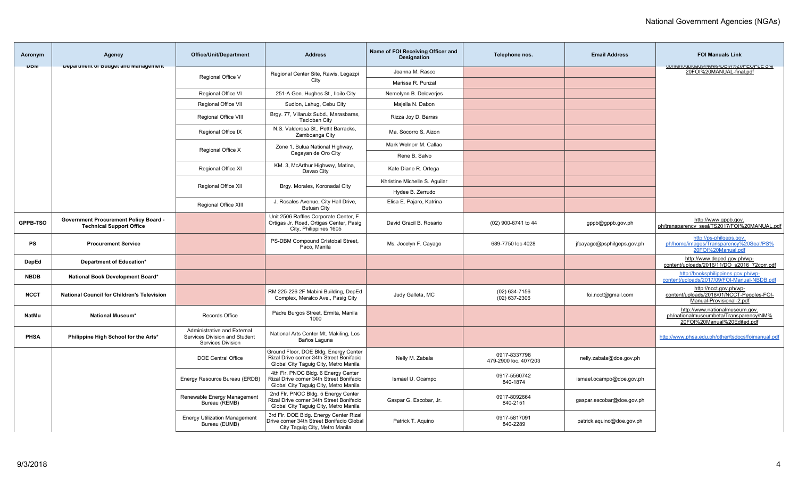| Acronym      | Agency                                                                          | <b>Office/Unit/Department</b>                                                            | <b>Address</b>                                                                                                             | Name of FOI Receiving Officer and<br><b>Designation</b> | Telephone nos.                        | <b>Email Address</b>       | <b>FOI Manuals Link</b>                                                                                 |
|--------------|---------------------------------------------------------------------------------|------------------------------------------------------------------------------------------|----------------------------------------------------------------------------------------------------------------------------|---------------------------------------------------------|---------------------------------------|----------------------------|---------------------------------------------------------------------------------------------------------|
| UDM          | Department or Dudget and management                                             |                                                                                          | Regional Center Site, Rawis, Legazpi                                                                                       | Joanna M. Rasco                                         |                                       |                            | CUTTETIVUDIOQUS/INEWS/DOINT/0ZUFEUFLE 070<br>20FOI%20MANUAL-final.pdf                                   |
|              |                                                                                 | Regional Office V                                                                        | City                                                                                                                       | Marissa R. Punzal                                       |                                       |                            |                                                                                                         |
|              |                                                                                 | Regional Office VI                                                                       | 251-A Gen. Hughes St., Iloilo City                                                                                         | Nemelynn B. Deloverjes                                  |                                       |                            |                                                                                                         |
|              |                                                                                 | Regional Office VII                                                                      | Sudlon, Lahug, Cebu City                                                                                                   | Majella N. Dabon                                        |                                       |                            |                                                                                                         |
|              |                                                                                 | Regional Office VIII                                                                     | Brgy. 77, Villaruiz Subd., Marasbaras,<br><b>Tacloban City</b>                                                             | Rizza Joy D. Barras                                     |                                       |                            |                                                                                                         |
|              |                                                                                 | Regional Office IX                                                                       | N.S. Valderosa St., Pettit Barracks,<br>Zamboanga City                                                                     | Ma. Socorro S. Aizon                                    |                                       |                            |                                                                                                         |
|              |                                                                                 | Regional Office X                                                                        | Zone 1, Bulua National Highway,                                                                                            | Mark Welnorr M. Callao                                  |                                       |                            |                                                                                                         |
|              |                                                                                 |                                                                                          | Cagayan de Oro City                                                                                                        | Rene B. Salvo                                           |                                       |                            |                                                                                                         |
|              |                                                                                 | Regional Office XI                                                                       | KM. 3, McArthur Highway, Matina,<br>Davao City                                                                             | Kate Diane R. Ortega                                    |                                       |                            |                                                                                                         |
|              |                                                                                 | Regional Office XII                                                                      | Brgy. Morales, Koronadal City                                                                                              | Khristine Michelle S. Aguilar                           |                                       |                            |                                                                                                         |
|              |                                                                                 |                                                                                          |                                                                                                                            | Hydee B. Zerrudo                                        |                                       |                            |                                                                                                         |
|              |                                                                                 | Regional Office XIII                                                                     | J. Rosales Avenue, City Hall Drive,<br><b>Butuan City</b>                                                                  | Elisa E. Pajaro, Katrina                                |                                       |                            |                                                                                                         |
| GPPB-TSO     | <b>Government Procurement Policy Board -</b><br><b>Technical Support Office</b> |                                                                                          | Unit 2506 Raffles Corporate Center, F.<br>Ortigas Jr. Road, Ortigas Center, Pasig<br>City, Philippines 1605                | David Gracil B. Rosario                                 | (02) 900-6741 to 44                   | gppb@gppb.gov.ph           | http://www.gppb.gov.<br>ph/transparency_seal/TS2017/FOI%20MANUAL.pdf                                    |
| <b>PS</b>    | <b>Procurement Service</b>                                                      |                                                                                          | PS-DBM Compound Cristobal Street,<br>Paco, Manila                                                                          | Ms. Jocelyn F. Cayago                                   | 689-7750 loc 4028                     | jfcayago@psphilgeps.gov.ph | http://ps-philgeps.gov.<br>ph/home/images/Transparency%20Seal/PS%<br>20FOI%20Manual.pdf                 |
| DepEd        | Department of Education*                                                        |                                                                                          |                                                                                                                            |                                                         |                                       |                            | http://www.deped.gov.ph/wp-<br>content/uploads/2016/11/DO s2016 72corr.pdf                              |
| <b>NBDB</b>  | National Book Development Board*                                                |                                                                                          |                                                                                                                            |                                                         |                                       |                            | http://booksphilippines.gov.ph/wp-<br>content/uploads/2017/09/FOI-Manual-NBDB.pdf                       |
| <b>NCCT</b>  | National Council for Children's Television                                      |                                                                                          | RM 225-226 2F Mabini Building, DepEd<br>Complex, Meralco Ave., Pasig City                                                  | Judy Galleta, MC                                        | $(02)$ 634-7156<br>$(02)$ 637-2306    | foi.ncct@gmail.com         | http://ncct.gov.ph/wp-<br>content/uploads/2018/01/NCCT-Peoples-FOI-<br>Manual-Provisional-2.pdf         |
| <b>NatMu</b> | <b>National Museum*</b>                                                         | Records Office                                                                           | Padre Burgos Street, Ermita, Manila<br>1000                                                                                |                                                         |                                       |                            | http://www.nationalmuseum.gov.<br>ph/nationalmuseumbeta/Transparency/NM%<br>20FOI%20Manual%20Edited.pdf |
| <b>PHSA</b>  | Philippine High School for the Arts*                                            | Administrative and External<br>Services Division and Student<br><b>Services Division</b> | National Arts Center Mt. Makiling, Los<br>Baños Laguna                                                                     |                                                         |                                       |                            | http://www.phsa.edu.ph/other/tsdocs/foimanual.pdf                                                       |
|              |                                                                                 | <b>DOE Central Office</b>                                                                | Ground Floor, DOE Bldg. Energy Center<br>Rizal Drive corner 34th Street Bonifacio<br>Global City Taguig City, Metro Manila | Nelly M. Zabala                                         | 0917-8337798<br>479-2900 loc. 407/203 | nelly.zabala@doe.gov.ph    |                                                                                                         |
|              |                                                                                 | Energy Resource Bureau (ERDB)                                                            | 4th Flr. PNOC Bldg. 6 Energy Center<br>Rizal Drive corner 34th Street Bonifacio<br>Global City Taguig City, Metro Manila   | Ismael U. Ocampo                                        | 0917-5560742<br>840-1874              | ismael.ocampo@doe.gov.ph   |                                                                                                         |
|              |                                                                                 | Renewable Energy Management<br>Bureau (REMB)                                             | 2nd Flr. PNOC Bldg. 5 Energy Center<br>Rizal Drive corner 34th Street Bonifacio<br>Global City Taguig City, Metro Manila   | Gaspar G. Escobar, Jr.                                  | 0917-8092664<br>840-2151              | gaspar.escobar@doe.gov.ph  |                                                                                                         |
|              |                                                                                 | <b>Energy Utilization Management</b><br>Bureau (EUMB)                                    | 3rd Flr. DOE Bldg. Energy Center Rizal<br>Drive corner 34th Street Bonifacio Global<br>City Taguig City, Metro Manila      | Patrick T. Aguino                                       | 0917-5817091<br>840-2289              | patrick.aquino@doe.gov.ph  |                                                                                                         |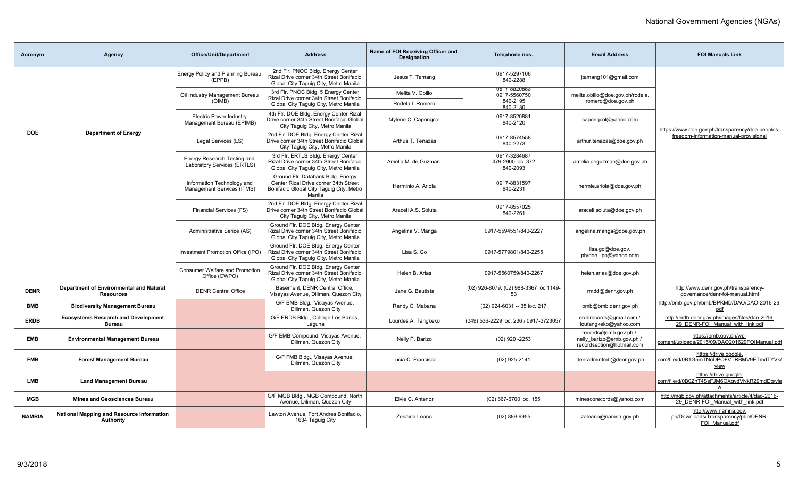| Acronym       | Agency                                                        | <b>Office/Unit/Department</b>                               | <b>Address</b>                                                                                                                   | Name of FOI Receiving Officer and<br><b>Designation</b> | Telephone nos.                                              | <b>Email Address</b>                                                           | <b>FOI Manuals Link</b>                                                               |
|---------------|---------------------------------------------------------------|-------------------------------------------------------------|----------------------------------------------------------------------------------------------------------------------------------|---------------------------------------------------------|-------------------------------------------------------------|--------------------------------------------------------------------------------|---------------------------------------------------------------------------------------|
|               |                                                               | Energy Policy and Planning Bureau<br>(EPPB)                 | 2nd Fir. PNOC Bldg. Energy Center<br>Rizal Drive corner 34th Street Bonifacio<br>Global City Taguig City, Metro Manila           | Jesus T. Tamang                                         | 0917-5297106<br>840-2288                                    | jtamang101@gmail.com                                                           |                                                                                       |
|               |                                                               | Oil Industry Management Bureau<br>(OIMB)                    | 3rd Flr. PNOC Bldg. 5 Energy Center<br>Rizal Drive corner 34th Street Bonifacio<br>Global City Taguig City, Metro Manila         | Melita V. Obillo<br>Rodela I. Romero                    | <b>U917-8520883</b><br>0917-5560750<br>840-2195<br>840-2130 | melita.obillo@doe.gov.ph/rodela.<br>romero@doe.gov.ph                          |                                                                                       |
|               |                                                               | <b>Electric Power Industry</b><br>Management Bureau (EPIMB) | 4th Flr. DOE Bldg. Energy Center Rizal<br>Drive corner 34th Street Bonifacio Global<br>City Taquiq City, Metro Manila            | Mylene C. Capongcol                                     | 0917-8520881<br>840-2120                                    | capongcol@yahoo.com                                                            | https://www.doe.gov.ph/transparency/doe-peoples-                                      |
| <b>DOE</b>    | <b>Department of Energy</b>                                   | Legal Services (LS)                                         | 2nd Flr. DOE Bldg. Energy Center Rizal<br>Drive corner 34th Street Bonifacio Global<br>City Taquiq City, Metro Manila            | Arthus T. Tenazas                                       | 0917-8574558<br>840-2273                                    | arthur.tenazas@doe.gov.ph                                                      | freedom-information-manual-provisional                                                |
|               |                                                               | Energy Research Testing and<br>Laboratory Services (ERTLS)  | 3rd Flr. ERTLS Bldg. Energy Center<br>Rizal Drive corner 34th Street Bonifacio<br>Global City Taguig City, Metro Manila          | Amelia M. de Guzman                                     | 0917-3284687<br>479-2900 loc. 372<br>840-2093               | amelia.dequzman@doe.gov.ph                                                     |                                                                                       |
|               |                                                               | Information Technology and<br>Management Services (ITMS)    | Ground Flr. Databank Bldg. Energy<br>Center Rizal Drive corner 34th Street<br>Bonifacio Global City Taguig City, Metro<br>Manila | Herminio A. Ariola                                      | 0917-8831597<br>840-2231                                    | hermie.ariola@doe.gov.ph                                                       |                                                                                       |
|               |                                                               | Financial Services (FS)                                     | 2nd Flr. DOE Bldg. Energy Center Rizal<br>Drive corner 34th Street Bonifacio Global<br>City Taguig City, Metro Manila            | Araceli A.S. Soluta                                     | 0917-8557025<br>840-2261                                    | araceli.soluta@doe.gov.ph                                                      |                                                                                       |
|               |                                                               | Administrative Serice (AS)                                  | Ground Flr. DOE Bldg. Energy Center<br>Rizal Drive corner 34th Street Bonifacio<br>Global City Taguig City, Metro Manila         | Angelina V. Manga                                       | 0917-5594551/840-2227                                       | angelina.manga@doe.gov.ph                                                      |                                                                                       |
|               |                                                               | Investment Promotion Office (IPO)                           | Ground Flr. DOE Bldg. Energy Center<br>Rizal Drive corner 34th Street Bonifacio<br>Global City Taguig City, Metro Manila         | Lisa S. Go                                              | 0917-5779801/840-2255                                       | lisa.go@doe.gov.<br>ph/doe ipo@yahoo.com                                       |                                                                                       |
|               |                                                               | <b>Consumer Welfare and Promotion</b><br>Office (CWPO)      | Ground Flr. DOE Bldg. Energy Center<br>Rizal Drive corner 34th Street Bonifacio<br>Global City Taguig City, Metro Manila         | Helen B. Arias                                          | 0917-5560759/840-2267                                       | helen.arias@doe.gov.ph                                                         |                                                                                       |
| <b>DENR</b>   | Department of Environmental and Natural<br><b>Resources</b>   | <b>DENR Central Office</b>                                  | Basement, DENR Central Office.<br>Visayas Avenue, Diliman, Quezon City                                                           | Jane G. Bautista                                        | (02) 926-8079, (02) 988-3367 loc 1149-<br>53                | rmdd@denr.gov.ph                                                               | http://www.denr.gov.ph/transparency-<br>governance/denr-foi-manual.html               |
| <b>BMB</b>    | <b>Biodiversity Management Bureau</b>                         |                                                             | G/F BMB Bldg., Visayas Avenue,<br>Diliman, Quezon City                                                                           | Randy C. Mabana                                         | (02) 924-6031 -- 35 loc. 217                                | bmb@bmb.denr.gov.ph                                                            | http://bmb.gov.ph/bmb/BPKMD/DAO/DAO-2016-29.<br>pdf                                   |
| <b>ERDB</b>   | <b>Ecosystems Research and Development</b><br><b>Bureau</b>   |                                                             | G/F ERDB Bldg., College Los Baños,<br>Laguna                                                                                     | Lourdes A. Tangkeko                                     | (049) 536-2229 loc. 236 / 0917-3723057                      | erdbrecords@gmail.com /<br>loutangkeko@yahoo.com                               | http://erdb.denr.gov.ph/images/files/dao-2016-<br>29 DENR-FOI Manual with link.pdf    |
| <b>EMB</b>    | <b>Environmental Management Bureau</b>                        |                                                             | G/F EMB Compound, Visayas Avenue,<br>Diliman, Quezon City                                                                        | Nelly P. Barizo                                         | $(02)$ 920 -2253                                            | records@emb.gov.ph /<br>nelly barizo@emb.gov.ph /<br>recordsection@hotmail.com | https://emb.gov.ph/wp-<br>content/uploads/2015/09/DAO201629FOIManual.pdf              |
| <b>FMB</b>    | <b>Forest Management Bureau</b>                               |                                                             | G/F FMB Bldg., Visayas Avenue,<br>Diliman, Quezon City                                                                           | Lucia C. Francisco                                      | (02) 925-2141                                               | denradminfmb@denr.gov.ph                                                       | https://drive.google.<br>com/file/d/0B1G5mTNoDPOFVTRBMV9ETmdTYVk/<br><u>view</u>      |
| <b>LMB</b>    | <b>Land Management Bureau</b>                                 |                                                             |                                                                                                                                  |                                                         |                                                             |                                                                                | https://drive.google.<br>com/file/d/0B0ZnT4SsFJM6OXqydVNkR29mdDq/vie<br>W             |
| <b>MGB</b>    | <b>Mines and Geosciences Bureau</b>                           |                                                             | G/F MGB Bldg MGB Compound, North<br>Avenue, Diliman, Quezon City                                                                 | Elvie C. Antenor                                        | (02) 667-6700 loc. 155                                      | minescorecords@yahoo.com                                                       | http://mgb.gov.ph/attachments/article/4/dao-2016-<br>29 DENR-FOI Manual with link.pdf |
| <b>NAMRIA</b> | <b>National Mapping and Resource Information</b><br>Authority |                                                             | Lawton Avenue, Fort Andres Bonifacio,<br>1634 Taguig City                                                                        | Zenaida Leano                                           | $(02)$ 889-9955                                             | zaleano@namria.gov.ph                                                          | http://www.namria.gov.<br>ph/Downloads/Transparency/pbb/DENR-<br>FOI Manual.pdf       |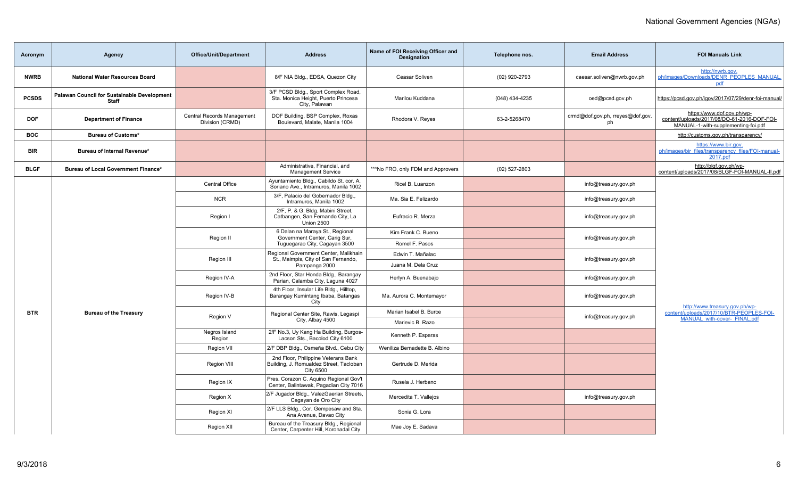| Acronym      | Agency                                                             | <b>Office/Unit/Department</b>                 | <b>Address</b>                                                                                     | Name of FOI Receiving Officer and<br>Designation | Telephone nos.  | <b>Email Address</b>                   | <b>FOI Manuals Link</b>                                                                                          |
|--------------|--------------------------------------------------------------------|-----------------------------------------------|----------------------------------------------------------------------------------------------------|--------------------------------------------------|-----------------|----------------------------------------|------------------------------------------------------------------------------------------------------------------|
| <b>NWRB</b>  | <b>National Water Resources Board</b>                              |                                               | 8/F NIA Bldg., EDSA, Quezon City                                                                   | Ceasar Soliven                                   | (02) 920-2793   | caesar.soliven@nwrb.gov.ph             | http://nwrb.gov.<br>ph/images/Downloads/DENR PEOPLES MANUAL<br>pdf                                               |
| <b>PCSDS</b> | <b>Palawan Council for Sustainable Development</b><br><b>Staff</b> |                                               | 3/F PCSD Bldg., Sport Complex Road,<br>Sta. Monica Height, Puerto Princesa<br>City, Palawan        | Marilou Kuddana                                  | (048) 434-4235  | oed@pcsd.gov.ph                        | https://pcsd.gov.ph/igov/2017/07/29/denr-foi-manual/                                                             |
| <b>DOF</b>   | <b>Department of Finance</b>                                       | Central Records Management<br>Division (CRMD) | DOF Building, BSP Complex, Roxas<br>Boulevard, Malate, Manila 1004                                 | Rhodora V. Reyes                                 | 63-2-5268470    | crmd@dof.gov.ph, rreyes@dof.gov.<br>ph | https://www.dof.gov.ph/wp-<br>content/uploads/2017/08/DO-61-2016-DOF-FOI-<br>MANUAL-1-with-supplementing-foi.pdf |
| <b>BOC</b>   | <b>Bureau of Customs*</b>                                          |                                               |                                                                                                    |                                                  |                 |                                        | http://customs.gov.ph/transparency/                                                                              |
| <b>BIR</b>   | Bureau of Internal Revenue*                                        |                                               |                                                                                                    |                                                  |                 |                                        | https://www.bir.gov.<br>ph/images/bir files/transparency files/FOI-manual-<br>2017.pdf                           |
| <b>BLGF</b>  | Bureau of Local Government Finance*                                |                                               | Administrative, Financial, and<br><b>Management Service</b>                                        | ***No FRO, only FDM and Approvers                | $(02)$ 527-2803 |                                        | http://blgf.gov.ph/wp-<br>content/uploads/2017/08/BLGF-FOI-MANUAL-II.pdf                                         |
|              |                                                                    | Central Office                                | Ayuntamiento Bldg., Cabildo St. cor. A.<br>Soriano Ave., Intramuros, Manila 1002                   | Ricel B. Luanzon                                 |                 | info@treasury.gov.ph                   |                                                                                                                  |
|              |                                                                    | <b>NCR</b>                                    | 3/F, Palacio del Gobernador Bldg.<br>Intramuros, Manila 1002                                       | Ma. Sia E. Felizardo                             |                 | info@treasury.gov.ph                   |                                                                                                                  |
|              |                                                                    | Region I                                      | 2/F, P. & G. Bldg. Mabini Street,<br>Catbangen, San Fernando City, La<br><b>Union 2500</b>         | Eufracio R. Merza                                |                 | info@treasury.gov.ph                   |                                                                                                                  |
|              |                                                                    | Region II                                     | 6 Dalan na Maraya St., Regional<br>Government Center, Carig Sur,                                   | Kim Frank C. Bueno                               |                 | info@treasury.gov.ph                   |                                                                                                                  |
|              |                                                                    |                                               | Tuguegarao City, Cagayan 3500                                                                      | Romel F. Pasos                                   |                 |                                        |                                                                                                                  |
|              |                                                                    | Region III                                    | Regional Government Center, Malikhain<br>St., Maimpis, City of San Fernando,                       | Edwin T. Mañalac                                 |                 | info@treasury.gov.ph                   |                                                                                                                  |
|              |                                                                    |                                               | Pampanga 2000                                                                                      | Juana M. Dela Cruz                               |                 |                                        |                                                                                                                  |
|              |                                                                    | Region IV-A                                   | 2nd Floor, Star Honda Bldg., Barangay<br>Parian, Calamba City, Laguna 4027                         | Herlyn A. Buenabajo                              |                 | info@treasury.gov.ph                   |                                                                                                                  |
|              |                                                                    | Region IV-B                                   | 4th Floor, Insular Life Bldg., Hilltop,<br>Barangay Kumintang Ibaba, Batangas<br>City              | Ma. Aurora C. Montemayor                         |                 | info@treasury.gov.ph                   | http://www.treasury.gov.ph/wp-                                                                                   |
| <b>BTR</b>   | <b>Bureau of the Treasury</b>                                      | Region V                                      | Regional Center Site, Rawis, Legaspi                                                               | Marian Isabel B. Burce                           |                 | info@treasury.gov.ph                   | content/uploads/2017/10/BTR-PEOPLES-FOI-                                                                         |
|              |                                                                    |                                               | City, Albay 4500                                                                                   | Marievic B. Razo                                 |                 |                                        | MANUAL with-cover- FINAL.pdf                                                                                     |
|              |                                                                    | Negros Island<br>Region                       | 2/F No.3, Uy Kang Ha Building, Burgos-<br>Lacson Sts., Bacolod City 6100                           | Kenneth P. Esparas                               |                 |                                        |                                                                                                                  |
|              |                                                                    | Region VII                                    | 2/F DBP Bldg., Osmeña Blvd., Cebu City                                                             | Weniliza Bernadette B. Albino                    |                 |                                        |                                                                                                                  |
|              |                                                                    | Region VIII                                   | 2nd Floor, Philippine Veterans Bank<br>Building, J. Romualdez Street, Tacloban<br><b>City 6500</b> | Gertrude D. Merida                               |                 |                                        |                                                                                                                  |
|              |                                                                    | Region IX                                     | Pres. Corazon C. Aquino Regional Gov't<br>Center, Balintawak, Pagadian City 7016                   | Rusela J. Herbano                                |                 |                                        |                                                                                                                  |
|              |                                                                    | Region X                                      | 2/F Jugador Bldg., ValezGaerlan Streets,<br>Cagayan de Oro City                                    | Mercedita T. Vallejos                            |                 | info@treasury.gov.ph                   |                                                                                                                  |
|              |                                                                    | Region XI                                     | 2/F LLS Bldg., Cor. Gempesaw and Sta.<br>Ana Avenue, Davao City                                    | Sonia G. Lora                                    |                 |                                        |                                                                                                                  |
|              |                                                                    | <b>Region XII</b>                             | Bureau of the Treasury Bldg., Regional<br>Center, Carpenter Hill, Koronadal City                   | Mae Joy E. Sadava                                |                 |                                        |                                                                                                                  |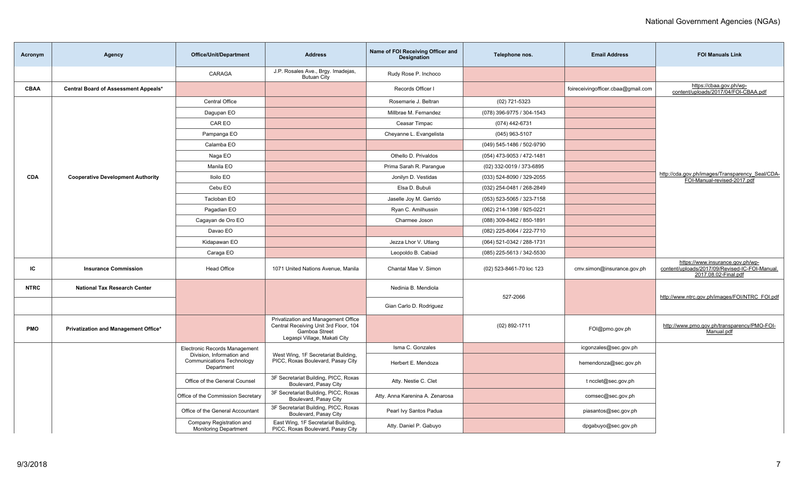| Acronym     | Agency                                   | <b>Office/Unit/Department</b>                                               | <b>Address</b>                                                                                                                | Name of FOI Receiving Officer and<br>Designation | Telephone nos.            | <b>Email Address</b>               | <b>FOI Manuals Link</b>                                                                                    |
|-------------|------------------------------------------|-----------------------------------------------------------------------------|-------------------------------------------------------------------------------------------------------------------------------|--------------------------------------------------|---------------------------|------------------------------------|------------------------------------------------------------------------------------------------------------|
|             |                                          | CARAGA                                                                      | J.P. Rosales Ave., Brgy. Imadejas,<br><b>Butuan City</b>                                                                      | Rudy Rose P. Inchoco                             |                           |                                    |                                                                                                            |
| CBAA        | Central Board of Assessment Appeals*     |                                                                             |                                                                                                                               | Records Officer I                                |                           | foireceivingofficer.cbaa@gmail.com | https://cbaa.gov.ph/wp-<br>content/uploads/2017/04/FOI-CBAA.pdf                                            |
|             |                                          | <b>Central Office</b>                                                       |                                                                                                                               | Rosemarie J. Beltran                             | (02) 721-5323             |                                    |                                                                                                            |
|             |                                          | Dagupan EO                                                                  |                                                                                                                               | Millbrae M. Fernandez                            | (078) 396-9775 / 304-1543 |                                    |                                                                                                            |
|             |                                          | CAR EO                                                                      |                                                                                                                               | Ceasar Timpac                                    | (074) 442-6731            |                                    |                                                                                                            |
|             |                                          | Pampanga EO                                                                 |                                                                                                                               | Cheyanne L. Evangelista                          | $(045)$ 963-5107          |                                    |                                                                                                            |
|             |                                          | Calamba EO                                                                  |                                                                                                                               |                                                  | (049) 545-1486 / 502-9790 |                                    |                                                                                                            |
|             |                                          | Naga EO                                                                     |                                                                                                                               | Othello D. Privaldos                             | (054) 473-9053 / 472-1481 |                                    |                                                                                                            |
|             |                                          | Manila EO                                                                   |                                                                                                                               | Prima Sarah R. Parangue                          | (02) 332-0019 / 373-6895  |                                    |                                                                                                            |
| <b>CDA</b>  | <b>Cooperative Development Authority</b> | <b>Iloilo EO</b>                                                            |                                                                                                                               | Jonilyn D. Vestidas                              | (033) 524-8090 / 329-2055 |                                    | http://cda.gov.ph/images/Transparency_Seal/CDA-<br>FOI-Manual-revised-2017.pdf                             |
|             |                                          | Cebu EO                                                                     |                                                                                                                               | Elsa D. Bubuli                                   | (032) 254-0481 / 268-2849 |                                    |                                                                                                            |
|             |                                          | Tacloban EO                                                                 |                                                                                                                               | Jaselle Joy M. Garrido                           | (053) 523-5065 / 323-7158 |                                    |                                                                                                            |
|             |                                          | Pagadian EO                                                                 |                                                                                                                               | Ryan C. Amilhussin                               | (062) 214-1398 / 925-0221 |                                    |                                                                                                            |
|             |                                          | Cagayan de Oro EO                                                           |                                                                                                                               | Charmee Joson                                    | (088) 309-8462 / 850-1891 |                                    |                                                                                                            |
|             |                                          | Davao EO                                                                    |                                                                                                                               |                                                  | (082) 225-8064 / 222-7710 |                                    |                                                                                                            |
|             |                                          | Kidapawan EO                                                                |                                                                                                                               | Jezza Lhor V. Utlang                             | (064) 521-0342 / 288-1731 |                                    |                                                                                                            |
|             |                                          | Caraga EO                                                                   |                                                                                                                               | Leopoldo B. Cabiad                               | (085) 225-5613 / 342-5530 |                                    |                                                                                                            |
| IC          | <b>Insurance Commission</b>              | <b>Head Office</b>                                                          | 1071 United Nations Avenue, Manila                                                                                            | Chantal Mae V. Simon                             | (02) 523-8461-70 loc 123  | cmv.simon@insurance.gov.ph         | https://www.insurance.gov.ph/wp-<br>content/uploads/2017/09/Revised-IC-FOI-Manual.<br>2017.08.02-Final.pdf |
| <b>NTRC</b> | National Tax Research Center             |                                                                             |                                                                                                                               | Nedinia B. Mendiola                              | 527-2066                  |                                    | http://www.ntrc.gov.ph/images/FOI/NTRC_FOI.pdf                                                             |
|             |                                          |                                                                             |                                                                                                                               | Gian Carlo D. Rodriguez                          |                           |                                    |                                                                                                            |
| <b>PMO</b>  | Privatization and Management Office*     |                                                                             | Privatization and Management Office<br>Central Receiving Unit 3rd Floor, 104<br>Gamboa Street<br>Legaspi Village, Makati City |                                                  | $(02)$ 892-1711           | FOI@pmo.gov.ph                     | http://www.pmo.gov.ph/transparency/PMO-FOI-<br>Manual.pdf                                                  |
|             |                                          | Electronic Records Management                                               |                                                                                                                               | Isma C. Gonzales                                 |                           | icgonzales@sec.gov.ph              |                                                                                                            |
|             |                                          | Division, Information and<br><b>Communications Technology</b><br>Department | West Wing, 1F Secretariat Building,<br>PICC, Roxas Boulevard, Pasay City                                                      | Herbert E. Mendoza                               |                           | hemendonza@sec.gov.ph              |                                                                                                            |
|             |                                          | Office of the General Counsel                                               | 3F Secretariat Building, PICC, Roxas<br>Boulevard, Pasay City                                                                 | Atty. Nestie C. Clet                             |                           | t ncclet@sec.gov.ph                |                                                                                                            |
|             |                                          | Office of the Commission Secretary                                          | 3F Secretariat Building, PICC, Roxas<br>Boulevard, Pasay City                                                                 | Atty. Anna Karenina A. Zenarosa                  |                           | comsec@sec.gov.ph                  |                                                                                                            |
|             |                                          | Office of the General Accountant                                            | 3F Secretariat Building, PICC, Roxas<br>Boulevard, Pasay City                                                                 | Pearl Ivy Santos Padua                           |                           | piasantos@sec.gov.ph               |                                                                                                            |
|             |                                          | Company Registration and<br><b>Monitoring Department</b>                    | East Wing, 1F Secretariat Building,<br>PICC, Roxas Boulevard, Pasay City                                                      | Atty. Daniel P. Gabuyo                           |                           | dpgabuyo@sec.gov.ph                |                                                                                                            |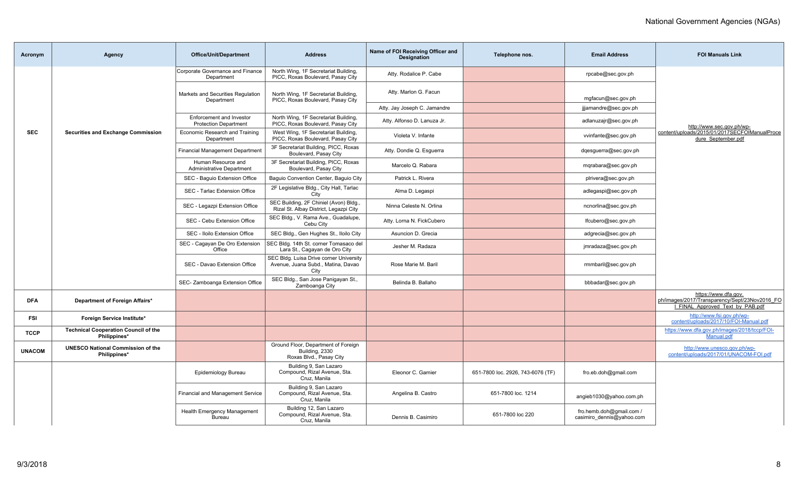| Acronym       | Agency                                                      | <b>Office/Unit/Department</b>                            | <b>Address</b>                                                                        | Name of FOI Receiving Officer and<br><b>Designation</b> | Telephone nos.                    | <b>Email Address</b>                                  | <b>FOI Manuals Link</b>                                                                                   |
|---------------|-------------------------------------------------------------|----------------------------------------------------------|---------------------------------------------------------------------------------------|---------------------------------------------------------|-----------------------------------|-------------------------------------------------------|-----------------------------------------------------------------------------------------------------------|
|               |                                                             | Corporate Governance and Finance<br>Department           | North Wing, 1F Secretariat Building,<br>PICC, Roxas Boulevard, Pasay City             | Atty. Rodalice P. Cabe                                  |                                   | rpcabe@sec.gov.ph                                     |                                                                                                           |
|               |                                                             | Markets and Securities Regulation<br>Department          | North Wing, 1F Secretariat Building,<br>PICC, Roxas Boulevard, Pasay City             | Atty. Marlon G. Facun                                   |                                   | mgfacun@sec.gov.ph                                    |                                                                                                           |
|               |                                                             |                                                          |                                                                                       | Atty. Jay Joseph C. Jamandre                            |                                   | jijamandre@sec.gov.ph                                 |                                                                                                           |
|               |                                                             | Enforcement and Investor<br><b>Protection Department</b> | North Wing, 1F Secretariat Building,<br>PICC, Roxas Boulevard, Pasay City             | Atty. Alfonso D. Lanuza Jr.                             |                                   | adlanuzajr@sec.gov.ph                                 | http://www.sec.gov.ph/wp-                                                                                 |
| <b>SEC</b>    | <b>Securities and Exchange Commission</b>                   | Economic Research and Training<br>Department             | West Wing, 1F Secretariat Building,<br>PICC, Roxas Boulevard, Pasay City              | Violeta V. Infante                                      |                                   | vvinfante@sec.gov.ph                                  | content/uploads/2015/01/2017SECFOIManualProce<br>dure September.pdf                                       |
|               |                                                             | <b>Financial Management Department</b>                   | 3F Secretariat Building, PICC, Roxas<br>Boulevard, Pasay City                         | Atty. Dondie Q. Esguerra                                |                                   | dqesguerra@sec.gov.ph                                 |                                                                                                           |
|               |                                                             | Human Resource and<br><b>Administrative Department</b>   | 3F Secretariat Building, PICC, Roxas<br>Boulevard, Pasay City                         | Marcelo Q. Rabara                                       |                                   | mqrabara@sec.gov.ph                                   |                                                                                                           |
|               |                                                             | SEC - Baguio Extension Office                            | Baguio Convention Center, Baguio City                                                 | Patrick L. Rivera                                       |                                   | plrivera@sec.gov.ph                                   |                                                                                                           |
|               |                                                             | SEC - Tarlac Extension Office                            | 2F Legislative Bldg., City Hall, Tarlac<br>City                                       | Alma D. Legaspi                                         |                                   | adlegaspi@sec.gov.ph                                  |                                                                                                           |
|               |                                                             | SEC - Legazpi Extension Office                           | SEC Building, 2F Chiniel (Avon) Bldg.,<br>Rizal St. Albay District, Legazpi City      | Ninna Celeste N. Orlina                                 |                                   | ncnorlina@sec.gov.ph                                  |                                                                                                           |
|               |                                                             | SEC - Cebu Extension Office                              | SEC Bldg., V. Rama Ave., Guadalupe,<br>Cebu City                                      | Atty. Lorna N. FickCubero                               |                                   | lfcubero@sec.gov.ph                                   |                                                                                                           |
|               |                                                             | SEC - Iloilo Extension Office                            | SEC Bldg., Gen Hughes St., Iloilo City                                                | Asuncion D. Grecia                                      |                                   | adgrecia@sec.gov.ph                                   |                                                                                                           |
|               |                                                             | SEC - Cagayan De Oro Extension<br>Office                 | SEC Bldg. 14th St. corner Tomasaco del<br>Lara St., Cagayan de Oro City               | Jesher M. Radaza                                        |                                   | jmradaza@sec.gov.ph                                   |                                                                                                           |
|               |                                                             | SEC - Davao Extension Office                             | SEC Bldg. Luisa Drive corner University<br>Avenue, Juana Subd., Matina, Davao<br>City | Rose Marie M. Baril                                     |                                   | rmmbaril@sec.gov.ph                                   |                                                                                                           |
|               |                                                             | SEC- Zamboanga Extension Office                          | SEC Bldg., San Jose Panigayan St.,<br>Zamboanga City                                  | Belinda B. Ballaho                                      |                                   | bbbadar@sec.gov.ph                                    |                                                                                                           |
| <b>DFA</b>    | Department of Foreign Affairs*                              |                                                          |                                                                                       |                                                         |                                   |                                                       | https://www.dfa.gov.<br>ph/images/2017/Transparency/Sept/23Nov2016_FO<br>I FINAL Approved Text by PAB.pdf |
| <b>FSI</b>    | Foreign Service Institute*                                  |                                                          |                                                                                       |                                                         |                                   |                                                       | http://www.fsi.gov.ph/wp-<br>content/uploads/2017/10/FOI-Manual.pdf                                       |
| <b>TCCP</b>   | <b>Technical Cooperation Council of the</b><br>Philippines* |                                                          |                                                                                       |                                                         |                                   |                                                       | https://www.dfa.gov.ph/images/2018/tccp/FOI-<br>Manual.pdf                                                |
| <b>UNACOM</b> | <b>UNESCO National Commission of the</b><br>Philippines*    |                                                          | Ground Floor, Department of Foreign<br>Building, 2330<br>Roxas Blvd., Pasay City      |                                                         |                                   |                                                       | http://www.unesco.gov.ph/wp-<br>content/uploads/2017/01/UNACOM-FOI.pdf                                    |
|               |                                                             | Epidemiology Bureau                                      | Building 9, San Lazaro<br>Compound, Rizal Avenue, Sta.<br>Cruz, Manila                | Eleonor C. Gamier                                       | 651-7800 loc. 2926, 743-6076 (TF) | fro.eb.doh@gmail.com                                  |                                                                                                           |
|               |                                                             | Financial and Management Service                         | Building 9, San Lazaro<br>Compound, Rizal Avenue, Sta.<br>Cruz, Manila                | Angelina B. Castro                                      | 651-7800 loc. 1214                | angieb1030@yahoo.com.ph                               |                                                                                                           |
|               |                                                             | <b>Health Emergency Management</b><br>Bureau             | Building 12, San Lazaro<br>Compound, Rizal Avenue, Sta.<br>Cruz, Manila               | Dennis B. Casimiro                                      | 651-7800 loc 220                  | fro.hemb.doh@gmail.com /<br>casimiro dennis@yahoo.com |                                                                                                           |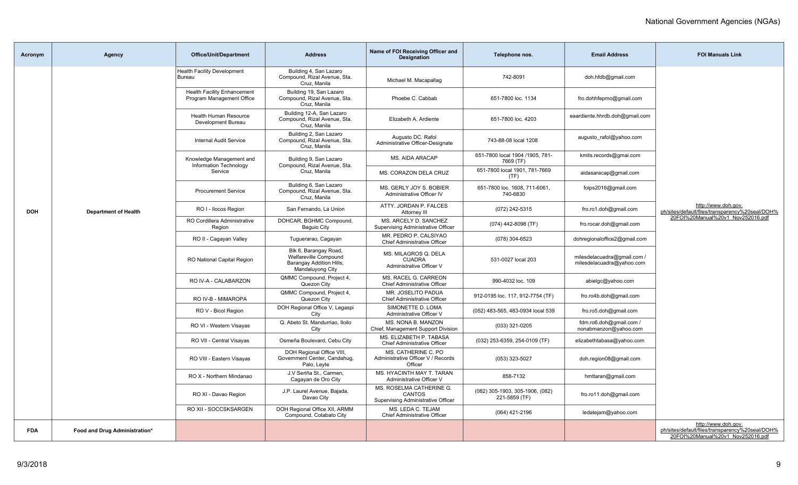| Acronym    | <b>Agency</b>                 | <b>Office/Unit/Department</b>                                   | <b>Address</b>                                                                                 | Name of FOI Receiving Officer and<br><b>Designation</b>                  | Telephone nos.                                   | <b>Email Address</b>                                     | <b>FOI Manuals Link</b>                                                                                     |
|------------|-------------------------------|-----------------------------------------------------------------|------------------------------------------------------------------------------------------------|--------------------------------------------------------------------------|--------------------------------------------------|----------------------------------------------------------|-------------------------------------------------------------------------------------------------------------|
|            |                               | <b>Health Facility Development</b><br>Bureau                    | Building 4, San Lazaro<br>Compound, Rizal Avenue, Sta.<br>Cruz, Manila                         | Michael M. Macapallag                                                    | 742-8091                                         | doh.hfdb@gmail.com                                       |                                                                                                             |
|            |                               | <b>Health Facility Enhancement</b><br>Program Management Office | Building 19, San Lazaro<br>Compound, Rizal Avenue, Sta.<br>Cruz, Manila                        | Phoebe C. Cabbab                                                         | 651-7800 loc. 1134                               | fro.dohhfepmo@gmail.com                                  |                                                                                                             |
|            |                               | <b>Health Human Resource</b><br>Development Bureau              | Building 12-A, San Lazaro<br>Compound, Rizal Avenue, Sta.<br>Cruz, Manila                      | Elizabeth A. Ardiente                                                    | 651-7800 loc. 4203                               | eaardiente.hhrdb.doh@gmail.com                           |                                                                                                             |
|            |                               | <b>Internal Audit Service</b>                                   | Building 2, San Lazaro<br>Compound, Rizal Avenue, Sta.<br>Cruz, Manila                         | Augusto DC. Rafol<br>Administrative Officer-Designate                    | 743-88-08 local 1208                             | augusto rafol@yahoo.com                                  |                                                                                                             |
|            |                               | Knowledge Management and<br>Information Technology              | Building 9, San Lazaro<br>Compound, Rizal Avenue, Sta.                                         | MS. AIDA ARACAP                                                          | 651-7800 local 1904 /1905, 781-<br>7669 (TF)     | kmits.records@gmai.com                                   |                                                                                                             |
|            |                               | Service                                                         | Cruz. Manila                                                                                   | MS. CORAZON DELA CRUZ                                                    | 651-7800 local 1901, 781-7669<br>(TF)            | aidasaracap@gmail.com                                    |                                                                                                             |
|            |                               | <b>Procurement Service</b>                                      | Building 6, San Lazaro<br>Compound, Rizal Avenue, Sta.<br>Cruz. Manila                         | MS. GERLY JOY S. BOBIER<br>Administrative Officer IV                     | 651-7800 loc. 1608, 711-6061,<br>740-6830        | foips2016@gmail.com                                      |                                                                                                             |
| <b>DOH</b> | <b>Department of Health</b>   | RO I - Ilocos Region                                            | San Fernando, La Union                                                                         | ATTY, JORDAN P. FALCES<br>Attorney III                                   | (072) 242-5315                                   | fro.ro1.doh@gmail.com                                    | http://www.doh.gov.<br>ph/sites/default/files/transparency%20seal/DOH%                                      |
|            |                               | RO Cordillera Administrative<br>Region                          | DOHCAR, BGHMC Compound,<br><b>Baguio City</b>                                                  | MS. ARCELY D. SANCHEZ<br>Supervising Administrative Officer              | (074) 442-8098 (TF)                              | fro.rocar.doh@gmail.com                                  | 20FOI%20Manual%20v1_Nov252016.pdf                                                                           |
|            |                               | RO II - Cagayan Valley                                          | Tuguerarao, Cagayan                                                                            | MR. PEDRO P. CALSIYAO<br>Chief Administrative Officer                    | (078) 304-6523                                   | dohregionaloffice2@gmail.com                             |                                                                                                             |
|            |                               | <b>RO National Capital Region</b>                               | Blk 6, Barangay Road,<br>Welfareville Compound<br>Barangay Addition Hills,<br>Mandaluyong City | MS. MILAGROS Q. DELA<br><b>CUADRA</b><br>Administrative Officer V        | 531-0027 local 203                               | milesdelacuadra@gmail.com /<br>milesdelacuadra@yahoo.com |                                                                                                             |
|            |                               | RO IV-A - CALABARZON                                            | QMMC Compound, Project 4,<br>Quezon City                                                       | MS. RACEL G. CARREON<br>Chief Administrative Officer                     | 990-4032 loc. 109                                | abielgc@yahoo.com                                        |                                                                                                             |
|            |                               | RO IV-B - MIMAROPA                                              | QMMC Compound, Project 4,<br>Quezon City                                                       | MR. JOSELITO PADUA<br>Chief Administrative Officer                       | 912-0195 loc. 117, 912-7754 (TF)                 | fro.ro4b.doh@gmail.com                                   |                                                                                                             |
|            |                               | RO V - Bicol Region                                             | DOH Regional Office V, Legaspi<br>City                                                         | SIMONETTE D. LOMA<br>Administrative Officer V                            | (052) 483-565, 483-0934 local 539                | fro.ro5.doh@gmail.com                                    |                                                                                                             |
|            |                               | RO VI - Western Visayas                                         | Q. Abeto St. Mandurriao, Iloilo<br>City                                                        | MS. NONA B. MANZON<br>Chief, Management Support Division                 | (033) 321-0205                                   | fdm.ro6.doh@gmail.com /<br>nonabmanzon@yahoo.com         |                                                                                                             |
|            |                               | RO VII - Central Visayas                                        | Osmeña Boulevard, Cebu City                                                                    | MS. ELIZABETH P. TABASA<br><b>Chief Administrative Officer</b>           | (032) 253-6359, 254-0109 (TF)                    | elizabethtabasa@yahoo.com                                |                                                                                                             |
|            |                               | RO VIII - Eastern Visayas                                       | DOH Regional Office VIII,<br>Government Center, Candahug,<br>Palo, Leyte                       | MS. CATHERINE C. PO<br>Administrative Officer V / Records<br>Officer     | (053) 323-5027                                   | doh.region08@gmail.com                                   |                                                                                                             |
|            |                               | RO X - Northern Mindanao                                        | J.V Seriña St., Carmen,<br>Cagayan de Oro City                                                 | MS. HYACINTH MAY T. TARAN<br>Administrative Officer V                    | 858-7132                                         | hmttaran@gmail.com                                       |                                                                                                             |
|            |                               | RO XI - Davao Region                                            | J.P. Laurel Avenue, Bajada,<br>Davao City                                                      | MS. ROSELMA CATHERINE G.<br>CANTOS<br>Supervising Administrative Officer | (082) 305-1903, 305-1906, (082)<br>221-5859 (TF) | fro.ro11.doh@gmail.com                                   |                                                                                                             |
|            |                               | RO XII - SOCCSKSARGEN                                           | DOH Regional Office XII, ARMM<br>Compound, Cotabato City                                       | MS. LEDA C. TEJAM<br>Chief Administrative Officer                        | (064) 421-2196                                   | ledatejam@yahoo.com                                      |                                                                                                             |
| <b>FDA</b> | Food and Drug Administration* |                                                                 |                                                                                                |                                                                          |                                                  |                                                          | http://www.doh.gov.<br>ph/sites/default/files/transparency%20seal/DOH%<br>20FOI%20Manual%20v1_Nov252016.pdf |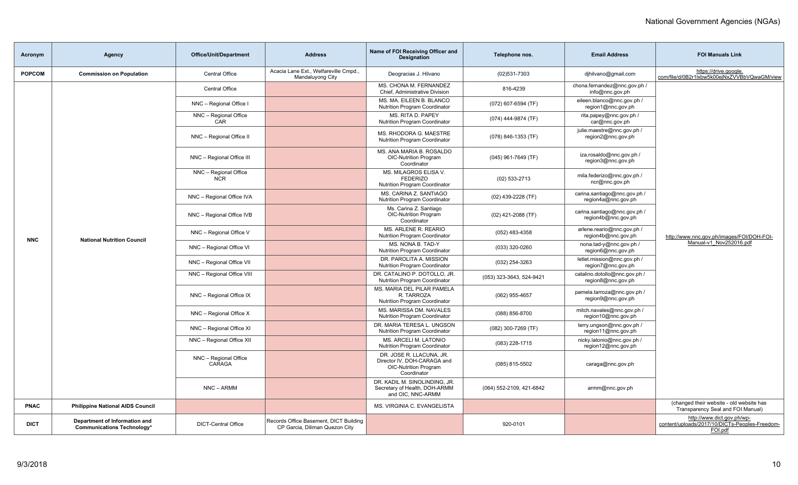| Acronym       | Agency                                                             | Office/Unit/Department              | <b>Address</b>                                                           | Name of FOI Receiving Officer and<br><b>Designation</b>                                                | Telephone nos.           | <b>Email Address</b>                                | <b>FOI Manuals Link</b>                                                                 |
|---------------|--------------------------------------------------------------------|-------------------------------------|--------------------------------------------------------------------------|--------------------------------------------------------------------------------------------------------|--------------------------|-----------------------------------------------------|-----------------------------------------------------------------------------------------|
| <b>POPCOM</b> | <b>Commission on Population</b>                                    | Central Office                      | Acacia Lane Ext., Welfareville Cmpd.,<br>Mandaluyong City                | Deogracias J. Hilvano                                                                                  | $(02)531 - 7303$         | djhilvano@gmail.com                                 | https://drive.google.<br>com/file/d/0B2r1lxbw5k00ejNxZVVBbVQwaGM/view                   |
|               |                                                                    | <b>Central Office</b>               |                                                                          | MS. CHONA M. FERNANDEZ<br>Chief, Administrative Division                                               | 816-4239                 | chona.fernandez@nnc.gov.ph /<br>info@nnc.gov.ph     |                                                                                         |
|               |                                                                    | NNC - Regional Office I             |                                                                          | MS. MA. EILEEN B. BLANCO<br>Nutrition Program Coordinator                                              | (072) 607-6594 (TF)      | eileen.blanco@nnc.gov.ph /<br>region1@nnc.gov.ph    |                                                                                         |
|               |                                                                    | NNC - Regional Office<br>CAR        |                                                                          | MS. RITA D. PAPEY<br><b>Nutrition Program Coordinator</b>                                              | (074) 444-9874 (TF)      | rita.papey@nnc.gov.ph /<br>car@nnc.gov.ph           |                                                                                         |
|               |                                                                    | NNC - Regional Office II            |                                                                          | MS. RHODORA G. MAESTRE<br>Nutrition Program Coordinator                                                | (078) 846-1353 (TF)      | julie.maestre@nnc.gov.ph /<br>region2@nnc.gov.ph    |                                                                                         |
|               |                                                                    | NNC - Regional Office III           |                                                                          | MS. ANA MARIA B. ROSALDO<br><b>OIC-Nutrition Program</b><br>Coordinator                                | $(045)$ 961-7649 (TF)    | iza.rosaldo@nnc.gov.ph /<br>region3@nnc.gov.ph      |                                                                                         |
|               |                                                                    | NNC - Regional Office<br><b>NCR</b> |                                                                          | MS. MILAGROS ELISA V.<br><b>FEDERIZO</b><br><b>Nutrition Program Coordinator</b>                       | $(02)$ 533-2713          | mila.federizo@nnc.gov.ph /<br>ncr@nnc.gov.ph        |                                                                                         |
|               |                                                                    | NNC - Regional Office IVA           |                                                                          | MS. CARINA Z. SANTIAGO<br><b>Nutrition Program Coordinator</b>                                         | (02) 439-2228 (TF)       | carina.santiago@nnc.gov.ph /<br>region4a@nnc.gov.ph |                                                                                         |
|               | <b>National Nutrition Council</b>                                  | NNC - Regional Office IVB           |                                                                          | Ms. Carina Z. Santiago<br><b>OIC-Nutrition Program</b><br>Coordinator                                  | $(02)$ 421-2088 (TF)     | carina.santiago@nnc.gov.ph /<br>region4b@nnc.gov.ph |                                                                                         |
| <b>NNC</b>    |                                                                    | NNC - Regional Office V             |                                                                          | MS. ARLENE R. REARIO<br>Nutrition Program Coordinator                                                  | (052) 483-4358           | arlene.reario@nnc.gov.ph /<br>region4b@nnc.gov.ph   | http://www.nnc.gov.ph/images/FOI/DOH-FOI-                                               |
|               |                                                                    | NNC - Regional Office VI            |                                                                          | MS. NONA B. TAD-Y<br><b>Nutrition Program Coordinator</b>                                              | (033) 320-0260           | nona.tad-y@nnc.gov.ph /<br>region6@nnc.gov.ph       | Manual-v1 Nov252016.pdf                                                                 |
|               |                                                                    | NNC - Regional Office VII           |                                                                          | DR. PAROLITA A. MISSION<br>Nutrition Program Coordinator                                               | (032) 254-3263           | letlet.mission@nnc.gov.ph /<br>region7@nnc.gov.ph   |                                                                                         |
|               |                                                                    | NNC - Regional Office VIII          |                                                                          | DR. CATALINO P. DOTOLLO, JR.<br><b>Nutrition Program Coordinator</b>                                   | (053) 323-3643, 524-9421 | catalino.dotollo@nnc.gov.ph /<br>region8@nnc.gov.ph |                                                                                         |
|               |                                                                    | NNC - Regional Office IX            |                                                                          | MS. MARIA DEL PILAR PAMELA<br>R. TARROZA<br>Nutrition Program Coordinator                              | (062) 955-4657           | pamela.tarroza@nnc.gov.ph /<br>region9@nnc.gov.ph   |                                                                                         |
|               |                                                                    | NNC - Regional Office X             |                                                                          | MS. MARISSA DM. NAVALES<br><b>Nutrition Program Coordinator</b>                                        | (088) 856-8700           | mitch.navales@nnc.gov.ph /<br>region10@nnc.gov.ph   |                                                                                         |
|               |                                                                    | NNC - Regional Office XI            |                                                                          | DR. MARIA TERESA L. UNGSON<br><b>Nutrition Program Coordinator</b>                                     | (082) 300-7269 (TF)      | terry.ungson@nnc.gov.ph /<br>region11@nnc.gov.ph    |                                                                                         |
|               |                                                                    | NNC - Regional Office XII           |                                                                          | MS. ARCELI M. LATONIO<br><b>Nutrition Program Coordinator</b>                                          | (083) 228-1715           | nicky.latonio@nnc.gov.ph /<br>region12@nnc.gov.ph   |                                                                                         |
|               |                                                                    | NNC - Regional Office<br>CARAGA     |                                                                          | DR. JOSE R. LLACUNA. JR.<br>Director IV, DOH-CARAGA and<br><b>OIC-Nutrition Program</b><br>Coordinator | (085) 815-5502           | caraga@nnc.gov.ph                                   |                                                                                         |
|               |                                                                    | NNC - ARMM                          |                                                                          | DR. KADIL M. SINOLINDING, JR.<br>Secretary of Health, DOH-ARMM<br>and OIC, NNC-ARMM                    | (064) 552-2109, 421-6842 | armm@nnc.gov.ph                                     |                                                                                         |
| <b>PNAC</b>   | <b>Philippine National AIDS Council</b>                            |                                     |                                                                          | MS. VIRGINIA C. EVANGELISTA                                                                            |                          |                                                     | (changed their website - old website has<br>Transparency Seal and FOI Manual)           |
| <b>DICT</b>   | Department of Information and<br><b>Communications Technology*</b> | <b>DICT-Central Office</b>          | Records Office Basement, DICT Building<br>CP Garcia, Diliman Quezon City |                                                                                                        | 920-0101                 |                                                     | http://www.dict.gov.ph/wp-<br>content/uploads/2017/10/DICTs-Peoples-Freedom-<br>FOI.pdf |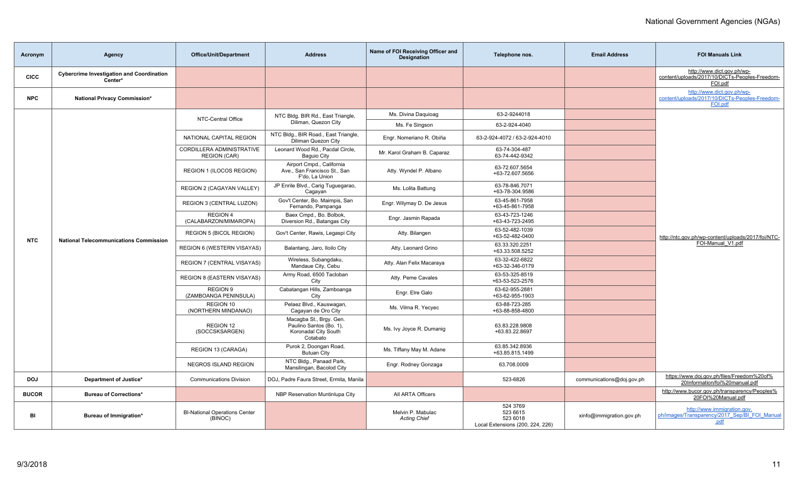| Acronym      | Agency                                                      | <b>Office/Unit/Department</b>                    | <b>Address</b>                                                                         | Name of FOI Receiving Officer and<br><b>Designation</b> | Telephone nos.                                                       | <b>Email Address</b>      | <b>FOI Manuals Link</b>                                                                 |
|--------------|-------------------------------------------------------------|--------------------------------------------------|----------------------------------------------------------------------------------------|---------------------------------------------------------|----------------------------------------------------------------------|---------------------------|-----------------------------------------------------------------------------------------|
| <b>CICC</b>  | <b>Cybercrime Investigation and Coordination</b><br>Center* |                                                  |                                                                                        |                                                         |                                                                      |                           | http://www.dict.gov.ph/wp-<br>content/uploads/2017/10/DICTs-Peoples-Freedom-<br>FOI.pdf |
| <b>NPC</b>   | National Privacy Commission*                                |                                                  |                                                                                        |                                                         |                                                                      |                           | http://www.dict.gov.ph/wp-<br>content/uploads/2017/10/DICTs-Peoples-Freedom-<br>FOI.pdf |
|              |                                                             | NTC-Central Office                               | NTC Bldg. BIR Rd., East Triangle,                                                      | Ms. Divina Daguioag                                     | 63-2-9244018                                                         |                           |                                                                                         |
|              |                                                             |                                                  | Diliman, Quezon City                                                                   | Ms. Fe Singson                                          | 63-2-924-4040                                                        |                           |                                                                                         |
|              |                                                             | NATIONAL CAPITAL REGION                          | NTC Bldg., BIR Road., East Triangle,<br>Diliman Quezon City                            | Engr. Nomeriano R. Obiña                                | 63-2-924-4072 / 63-2-924-4010                                        |                           |                                                                                         |
|              |                                                             | CORDILLERA ADMINISTRATIVE<br><b>REGION (CAR)</b> | Leonard Wood Rd., Pacdal Circle,<br><b>Baguio City</b>                                 | Mr. Karol Graham B. Caparaz                             | 63-74-304-487<br>63-74-442-9342                                      |                           |                                                                                         |
|              |                                                             | REGION 1 (ILOCOS REGION)                         | Airport Cmpd., California<br>Ave., San Francisco St., San<br>F'do. La Union            | Atty. Wyndel P. Albano                                  | 63-72.607.5654<br>+63-72.607.5656                                    |                           |                                                                                         |
|              |                                                             | REGION 2 (CAGAYAN VALLEY)                        | JP Enrile Blvd., Carig Tuguegarao,<br>Cagayan                                          | Ms. Lolita Battung                                      | 63-78-846.7071<br>+63-78-304.9586                                    |                           |                                                                                         |
|              | <b>National Telecommunications Commission</b>               | REGION 3 (CENTRAL LUZON)                         | Gov't Center, Bo. Maimpis, San<br>Fernando, Pampanga                                   | Engr. Wilymay D. De Jesus                               | 63-45-861-7958<br>+63-45-861-7958                                    |                           |                                                                                         |
|              |                                                             | REGION 4<br>(CALABARZON/MIMAROPA)                | Baex Cmpd., Bo. Bolbok,<br>Diversion Rd., Batangas City                                | Engr. Jasmin Rapada                                     | 63-43-723-1246<br>+63-43-723-2495                                    |                           |                                                                                         |
| <b>NTC</b>   |                                                             | <b>REGION 5 (BICOL REGION)</b>                   | Gov't Center, Rawis, Legaspi City                                                      | Atty. Bilangen                                          | 63-52-482-1039<br>+63-52-482-0400                                    |                           | http://ntc.gov.ph/wp-content/uploads/2017/foi/NTC-                                      |
|              |                                                             | REGION 6 (WESTERN VISAYAS)                       | Balantang, Jaro, Iloilo City                                                           | Atty. Leonard Grino                                     | 63.33.320.2251<br>+63.33.508.5252                                    |                           | FOI-Manual V1.pdf                                                                       |
|              |                                                             | <b>REGION 7 (CENTRAL VISAYAS)</b>                | Wireless, Subangdaku,<br>Mandaue City, Cebu                                            | Atty. Alan Felix Macaraya                               | 63-32-422-6822<br>+63-32-346-0179                                    |                           |                                                                                         |
|              |                                                             | <b>REGION 8 (EASTERN VISAYAS)</b>                | Army Road, 6500 Tacloban<br>City                                                       | Atty. Peme Cavales                                      | 63-53-325-8519<br>+63-53-523-2576                                    |                           |                                                                                         |
|              |                                                             | <b>REGION 9</b><br>(ZAMBOANGA PENINSULA)         | Cabatangan Hills, Zamboanga<br>City                                                    | Engr. Elre Galo                                         | 63-62-955-2881<br>+63-62-955-1903                                    |                           |                                                                                         |
|              |                                                             | REGION 10<br>(NORTHERN MINDANAO)                 | Pelaez Blvd., Kauswagan,<br>Cagayan de Oro City                                        | Ms. Vilma R. Yecyec                                     | 63-88-723-285<br>+63-88-858-4800                                     |                           |                                                                                         |
|              |                                                             | REGION 12<br>(SOCCSKSARGEN)                      | Macagba St., Brgy. Gen.<br>Paulino Santos (Bo. 1),<br>Koronadal City South<br>Cotabato | Ms. Ivy Joyce R. Dumanig                                | 63.83.228.9808<br>+63.83.22.8697                                     |                           |                                                                                         |
|              |                                                             | REGION 13 (CARAGA)                               | Purok 2, Doongan Road,<br><b>Butuan City</b>                                           | Ms. Tiffany May M. Adane                                | 63.85.342.8936<br>+63.85.815.1499                                    |                           |                                                                                         |
|              |                                                             | <b>NEGROS ISLAND REGION</b>                      | NTC Bldg., Panaad Park,<br>Mansilingan, Bacolod City                                   | Engr. Rodney Gonzaga                                    | 63.708.0009                                                          |                           |                                                                                         |
| <b>DOJ</b>   | Department of Justice*                                      | <b>Communications Division</b>                   | DOJ, Padre Faura Street, Ermita, Manila                                                |                                                         | 523-6826                                                             | communications@doj.gov.ph | https://www.doj.gov.ph/files/Freedom%20of%<br>20Information/foi%20manual.pdf            |
| <b>BUCOR</b> | <b>Bureau of Corrections*</b>                               |                                                  | NBP Reservation Muntinlupa City                                                        | All ARTA Officers                                       |                                                                      |                           | http://www.bucor.gov.ph/transparency/Peoples%<br>20FOI%20Manual.pdf                     |
| BI           | Bureau of Immigration*                                      | <b>BI-National Operations Center</b><br>(BINOC)  |                                                                                        | Melvin P. Mabulac<br><b>Acting Chief</b>                | 524 3769<br>523 6615<br>523 6018<br>Local Extensions (200, 224, 226) | xinfo@immigration.gov.ph  | http://www.immigration.gov.<br>ph/images/Transparency/2017_Sep/BI_FOI_Manual<br>.pdf    |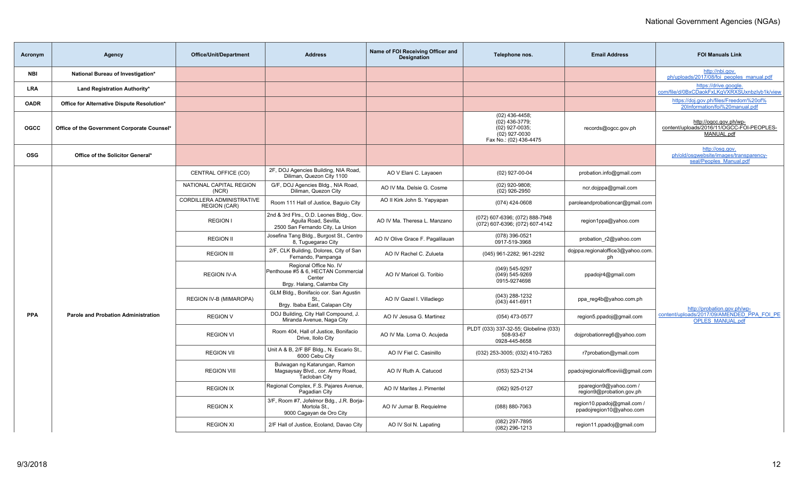| Acronym     | Agency                                      | <b>Office/Unit/Department</b>                    | <b>Address</b>                                                                                        | Name of FOI Receiving Officer and<br><b>Designation</b> | Telephone nos.                                                                                  | <b>Email Address</b>                                    | <b>FOI Manuals Link</b>                                                              |
|-------------|---------------------------------------------|--------------------------------------------------|-------------------------------------------------------------------------------------------------------|---------------------------------------------------------|-------------------------------------------------------------------------------------------------|---------------------------------------------------------|--------------------------------------------------------------------------------------|
| NBI         | National Bureau of Investigation*           |                                                  |                                                                                                       |                                                         |                                                                                                 |                                                         | http://nbi.gov.<br>ph/uploads/2017/08/foi peoples manual.pdf                         |
| <b>LRA</b>  | Land Registration Authority*                |                                                  |                                                                                                       |                                                         |                                                                                                 |                                                         | https://drive.google.<br>com/file/d/0BxCDaokFxLKgVXRXSUxnbzlyb1k/view                |
| <b>OADR</b> | Office for Alternative Dispute Resolution*  |                                                  |                                                                                                       |                                                         |                                                                                                 |                                                         | https://doj.gov.ph/files/Freedom%20of%<br>20Information/foi%20manual.pdf             |
| <b>OGCC</b> | Office of the Government Corporate Counsel* |                                                  |                                                                                                       |                                                         | $(02)$ 436-4458;<br>(02) 436-3779;<br>(02) 927-0035;<br>(02) 927-0030<br>Fax No.: (02) 436-4475 | records@ogcc.gov.ph                                     | http://ogcc.gov.ph/wp-<br>content/uploads/2016/11/OGCC-FOI-PEOPLES-<br>MANUAL.pdf    |
| <b>OSG</b>  | Office of the Solicitor General*            |                                                  |                                                                                                       |                                                         |                                                                                                 |                                                         | http://osg.gov.<br>ph/old/osqwebsite/images/transparency-<br>seal/Peoples Manual.pdf |
|             |                                             | CENTRAL OFFICE (CO)                              | 2F, DOJ Agencies Building, NIA Road,<br>Diliman, Quezon City 1100                                     | AO V Elani C. Layaoen                                   | (02) 927-00-04                                                                                  | probation.info@gmail.com                                |                                                                                      |
|             |                                             | NATIONAL CAPITAL REGION<br>(NCR)                 | G/F, DOJ Agencies Bldg., NIA Road,<br>Diliman, Quezon City                                            | AO IV Ma. Delsie G. Cosme                               | $(02)$ 920-9808;<br>(02) 926-2950                                                               | ncr.dojppa@gmail.com                                    |                                                                                      |
|             |                                             | CORDILLERA ADMINISTRATIVE<br><b>REGION (CAR)</b> | Room 111 Hall of Justice, Baquio City                                                                 | AO II Kirk John S. Yapyapan                             | (074) 424-0608                                                                                  | paroleandprobationcar@gmail.com                         |                                                                                      |
|             |                                             | <b>REGION I</b>                                  | 2nd & 3rd Flrs., O.D. Leones Bldg., Gov.<br>Aquila Road, Sevilla,<br>2500 San Fernando City, La Union | AO IV Ma. Theresa L. Manzano                            | (072) 607-6396; (072) 888-7948<br>(072) 607-6396; (072) 607-4142                                | region1ppa@yahoo.com                                    |                                                                                      |
|             |                                             | <b>REGION II</b>                                 | Josefina Tang Bldg., Burgost St., Centro<br>8, Tuguegarao City                                        | AO IV Olive Grace F. Pagalilauan                        | (078) 396-0521<br>0917-519-3968                                                                 | probation_r2@yahoo.com                                  |                                                                                      |
|             |                                             | <b>REGION III</b>                                | 2/F, CLK Building, Dolores, City of San<br>Fernando, Pampanga                                         | AO IV Rachel C. Zulueta                                 | (045) 961-2282; 961-2292                                                                        | dojppa.regionaloffice3@yahoo.com.<br>ph                 |                                                                                      |
|             |                                             | <b>REGION IV-A</b>                               | Regional Office No. IV<br>Penthouse #5 & 6, HECTAN Commercial<br>Center<br>Brgy. Halang, Calamba City | AO IV Maricel G. Toribio                                | (049) 545-9297<br>$(049) 545 - 9269$<br>0915-9274698                                            | ppadojr4@gmail.com                                      |                                                                                      |
|             |                                             | REGION IV-B (MIMAROPA)                           | GLM Bldg., Bonifacio cor. San Agustin<br>St<br>Brgy. Ibaba East, Calapan City                         | AO IV Gazel I. Villadiego                               | (043) 288-1232<br>(043) 441-6911                                                                | ppa_reg4b@yahoo.com.ph                                  | http://probation.gov.ph/wp-                                                          |
| <b>PPA</b>  | <b>Parole and Probation Administration</b>  | <b>REGION V</b>                                  | DOJ Building, City Hall Compound, J.<br>Miranda Avenue, Naga City                                     | AO IV Jesusa G. Martinez                                | (054) 473-0577                                                                                  | region5.ppadoj@gmail.com                                | content/uploads/2017/09/AMENDED PPA FOI PE<br><b>OPLES MANUAL.pdf</b>                |
|             |                                             | <b>REGION VI</b>                                 | Room 404, Hall of Justice, Bonifacio<br>Drive, Iloilo City                                            | AO IV Ma. Lorna O. Acujeda                              | PLDT (033) 337-32-55; Globeline (033)<br>508-93-67<br>0928-445-8658                             | doiprobationreg6@yahoo.com                              |                                                                                      |
|             |                                             | <b>REGION VII</b>                                | Unit A & B, 2/F BF Bldg., N. Escario St.,<br>6000 Cebu City                                           | AO IV Fiel C. Casinillo                                 | (032) 253-3005; (032) 410-7263                                                                  | r7probation@ymail.com                                   |                                                                                      |
|             |                                             | <b>REGION VIII</b>                               | Bulwagan ng Katarungan, Ramon<br>Magsaysay Blvd., cor. Army Road,<br><b>Tacloban City</b>             | AO IV Ruth A. Catucod                                   | (053) 523-2134                                                                                  | ppadojregionalofficeviii@gmail.com                      |                                                                                      |
|             |                                             | <b>REGION IX</b>                                 | Regional Complex, F.S. Pajares Avenue,<br>Pagadian City                                               | AO IV Marites J. Pimentel                               | (062) 925-0127                                                                                  | pparegion9@yahoo.com /<br>region9@probation.gov.ph      |                                                                                      |
|             |                                             | <b>REGION X</b>                                  | 3/F, Room #7, Jofelmor Bdg., J.R. Borja-<br>Mortola St<br>9000 Cagayan de Oro City                    | AO IV Jumar B. Requielme                                | (088) 880-7063                                                                                  | region10.ppadoj@gmail.com /<br>ppadojregion10@yahoo.com |                                                                                      |
|             |                                             | <b>REGION XI</b>                                 | 2/F Hall of Justice, Ecoland, Davao City                                                              | AO IV Sol N. Lapating                                   | (082) 297-7895<br>(082) 296-1213                                                                | region11.ppadoj@gmail.com                               |                                                                                      |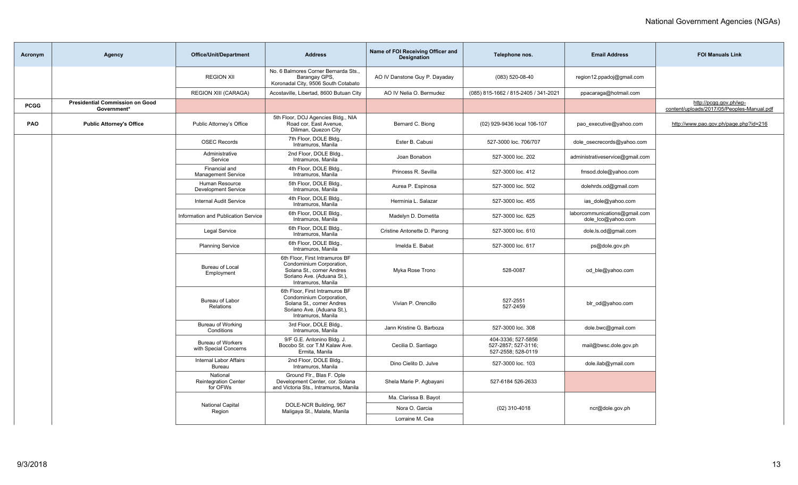| Acronym     | Agency                                                | Office/Unit/Department                              | <b>Address</b>                                                                                                                              | Name of FOI Receiving Officer and<br><b>Designation</b> | Telephone nos.                                                  | <b>Email Address</b>                                | <b>FOI Manuals Link</b>                                              |
|-------------|-------------------------------------------------------|-----------------------------------------------------|---------------------------------------------------------------------------------------------------------------------------------------------|---------------------------------------------------------|-----------------------------------------------------------------|-----------------------------------------------------|----------------------------------------------------------------------|
|             |                                                       | <b>REGION XII</b>                                   | No. 6 Balmores Corner Bernarda Sts.,<br>Barangay GPS,<br>Koronadal City, 9506 South Cotabato                                                | AO IV Danstone Guy P. Dayaday                           | (083) 520-08-40                                                 | region12.ppadoj@gmail.com                           |                                                                      |
|             |                                                       | <b>REGION XIII (CARAGA)</b>                         | Acostaville, Libertad, 8600 Butuan City                                                                                                     | AO IV Nelia O. Bermudez                                 | (085) 815-1662 / 815-2405 / 341-2021                            | ppacaraga@hotmail.com                               |                                                                      |
| <b>PCGG</b> | <b>Presidential Commission on Good</b><br>Government* |                                                     |                                                                                                                                             |                                                         |                                                                 |                                                     | http://pcgg.gov.ph/wp-<br>content/uploads/2017/05/Peoples-Manual.pdf |
| <b>PAO</b>  | <b>Public Attorney's Office</b>                       | Public Attorney's Office                            | 5th Floor, DOJ Agencies Bldg., NIA<br>Road cor. East Avenue,<br>Diliman, Quezon City                                                        | Bernard C. Biong                                        | (02) 929-9436 local 106-107                                     | pao executive@yahoo.com                             | http://www.pao.gov.ph/page.php?id=216                                |
|             |                                                       | <b>OSEC Records</b>                                 | 7th Floor, DOLE Bldg<br>Intramuros, Manila                                                                                                  | Ester B. Cabusi                                         | 527-3000 loc. 706/707                                           | dole osecrecords@yahoo.com                          |                                                                      |
|             |                                                       | Administrative<br>Service                           | 2nd Floor, DOLE Bldg.,<br>Intramuros, Manila                                                                                                | Joan Bonabon                                            | 527-3000 loc. 202                                               | administrativeservice@gmail.com                     |                                                                      |
|             |                                                       | Financial and<br><b>Management Service</b>          | 4th Floor, DOLE Bldg<br>Intramuros, Manila                                                                                                  | Princess R. Sevilla                                     | 527-3000 loc. 412                                               | fmsod.dole@yahoo.com                                |                                                                      |
|             |                                                       | Human Resource<br><b>Development Service</b>        | 5th Floor, DOLE Bldg.,<br>Intramuros, Manila                                                                                                | Aurea P. Espinosa                                       | 527-3000 loc. 502                                               | dolehrds.od@gmail.com                               |                                                                      |
|             |                                                       | <b>Internal Audit Service</b>                       | 4th Floor, DOLE Bldg<br>Intramuros, Manila                                                                                                  | Herminia L. Salazar                                     | 527-3000 loc. 455                                               | ias_dole@yahoo.com                                  |                                                                      |
|             |                                                       | Information and Publication Service                 | 6th Floor, DOLE Bldg.,<br>Intramuros, Manila                                                                                                | Madelyn D. Dometita                                     | 527-3000 loc. 625                                               | laborcommunications@gmail.com<br>dole lco@yahoo.com |                                                                      |
|             |                                                       | <b>Legal Service</b>                                | 6th Floor, DOLE Bldg<br>Intramuros, Manila                                                                                                  | Cristine Antonette D. Parong                            | 527-3000 loc. 610                                               | dole.ls.od@gmail.com                                |                                                                      |
|             |                                                       | <b>Planning Service</b>                             | 6th Floor, DOLE Bldg.,<br>Intramuros, Manila                                                                                                | Imelda E. Babat                                         | 527-3000 loc. 617                                               | ps@dole.gov.ph                                      |                                                                      |
|             |                                                       | Bureau of Local<br>Employment                       | 6th Floor, First Intramuros BF<br>Condominium Corporation,<br>Solana St., corner Andres<br>Soriano Ave. (Aduana St.),<br>Intramuros, Manila | Myka Rose Trono                                         | 528-0087                                                        | od_ble@yahoo.com                                    |                                                                      |
|             |                                                       | Bureau of Labor<br>Relations                        | 6th Floor, First Intramuros BF<br>Condominium Corporation,<br>Solana St., corner Andres<br>Soriano Ave. (Aduana St.),<br>Intramuros, Manila | Vivian P. Orencillo                                     | 527-2551<br>527-2459                                            | blr_od@yahoo.com                                    |                                                                      |
|             |                                                       | Bureau of Working<br>Conditions                     | 3rd Floor, DOLE Bldg.,<br>Intramuros, Manila                                                                                                | Jann Kristine G. Barboza                                | 527-3000 loc. 308                                               | dole.bwc@gmail.com                                  |                                                                      |
|             |                                                       | <b>Bureau of Workers</b><br>with Special Concerns   | 9/F G.E. Antonino Bldg. J.<br>Bocobo St. cor T.M Kalaw Ave.<br>Ermita, Manila                                                               | Cecilia D. Santiago                                     | 404-3336; 527-5856<br>527-2857: 527-3116:<br>527-2558; 528-0119 | mail@bwsc.dole.gov.ph                               |                                                                      |
|             |                                                       | <b>Internal Labor Affairs</b><br>Bureau             | 2nd Floor, DOLE Bldg.,<br>Intramuros, Manila                                                                                                | Dino Cielito D. Julve                                   | 527-3000 loc. 103                                               | dole.ilab@ymail.com                                 |                                                                      |
|             |                                                       | National<br><b>Reintegration Center</b><br>for OFWs | Ground Flr., Blas F. Ople<br>Development Center, cor. Solana<br>and Victoria Sts., Intramuros, Manila                                       | Shela Marie P. Agbayani                                 | 527-6184 526-2633                                               |                                                     |                                                                      |
|             |                                                       |                                                     |                                                                                                                                             | Ma. Clarissa B. Bayot                                   |                                                                 |                                                     |                                                                      |
|             |                                                       | National Capital<br>Region                          | DOLE-NCR Building, 967<br>Maligaya St., Malate, Manila                                                                                      | Nora O. Garcia                                          | $(02)$ 310-4018                                                 | ncr@dole.gov.ph                                     |                                                                      |
|             |                                                       |                                                     |                                                                                                                                             | Lorraine M. Cea                                         |                                                                 |                                                     |                                                                      |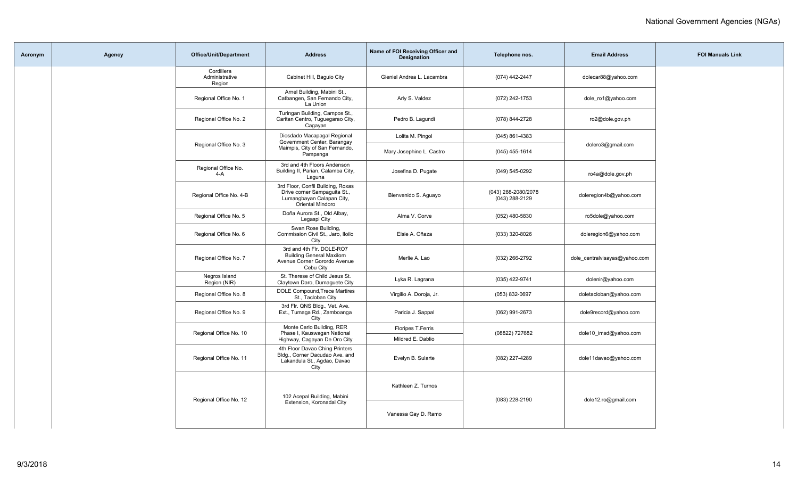| Acronym | Agency | <b>Office/Unit/Department</b>          | <b>Address</b>                                                                                                     | Name of FOI Receiving Officer and<br><b>Designation</b> | Telephone nos.                        | <b>Email Address</b>          | <b>FOI Manuals Link</b> |
|---------|--------|----------------------------------------|--------------------------------------------------------------------------------------------------------------------|---------------------------------------------------------|---------------------------------------|-------------------------------|-------------------------|
|         |        | Cordillera<br>Administrative<br>Region | Cabinet Hill, Baguio City                                                                                          | Gieniel Andrea L. Lacambra                              | (074) 442-2447                        | dolecar88@yahoo.com           |                         |
|         |        | Regional Office No. 1                  | Arnel Building, Mabini St.,<br>Catbangen, San Fernando City,<br>La Union                                           | Arly S. Valdez                                          | (072) 242-1753                        | dole_ro1@yahoo.com            |                         |
|         |        | Regional Office No. 2                  | Turingan Building, Campos St.,<br>Caritan Centro, Tuguegarao City,<br>Cagayan                                      | Pedro B. Lagundi                                        | (078) 844-2728                        | ro2@dole.gov.ph               |                         |
|         |        |                                        | Diosdado Macapagal Regional<br>Government Center, Barangay                                                         | Lolita M. Pingol                                        | $(045)$ 861-4383                      |                               |                         |
|         |        | Regional Office No. 3                  | Maimpis, City of San Fernando,<br>Pampanga                                                                         | Mary Josephine L. Castro                                | $(045)$ 455-1614                      | dolero3@gmail.com             |                         |
|         |        | Regional Office No.<br>$4-A$           | 3rd and 4th Floors Andenson<br>Building II, Parian, Calamba City,<br>Laguna                                        | Josefina D. Pugate                                      | (049) 545-0292                        | ro4a@dole.gov.ph              |                         |
|         |        | Regional Office No. 4-B                | 3rd Floor, Confil Building, Roxas<br>Drive corner Sampaguita St.,<br>Lumangbayan Calapan City,<br>Oriental Mindoro | Bienvenido S. Aguayo                                    | (043) 288-2080/2078<br>(043) 288-2129 | doleregion4b@yahoo.com        |                         |
|         |        | Regional Office No. 5                  | Doña Aurora St., Old Albay,<br>Legaspi City                                                                        | Alma V. Corve                                           | (052) 480-5830                        | ro5dole@yahoo.com             |                         |
|         |        | Regional Office No. 6                  | Swan Rose Building,<br>Commission Civil St., Jaro, Iloilo<br>City                                                  | Elsie A. Oñaza                                          | (033) 320-8026                        | doleregion6@yahoo.com         |                         |
|         |        | Regional Office No. 7                  | 3rd and 4th Flr. DOLE-RO7<br><b>Building General Maxilom</b><br>Avenue Corner Gorordo Avenue<br>Cebu City          | Merlie A. Lao                                           | (032) 266-2792                        | dole_centralvisayas@yahoo.com |                         |
|         |        | Negros Island<br>Region (NIR)          | St. Therese of Child Jesus St.<br>Claytown Daro, Dumaguete City                                                    | Lyka R. Lagrana                                         | (035) 422-9741                        | dolenir@yahoo.com             |                         |
|         |        | Regional Office No. 8                  | DOLE Compound, Trece Martires<br>St., Tacloban City                                                                | Virgilio A. Doroja, Jr.                                 | (053) 832-0697                        | doletacloban@yahoo.com        |                         |
|         |        | Regional Office No. 9                  | 3rd Flr. QNS Bldg., Vet. Ave.<br>Ext., Tumaga Rd., Zamboanga<br>City                                               | Paricia J. Sappal                                       | (062) 991-2673                        | dole9record@yahoo.com         |                         |
|         |        | Regional Office No. 10                 | Monte Carlo Building, RER<br>Phase I, Kauswagan National                                                           | Floripes T.Ferris                                       | (08822) 727682                        | dole10 imsd@yahoo.com         |                         |
|         |        |                                        | Highway, Cagayan De Oro City                                                                                       | Mildred E. Dablio                                       |                                       |                               |                         |
|         |        | Regional Office No. 11                 | 4th Floor Davao Ching Printers<br>Bldg., Corner Dacudao Ave. and<br>Lakandula St., Agdao, Davao<br>City            | Evelyn B. Sularte                                       | (082) 227-4289                        | dole11davao@yahoo.com         |                         |
|         |        | Regional Office No. 12                 | 102 Acepal Building, Mabini                                                                                        | Kathleen Z. Turnos                                      | (083) 228-2190                        | dole12.ro@gmail.com           |                         |
|         |        |                                        | Extension, Koronadal City                                                                                          | Vanessa Gay D. Ramo                                     |                                       |                               |                         |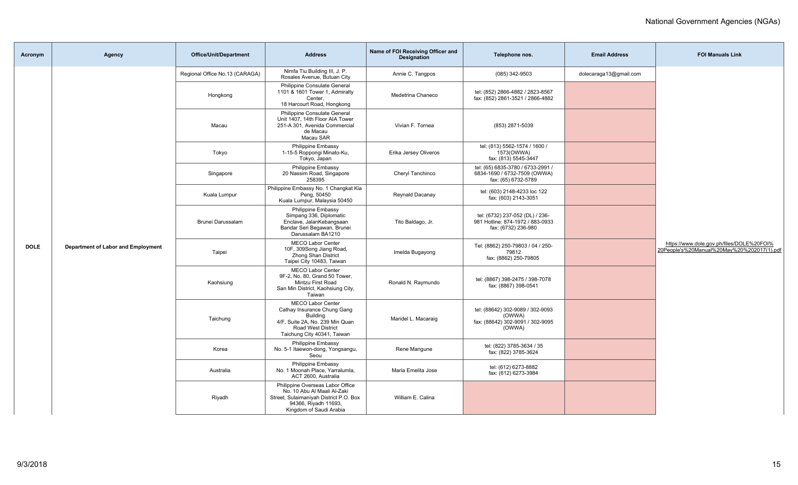| Acronym     | Agency                             | <b>Office/Unit/Department</b>  | <b>Address</b>                                                                                                                                                     | Name of FOI Receiving Officer and<br><b>Designation</b> | Telephone nos.                                                                             | <b>Email Address</b>   | <b>FOI Manuals Link</b>                                                                 |
|-------------|------------------------------------|--------------------------------|--------------------------------------------------------------------------------------------------------------------------------------------------------------------|---------------------------------------------------------|--------------------------------------------------------------------------------------------|------------------------|-----------------------------------------------------------------------------------------|
|             |                                    | Regional Office No.13 (CARAGA) | Nimfa Tiu Building III, J. P.<br>Rosales Avenue, Butuan City                                                                                                       | Annie C. Tangpos                                        | (085) 342-9503                                                                             | dolecaraga13@gmail.com |                                                                                         |
|             |                                    | Hongkong                       | Philippine Consulate General<br>1101 & 1601 Tower 1, Admiralty<br>Center.<br>18 Harcourt Road, Hongkong                                                            | Medetrina Chaneco                                       | tel: (852) 2866-4882 / 2823-8567<br>fax: (852) 2861-3521 / 2866-4882                       |                        |                                                                                         |
|             |                                    | Macau                          | Philippine Consulate General<br>Unit 1407, 14th Floor AIA Tower<br>251-A 301, Avenida Commercial<br>de Macau<br>Macau SAR                                          | Vivian F. Tornea                                        | (853) 2871-5039                                                                            |                        |                                                                                         |
|             |                                    | Tokyo                          | Philippine Embassy<br>1-15-5 Roppongi Minato-Ku,<br>Tokyo, Japan                                                                                                   | Erika Jersey Oliveros                                   | tel: (813) 5562-1574 / 1600 /<br>1573(OWWA)<br>fax: (813) 5545-3447                        |                        |                                                                                         |
|             |                                    | Singapore                      | Philippine Embassy<br>20 Nassim Road, Singapore<br>258395                                                                                                          | Cheryl Tanchinco                                        | tel: (65) 6835-3780 / 6733-2991 /<br>6834-1690 / 6732-7509 (OWWA)<br>fax: (65) 6732-5789   |                        |                                                                                         |
|             |                                    | Kuala Lumpur                   | Philippine Embassy No. 1 Changkat Kia<br>Peng, 50450<br>Kuala Lumpur, Malaysia 50450                                                                               | Reynald Dacanay                                         | tel: (603) 2148-4233 loc 122<br>fax: (603) 2143-3051                                       |                        |                                                                                         |
|             |                                    | Brunei Darussalam              | Philippine Embassy<br>Simpang 336, Diplomatic<br>Enclave, JalanKebangsaan<br>Bandar Seri Begawan, Brunei<br>Darussalam BA1210                                      | Tito Baldago, Jr.                                       | tel: (6732) 237-052 (DL) / 236-<br>981 Hotline: 874-1972 / 883-0933<br>fax: (6732) 236-980 |                        |                                                                                         |
| <b>DOLE</b> | Department of Labor and Employment | Taipei                         | <b>MECO Labor Center</b><br>10F, 309Song Jiang Road,<br>Zhong Shan District<br>Taipei City 10483, Taiwan                                                           | Imelda Bugayong                                         | Tel: (8862) 250-79803 / 04 / 250-<br>79812<br>fax: (8862) 250-79805                        |                        | https://www.dole.gov.ph/files/DOLE%20FOI%<br>20People's%20Manual%20May%20%202017(1).pdf |
|             |                                    | Kaohsiung                      | <b>MECO Labor Center</b><br>9F-2, No. 80. Grand 50 Tower.<br>Mintzu First Road<br>San Min District, Kaohsiung City,<br>Taiwan                                      | Ronald N. Raymundo                                      | tel: (8867) 398-2475 / 398-7078<br>fax: (8867) 398-0541                                    |                        |                                                                                         |
|             |                                    | Taichung                       | <b>MECO Labor Center</b><br>Cathay Insurance Chung Gang<br><b>Building</b><br>4/F, Suite 2A, No. 239 Min Quan<br>Road West District<br>Taichung City 40341, Taiwan | Maridel L. Macaraig                                     | tel: (88642) 302-9089 / 302-9093<br>(OWWA)<br>fax: (88642) 302-9091 / 302-9095<br>(OWWA)   |                        |                                                                                         |
|             |                                    | Korea                          | Philippine Embassy<br>No. 5-1 Itaewon-dong, Yongsangu,<br>Seou                                                                                                     | Rene Mangune                                            | tel: (822) 3785-3634 / 35<br>fax: (822) 3785-3624                                          |                        |                                                                                         |
|             |                                    | Australia                      | Philippine Embassy<br>No. 1 Moonah Place, Yarralumla,<br>ACT 2600. Australia                                                                                       | Maria Emelita Jose                                      | tel: (612) 6273-8882<br>fax: (612) 6273-3984                                               |                        |                                                                                         |
|             |                                    | Riyadh                         | Philippine Overseas Labor Office<br>No. 10 Abu Al Maali Al-Zaki<br>Street, Sulaimaniyah District P.O. Box<br>94366, Riyadh 11693,<br>Kingdom of Saudi Arabia       | William E. Calina                                       |                                                                                            |                        |                                                                                         |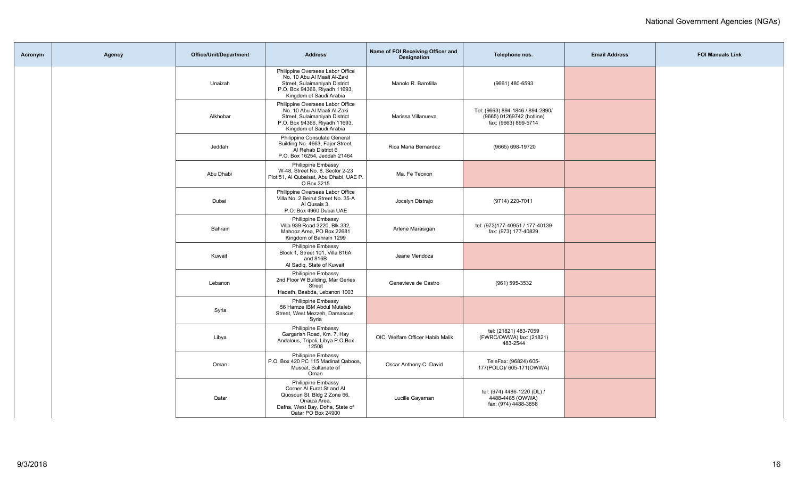| Acronym | <b>Agency</b> | <b>Office/Unit/Department</b> | <b>Address</b>                                                                                                                                               | Name of FOI Receiving Officer and<br><b>Designation</b> | Telephone nos.                                                                        | <b>Email Address</b> | <b>FOI Manuals Link</b> |
|---------|---------------|-------------------------------|--------------------------------------------------------------------------------------------------------------------------------------------------------------|---------------------------------------------------------|---------------------------------------------------------------------------------------|----------------------|-------------------------|
|         |               | Unaizah                       | Philippine Overseas Labor Office<br>No. 10 Abu Al Maali Al-Zaki<br>Street, Sulaimaniyah District<br>P.O. Box 94366, Riyadh 11693,<br>Kingdom of Saudi Arabia | Manolo R. Barotilla                                     | (9661) 480-6593                                                                       |                      |                         |
|         |               | Alkhobar                      | Philippine Overseas Labor Office<br>No. 10 Abu Al Maali Al-Zaki<br>Street, Sulaimaniyah District<br>P.O. Box 94366, Riyadh 11693,<br>Kingdom of Saudi Arabia | Marissa Villanueva                                      | Tel: (9663) 894-1846 / 894-2890/<br>(9665) 01269742 (hotline)<br>fax: (9663) 899-5714 |                      |                         |
|         |               | Jeddah                        | Philippine Consulate General<br>Building No. 4663, Fajer Street,<br>Al Rehab District 6<br>P.O. Box 16254, Jeddah 21464                                      | Rica Maria Bernardez                                    | (9665) 698-19720                                                                      |                      |                         |
|         |               | Abu Dhabi                     | Philippine Embassy<br>W-48, Street No. 8, Sector 2-23<br>Plot 51. Al Qubaisat. Abu Dhabi. UAE P.<br>O Box 3215                                               | Ma. Fe Teoxon                                           |                                                                                       |                      |                         |
|         |               | Dubai                         | Philippine Overseas Labor Office<br>Villa No. 2 Beirut Street No. 35-A<br>Al Qusais 3,<br>P.O. Box 4960 Dubai UAE                                            | Jocelyn Distrajo                                        | (9714) 220-7011                                                                       |                      |                         |
|         |               | Bahrain                       | Philippine Embassy<br>Villa 939 Road 3220, Blk 332,<br>Mahooz Area, PO Box 22681<br>Kingdom of Bahrain 1299                                                  | Arlene Marasigan                                        | tel: (973)177-40951 / 177-40139<br>fax: (973) 177-40829                               |                      |                         |
|         |               | Kuwait                        | <b>Philippine Embassy</b><br>Block 1, Street 101, Villa 816A<br>and 816B<br>Al Sadiq, State of Kuwait                                                        | Jeane Mendoza                                           |                                                                                       |                      |                         |
|         |               | Lebanon                       | Philippine Embassy<br>2nd Floor W Building, Mar Geries<br>Street<br>Hadath, Baabda, Lebanon 1003                                                             | Genevieve de Castro                                     | (961) 595-3532                                                                        |                      |                         |
|         |               | Syria                         | Philippine Embassy<br>56 Hamze IBM Abdul Mutaleb<br>Street, West Mezzeh, Damascus,<br>Syria                                                                  |                                                         |                                                                                       |                      |                         |
|         |               | Libya                         | Philippine Embassy<br>Gargarish Road, Km. 7, Hay<br>Andalous, Tripoli, Libya P.O.Box<br>12508                                                                | OIC, Welfare Officer Habib Malik                        | tel: (21821) 483-7059<br>(FWRC/OWWA) fax: (21821)<br>483-2544                         |                      |                         |
|         |               | Oman                          | Philippine Embassy<br>P.O. Box 420 PC 115 Madinat Qaboos,<br>Muscat, Sultanate of<br>Oman                                                                    | Oscar Anthony C. David                                  | TeleFax: (96824) 605-<br>177(POLO)/ 605-171(OWWA)                                     |                      |                         |
|         |               | Qatar                         | Philippine Embassy<br>Corner Al Furat St and Al<br>Quosoun St, Bldg 2 Zone 66,<br>Onaiza Area,<br>Dafna, West Bay, Doha, State of<br>Qatar PO Box 24900      | Lucille Gayaman                                         | tel: (974) 4486-1220 (DL) /<br>4488-4485 (OWWA)<br>fax: (974) 4488-3858               |                      |                         |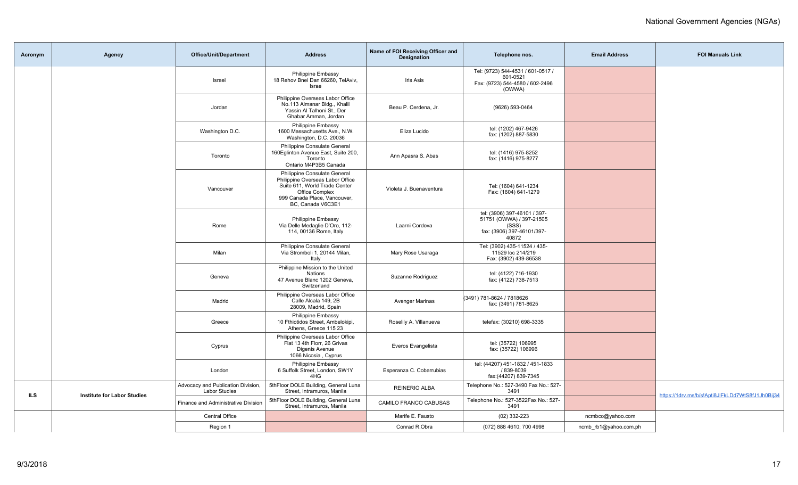| Acronym | <b>Agency</b>                      | <b>Office/Unit/Department</b>                              | <b>Address</b>                                                                                                                                                           | Name of FOI Receiving Officer and<br><b>Designation</b> | Telephone nos.                                                                                           | <b>Email Address</b>  | <b>FOI Manuals Link</b>                          |
|---------|------------------------------------|------------------------------------------------------------|--------------------------------------------------------------------------------------------------------------------------------------------------------------------------|---------------------------------------------------------|----------------------------------------------------------------------------------------------------------|-----------------------|--------------------------------------------------|
|         |                                    | Israel                                                     | Philippine Embassy<br>18 Rehov Bnei Dan 66260, TelAviv,<br>Israe                                                                                                         | <b>Iris Asis</b>                                        | Tel: (9723) 544-4531 / 601-0517 /<br>601-0521<br>Fax: (9723) 544-4580 / 602-2496<br>(OWWA)               |                       |                                                  |
|         |                                    | Jordan                                                     | Philippine Overseas Labor Office<br>No.113 Almanar Bldg., Khalil<br>Yassin Al Talhoni St., Der<br>Ghabar Amman, Jordan                                                   | Beau P. Cerdena, Jr.                                    | (9626) 593-0464                                                                                          |                       |                                                  |
|         |                                    | Washington D.C.                                            | <b>Philippine Embassy</b><br>1600 Massachusetts Ave., N.W.<br>Washington, D.C. 20036                                                                                     | Eliza Lucido                                            | tel: (1202) 467-9426<br>fax: (1202) 887-5830                                                             |                       |                                                  |
|         |                                    | Toronto                                                    | Philippine Consulate General<br>160 Eglinton Avenue East, Suite 200,<br>Toronto<br>Ontario M4P3B5 Canada                                                                 | Ann Apasra S. Abas                                      | tel: (1416) 975-8252<br>fax: (1416) 975-8277                                                             |                       |                                                  |
|         |                                    | Vancouver                                                  | Philippine Consulate General<br>Philippine Overseas Labor Office<br>Suite 611, World Trade Center<br>Office Complex<br>999 Canada Place, Vancouver,<br>BC, Canada V6C3E1 | Violeta J. Buenaventura                                 | Tel: (1604) 641-1234<br>Fax: (1604) 641-1279                                                             |                       |                                                  |
|         |                                    | Rome                                                       | Philippine Embassy<br>Via Delle Medaglie D'Oro, 112-<br>114, 00136 Rome, Italy                                                                                           | Laarni Cordova                                          | tel: (3906) 397-46101 / 397-<br>51751 (OWWA) / 397-21505<br>(SSS)<br>fax: (3906) 397-46101/397-<br>40872 |                       |                                                  |
|         |                                    | Milan                                                      | Philippine Consulate General<br>Via Stromboli 1, 20144 Milan,<br>Italy                                                                                                   | Mary Rose Usaraga                                       | Tel: (3902) 435-11524 / 435-<br>11529 loc 214/219<br>Fax: (3902) 439-86538                               |                       |                                                  |
|         |                                    | Geneva                                                     | Philippine Mission to the United<br>Nations<br>47 Avenue Blanc 1202 Geneva,<br>Switzerland                                                                               | Suzanne Rodriguez                                       | tel: (4122) 716-1930<br>fax: (4122) 738-7513                                                             |                       |                                                  |
|         |                                    | Madrid                                                     | Philippine Overseas Labor Office<br>Calle Alcala 149, 2B<br>28009, Madrid, Spain                                                                                         | <b>Avenger Marinas</b>                                  | (3491) 781-8624 / 7818626<br>fax: (3491) 781-8625                                                        |                       |                                                  |
|         |                                    | Greece                                                     | <b>Philippine Embassy</b><br>10 Fthiotidos Street, Ambelokipi,<br>Athens, Greece 115 23                                                                                  | Roselily A. Villanueva                                  | telefax: (30210) 698-3335                                                                                |                       |                                                  |
|         |                                    | Cyprus                                                     | Philippine Overseas Labor Office<br>Flat 13 4th Florr, 26 Grivas<br>Digenis Avenue<br>1066 Nicosia, Cyprus                                                               | Everos Evangelista                                      | tel: (35722) 106995<br>fax: (35722) 106996                                                               |                       |                                                  |
|         |                                    | London                                                     | Philippine Embassy<br>6 Suffolk Street, London, SW1Y<br>4HG                                                                                                              | Esperanza C. Cobarrubias                                | tel: (44207) 451-1832 / 451-1833<br>/ 839-8039<br>fax:(44207) 839-7345                                   |                       |                                                  |
| ILS     |                                    | Advocacy and Publication Division,<br><b>Labor Studies</b> | 5thFloor DOLE Building, General Luna<br>Street, Intramuros, Manila                                                                                                       | <b>REINERIO ALBA</b>                                    | Telephone No.: 527-3490 Fax No.: 527-<br>3491                                                            |                       | https://1drv.ms/b/s!Apti8JlFkLDd7WtS8fJ1Jh0Bij34 |
|         | <b>Institute for Labor Studies</b> | Finance and Administrative Division                        | 5thFloor DOLE Building, General Luna<br>Street, Intramuros, Manila                                                                                                       | CAMILO FRANCO CABUSAS                                   | Telephone No.: 527-3522Fax No.: 527-<br>3491                                                             |                       |                                                  |
|         |                                    | Central Office                                             |                                                                                                                                                                          | Marife E. Fausto                                        | $(02)$ 332-223                                                                                           | ncmbco@yahoo.com      |                                                  |
|         |                                    | Region 1                                                   |                                                                                                                                                                          | Conrad R.Obra                                           | (072) 888 4610; 700 4998                                                                                 | ncmb_rb1@yahoo.com.ph |                                                  |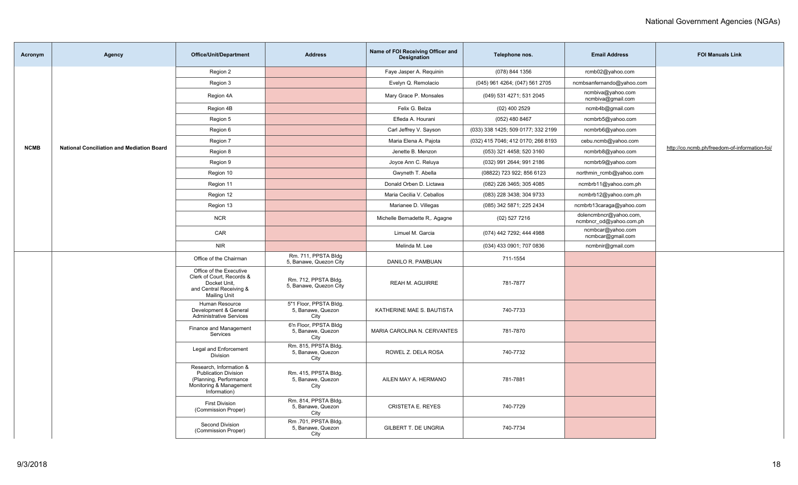| Acronym     | Agency                                           | <b>Office/Unit/Department</b>                                                                                               | <b>Address</b>                                      | Name of FOI Receiving Officer and<br><b>Designation</b> | Telephone nos.                     | <b>Email Address</b>                              | <b>FOI Manuals Link</b>                       |
|-------------|--------------------------------------------------|-----------------------------------------------------------------------------------------------------------------------------|-----------------------------------------------------|---------------------------------------------------------|------------------------------------|---------------------------------------------------|-----------------------------------------------|
|             |                                                  | Region 2                                                                                                                    |                                                     | Faye Jasper A. Requinin                                 | (078) 844 1356                     | rcmb02@yahoo.com                                  |                                               |
|             |                                                  | Region 3                                                                                                                    |                                                     | Evelyn Q. Remolacio                                     | (045) 961 4264; (047) 561 2705     | ncmbsanfernando@yahoo.com                         |                                               |
|             |                                                  | Region 4A                                                                                                                   |                                                     | Mary Grace P. Monsales                                  | (049) 531 4271; 531 2045           | ncmbiva@yahoo.com<br>ncmbiva@gmail.com            |                                               |
|             |                                                  | Region 4B                                                                                                                   |                                                     | Felix G. Belza                                          | $(02)$ 400 2529                    | ncmb4b@gmail.com                                  |                                               |
|             |                                                  | Region 5                                                                                                                    |                                                     | Efleda A. Hourani                                       | (052) 480 8467                     | ncmbrb5@yahoo.com                                 |                                               |
|             |                                                  | Region 6                                                                                                                    |                                                     | Carl Jeffrey V. Sayson                                  | (033) 338 1425; 509 0177; 332 2199 | ncmbrb6@yahoo.com                                 |                                               |
|             |                                                  | Region 7                                                                                                                    |                                                     | Maria Elena A. Pajota                                   | (032) 415 7046; 412 0170; 266 8193 | cebu.ncmb@yahoo.com                               |                                               |
| <b>NCMB</b> | <b>National Conciliation and Mediation Board</b> | Region 8                                                                                                                    |                                                     | Jenette B. Menzon                                       | (053) 321 4458; 520 3160           | ncmbrb8@yahoo.com                                 | http://co.ncmb.ph/freedom-of-information-foi/ |
|             |                                                  | Region 9                                                                                                                    |                                                     | Joyce Ann C. Reluya                                     | (032) 991 2644; 991 2186           | ncmbrb9@yahoo.com                                 |                                               |
|             |                                                  | Region 10                                                                                                                   |                                                     | Gwyneth T. Abella                                       | (08822) 723 922; 856 6123          | northmin rcmb@yahoo.com                           |                                               |
|             |                                                  | Region 11                                                                                                                   |                                                     | Donald Orben D. Lictawa                                 | (082) 226 3465; 305 4085           | ncmbrb11@yahoo.com.ph                             |                                               |
|             |                                                  | Region 12                                                                                                                   |                                                     | Maria Cecilia V. Ceballos                               | (083) 228 3438; 304 9733           | ncmbrb12@yahoo.com.ph                             |                                               |
|             |                                                  | Region 13                                                                                                                   |                                                     | Marianee D. Villegas                                    | (085) 342 5871; 225 2434           | ncmbrb13caraga@yahoo.com                          |                                               |
|             |                                                  | <b>NCR</b>                                                                                                                  |                                                     | Michelle Bernadette R,. Agagne                          | (02) 527 7216                      | dolencmbncr@yahoo.com,<br>ncmbncr od@yahoo.com.ph |                                               |
|             |                                                  | CAR                                                                                                                         |                                                     | Limuel M. Garcia                                        | (074) 442 7292; 444 4988           | ncmbcar@yahoo.com<br>ncmbcar@gmail.com            |                                               |
|             |                                                  | <b>NIR</b>                                                                                                                  |                                                     | Melinda M. Lee                                          | (034) 433 0901; 707 0836           | ncmbnir@gmail.com                                 |                                               |
|             |                                                  | Office of the Chairman                                                                                                      | Rm. 711, PPSTA Bldg<br>5, Banawe, Quezon City       | DANILO R. PAMBUAN                                       | 711-1554                           |                                                   |                                               |
|             |                                                  | Office of the Executive<br>Clerk of Court. Records &<br>Docket Unit.<br>and Central Receiving &<br><b>Mailing Unit</b>      | Rm. 712, PPSTA Bldg.<br>5, Banawe, Quezon City      | <b>REAH M. AGUIRRE</b>                                  | 781-7877                           |                                                   |                                               |
|             |                                                  | Human Resource<br>Development & General<br><b>Administrative Services</b>                                                   | 5"1 Floor, PPSTA Bldg.<br>5, Banawe, Quezon<br>City | KATHERINE MAE S. BAUTISTA                               | 740-7733                           |                                                   |                                               |
|             |                                                  | Finance and Management<br>Services                                                                                          | 6'n Floor, PPSTA Bldg<br>5, Banawe, Quezon<br>City  | MARIA CAROLINA N. CERVANTES                             | 781-7870                           |                                                   |                                               |
|             |                                                  | Legal and Enforcement<br>Division                                                                                           | Rm. 815, PPSTA Bldg.<br>5, Banawe, Quezon<br>City   | ROWEL Z. DELA ROSA                                      | 740-7732                           |                                                   |                                               |
|             |                                                  | Research, Information &<br><b>Publication Division</b><br>(Planning, Performance<br>Monitoring & Management<br>Information) | Rm. 415, PPSTA Bldg.<br>5, Banawe, Quezon<br>City   | AILEN MAY A. HERMANO                                    | 781-7881                           |                                                   |                                               |
|             |                                                  | <b>First Division</b><br>(Commission Proper)                                                                                | Rm. 814, PPSTA Bldg.<br>5, Banawe, Quezon<br>City   | <b>CRISTETA E. REYES</b>                                | 740-7729                           |                                                   |                                               |
|             |                                                  | Second Division<br>(Commission Proper)                                                                                      | Rm.701, PPSTA Bldg.<br>5, Banawe, Quezon<br>City    | GILBERT T. DE UNGRIA                                    | 740-7734                           |                                                   |                                               |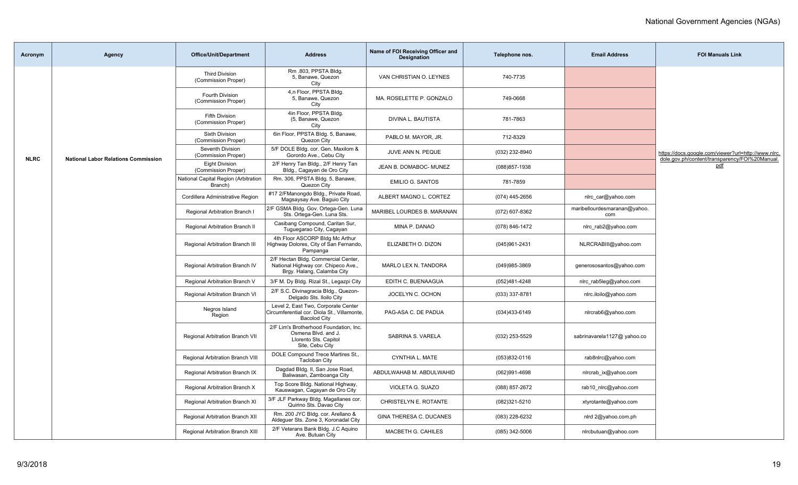| Acronym     | Agency                                     | <b>Office/Unit/Department</b>                   | <b>Address</b>                                                                                            | Name of FOI Receiving Officer and<br><b>Designation</b> | Telephone nos.    | <b>Email Address</b>                | <b>FOI Manuals Link</b>                                      |
|-------------|--------------------------------------------|-------------------------------------------------|-----------------------------------------------------------------------------------------------------------|---------------------------------------------------------|-------------------|-------------------------------------|--------------------------------------------------------------|
|             |                                            | <b>Third Division</b><br>(Commission Proper)    | Rm .803, PPSTA Bldg.<br>5, Banawe, Quezon<br>City                                                         | VAN CHRISTIAN O. LEYNES                                 | 740-7735          |                                     |                                                              |
|             |                                            | Fourth Division<br>(Commission Proper)          | 4,n Floor, PPSTA Bldg.<br>5, Banawe, Quezon<br>City                                                       | MA. ROSELETTE P. GONZALO                                | 749-0668          |                                     |                                                              |
|             |                                            | <b>Fifth Division</b><br>(Commission Proper)    | 4in Floor, PPSTA Bldg.<br>(5, Banawe, Quezon<br>City                                                      | DIVINA L. BAUTISTA                                      | 781-7863          |                                     |                                                              |
|             |                                            | <b>Sixth Division</b><br>(Commission Proper)    | 6in Floor, PPSTA Bldg. 5, Banawe,<br>Quezon City                                                          | PABLO M. MAYOR, JR.                                     | 712-8329          |                                     |                                                              |
| <b>NLRC</b> | <b>National Labor Relations Commission</b> | Seventh Division<br>(Commission Proper)         | 5/F DOLE Bldg. cor. Gen. Maxilom &<br>Gorordo Ave., Cebu City                                             | JUVE ANN N. PEQUE                                       | (032) 232-8940    |                                     | https://docs.google.com/viewer?url=http://www.nlrc.          |
|             |                                            | Eight Division<br>(Commission Proper)           | 2/F Henry Tan Bldg., 2/F Henry Tan<br>Bldg., Cagayan de Oro City                                          | JEAN B. DOMABOC- MUNEZ                                  | (088) 857-1938    |                                     | dole.gov.ph/content/transparency/FOI%20Manual.<br><u>pdf</u> |
|             |                                            | National Capital Region (Arbitration<br>Branch) | Rm. 306, PPSTA Bldg. 5, Banawe,<br>Quezon City                                                            | <b>EMILIO G. SANTOS</b>                                 | 781-7859          |                                     |                                                              |
|             |                                            | Cordillera Administrative Region                | #17 2/FManongdo Bldg., Private Road,<br>Magsaysay Ave. Baguio City                                        | ALBERT MAGNO L. CORTEZ                                  | (074) 445-2656    | nlrc_car@yahoo.com                  |                                                              |
|             |                                            | Regional Arbitration Branch I                   | 2/F GSMA Bldg. Gov. Ortega-Gen. Luna<br>Sts. Ortega-Gen. Luna Sts.                                        | MARIBEL LOURDES B. MARANAN                              | (072) 607-8362    | maribellourdesmaranan@yahoo.<br>com |                                                              |
|             |                                            | Regional Arbitration Branch II                  | Casibang Compound, Caritan Sur,<br>Tuguegarao City, Cagayan                                               | MINA P. DANAO                                           | (078) 846-1472    | nlrc_rab2@yahoo.com                 |                                                              |
|             |                                            | Regional Arbitration Branch III                 | 4th Floor ASCORP Bldg Mc Arthur<br>Highway Dolores, City of San Fernando,<br>Pampanga                     | ELIZABETH O. DIZON                                      | (045)961-2431     | NLRCRABIII@yahoo.com                |                                                              |
|             |                                            | Regional Arbitration Branch IV                  | 2/F Hectan Bldg. Commercial Center,<br>National Highway cor. Chipeco Ave.,<br>Brgy. Halang, Calamba City  | MARLO LEX N. TANDORA                                    | (049)985-3869     | generososantos@yahoo.com            |                                                              |
|             |                                            | Regional Arbitration Branch V                   | 3/F M. Dy Bldg. Rizal St., Legazpi City                                                                   | EDITH C. BUENAAGUA                                      | (052)481-4248     | nlrc rab5leg@yahoo.com              |                                                              |
|             |                                            | Regional Arbitration Branch VI                  | 2/F S.C. Divinagracia Bldg., Quezon-<br>Delgado Sts. Iloilo City                                          | JOCELYN C. OCHON                                        | $(033)$ 337-8781  | nlrc.iloilo@yahoo.com               |                                                              |
|             |                                            | Negros Island<br>Region                         | Level 2, East Two, Corporate Center<br>Circumferential cor. Diola St., Villamonte,<br><b>Bacolod City</b> | PAG-ASA C. DE PADUA                                     | (034)433-6149     | nlrcrab6@yahoo.com                  |                                                              |
|             |                                            | Regional Arbitration Branch VII                 | 2/F Lim's Brotherhood Foundation, Inc.<br>Osmena Blvd. and J.<br>Llorento Sts. Capitol<br>Site, Cebu City | SABRINA S. VARELA                                       | (032) 253-5529    | sabrinavarela1127@ yahoo.co         |                                                              |
|             |                                            | <b>Regional Arbitration Branch VIII</b>         | DOLE Compound Trece Martires St.,<br>Tacloban City                                                        | CYNTHIA L. MATE                                         | $(053)832 - 0116$ | rab8nlrc@yahoo.com                  |                                                              |
|             |                                            | Regional Arbitration Branch IX                  | Dagdad Bldg. II, San Jose Road,<br>Baliwasan, Zamboanga City                                              | ABDULWAHAB M. ABDULWAHID                                | (062)991-4698     | nlrcrab_ix@yahoo.com                |                                                              |
|             |                                            | Regional Arbitration Branch X                   | Top Score Bldg. National Highway,<br>Kauswagan, Cagayan de Oro City                                       | VIOLETA G. SUAZO                                        | (088) 857-2672    | rab10_nlrc@yahoo.com                |                                                              |
|             |                                            | Regional Arbitration Branch XI                  | 3/F JLF Parkway Bldg. Magallanes cor.<br>Quirino Sts. Davao City                                          | CHRISTELYN E. ROTANTE                                   | (082)321-5210     | xtyrotante@yahoo.com                |                                                              |
|             |                                            | Regional Arbitration Branch XII                 | Rm. 200 JYC Bldg. cor. Arellano &<br>Aldeguer Sts. Zone 3, Koronadal City                                 | GINA THERESA C. DUCANES                                 | (083) 228-6232    | nlrd 2@yahoo.com.ph                 |                                                              |
|             |                                            | Regional Arbitration Branch XIII                | 2/F Veterans Bank Bldg. J.C Aquino<br>Ave. Butuan City                                                    | MACBETH G. CAHILES                                      | $(085)$ 342-5006  | nlrcbutuan@yahoo.com                |                                                              |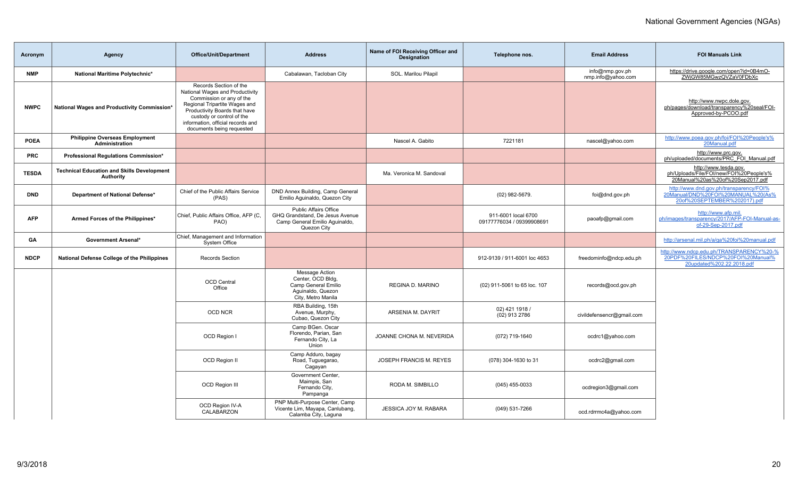| Acronym      | Agency                                                                | <b>Office/Unit/Department</b>                                                                                                                                                                                                                          | <b>Address</b>                                                                                                   | Name of FOI Receiving Officer and<br><b>Designation</b> | Telephone nos.                                   | <b>Email Address</b>                  | <b>FOI Manuals Link</b>                                                                                       |
|--------------|-----------------------------------------------------------------------|--------------------------------------------------------------------------------------------------------------------------------------------------------------------------------------------------------------------------------------------------------|------------------------------------------------------------------------------------------------------------------|---------------------------------------------------------|--------------------------------------------------|---------------------------------------|---------------------------------------------------------------------------------------------------------------|
| <b>NMP</b>   | National Maritime Polytechnic*                                        |                                                                                                                                                                                                                                                        | Cabalawan, Tacloban City                                                                                         | SOL. Marilou Pilapil                                    |                                                  | info@nmp.gov.ph<br>nmp.info@yahoo.com | https://drive.google.com/open?id=0B4mO-<br>ZWjGW85MGwzQVZaV0FDbXc                                             |
| <b>NWPC</b>  | National Wages and Productivity Commission*                           | Records Section of the<br>National Wages and Productivity<br>Commission or any of the<br>Regional Tripartite Wages and<br>Productivity Boards that have<br>custody or control of the<br>information, official records and<br>documents being requested |                                                                                                                  |                                                         |                                                  |                                       | http://www.nwpc.dole.gov.<br>ph/pages/download/transparency%20seal/FOI-<br>Approved-by-PCOO.pdf               |
| <b>POEA</b>  | <b>Philippine Overseas Employment</b><br><b>Administration</b>        |                                                                                                                                                                                                                                                        |                                                                                                                  | Nascel A. Gabito                                        | 7221181                                          | nascel@yahoo.com                      | http://www.poea.gov.ph/foi/FOI%20People's%<br>20Manual.pdf                                                    |
| <b>PRC</b>   | Professional Regulations Commission*                                  |                                                                                                                                                                                                                                                        |                                                                                                                  |                                                         |                                                  |                                       | http://www.prc.gov.<br>ph/uploaded/documents/PRC_FOI_Manual.pdf                                               |
| <b>TESDA</b> | <b>Technical Education and Skills Development</b><br><b>Authority</b> |                                                                                                                                                                                                                                                        |                                                                                                                  | Ma. Veronica M. Sandoval                                |                                                  |                                       | http://www.tesda.gov.<br>ph/Uploads/File/FOI/new/FOI%20People's%<br>20Manual%20as%20of%20Sep2017.pdf          |
| <b>DND</b>   | Department of National Defense*                                       | Chief of the Public Affairs Service<br>(PAS)                                                                                                                                                                                                           | DND Annex Building, Camp General<br>Emilio Aquinaldo, Quezon City                                                |                                                         | (02) 982-5679.                                   | foi@dnd.gov.ph                        | http://www.dnd.gov.ph/transparency/FOI%<br>20Manual/DND%20FOI%20MANUAL%20(As%<br>20of%20SEPTEMBER%202017).pdf |
| <b>AFP</b>   | Armed Forces of the Philippines*                                      | Chief, Public Affairs Office, AFP (C,<br>PAO)                                                                                                                                                                                                          | <b>Public Affairs Office</b><br>GHQ Grandstand, De Jesus Avenue<br>Camp General Emilio Aquinaldo,<br>Quezon City |                                                         | 911-6001 local 6700<br>09177776034 / 09399908691 | paoafp@gmail.com                      | http://www.afp.mil.<br>ph/images/transparency/2017/AFP-FOI-Manual-as-<br>of-29-Sep-2017.pdf                   |
| GА           | <b>Government Arsenal*</b>                                            | Chief, Management and Information<br>System Office                                                                                                                                                                                                     |                                                                                                                  |                                                         |                                                  |                                       | http://arsenal.mil.ph/a/ga%20foi%20manual.pdf                                                                 |
| <b>NDCP</b>  | National Defense College of the Philippines                           | Records Section                                                                                                                                                                                                                                        |                                                                                                                  |                                                         | 912-9139 / 911-6001 loc 4653                     | freedominfo@ndcp.edu.ph               | http://www.ndcp.edu.ph/TRANSPARENCY%20-%<br>20PDF%20FILES/NDCP%20FOI%20Manual%<br>20updated%202.22.2018.pdf   |
|              |                                                                       | <b>OCD Central</b><br>Office                                                                                                                                                                                                                           | <b>Message Action</b><br>Center, OCD Bldg,<br>Camp General Emilio<br>Aquinaldo, Quezon<br>City, Metro Manila     | <b>REGINA D. MARINO</b>                                 | (02) 911-5061 to 65 loc. 107                     | records@ocd.gov.ph                    |                                                                                                               |
|              |                                                                       | <b>OCD NCR</b>                                                                                                                                                                                                                                         | RBA Building, 15th<br>Avenue, Murphy,<br>Cubao, Quezon City                                                      | ARSENIA M. DAYRIT                                       | 02) 421 1918 /<br>(02) 913 2786                  | civildefensencr@gmail.com             |                                                                                                               |
|              |                                                                       | OCD Region I                                                                                                                                                                                                                                           | Camp BGen. Oscar<br>Florendo, Parian, San<br>Fernando City, La<br>Union                                          | JOANNE CHONA M. NEVERIDA                                | (072) 719-1640                                   | ocdrc1@yahoo.com                      |                                                                                                               |
|              |                                                                       | OCD Region II                                                                                                                                                                                                                                          | Camp Adduro, bagay<br>Road, Tuguegarao,<br>Cagayan                                                               | JOSEPH FRANCIS M. REYES                                 | (078) 304-1630 to 31                             | ocdrc2@gmail.com                      |                                                                                                               |
|              |                                                                       | <b>OCD Region III</b>                                                                                                                                                                                                                                  | Government Center,<br>Maimpis, San<br>Fernando City,<br>Pampanga                                                 | RODA M. SIMBILLO                                        | $(045)$ 455-0033                                 | ocdregion3@gmail.com                  |                                                                                                               |
|              |                                                                       | OCD Region IV-A<br>CALABARZON                                                                                                                                                                                                                          | PNP Multi-Purpose Center, Camp<br>Vicente Lim, Mayapa, Canlubang,<br>Calamba City, Laguna                        | JESSICA JOY M. RABARA                                   | (049) 531-7266                                   | ocd.rdrrmc4a@yahoo.com                |                                                                                                               |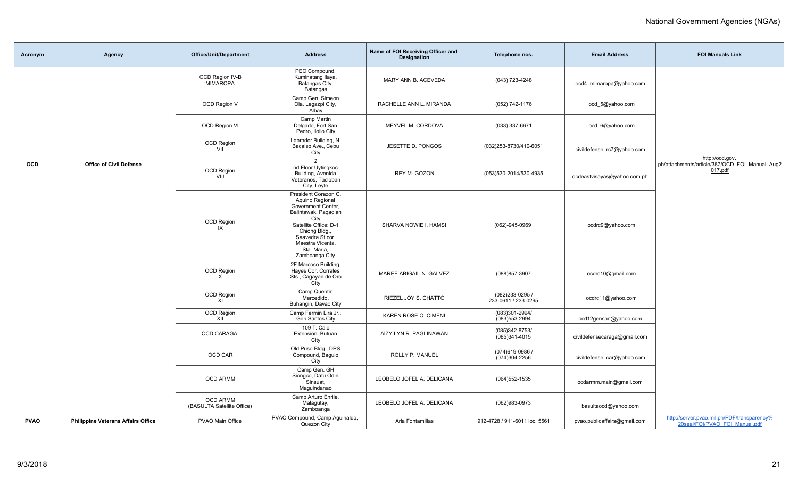| Acronym     | Agency                                    | <b>Office/Unit/Department</b>                 | <b>Address</b>                                                                                                  | Name of FOI Receiving Officer and<br><b>Designation</b> | Telephone nos.                         | <b>Email Address</b>         | <b>FOI Manuals Link</b>                                                       |
|-------------|-------------------------------------------|-----------------------------------------------|-----------------------------------------------------------------------------------------------------------------|---------------------------------------------------------|----------------------------------------|------------------------------|-------------------------------------------------------------------------------|
|             |                                           | OCD Region IV-B<br><b>MIMAROPA</b>            | PEO Compound,<br>Kuminatang Ilaya,<br>Batangas City,<br>Batangas                                                | MARY ANN B. ACEVEDA                                     | (043) 723-4248                         | ocd4 mimaropa@yahoo.com      |                                                                               |
|             |                                           | OCD Region V                                  | Camp Gen. Simeon<br>Ola, Legazpi City,<br>Albay                                                                 | RACHELLE ANN L. MIRANDA                                 | (052) 742-1176                         | ocd_5@yahoo.com              |                                                                               |
|             |                                           | OCD Region VI                                 | Camp Martin<br>Delgado, Fort San<br>Pedro, Iloilo City                                                          | MEYVEL M. CORDOVA                                       | (033) 337-6671                         | ocd_6@yahoo.com              |                                                                               |
|             |                                           | OCD Region<br>VII                             | Labrador Building, N.<br>Bacalso Ave., Cebu<br>City                                                             | JESETTE D. PONGOS                                       | (032)253-8730/410-6051                 | civildefense_rc7@yahoo.com   |                                                                               |
| OCD         | <b>Office of Civil Defense</b>            | <b>OCD Region</b><br>VIII                     | $\overline{2}$<br>nd Floor Uytingkoc<br>Building, Avenida<br>Veteranos, Tacloban<br>City, Leyte                 | REY M. GOZON                                            | (053)530-2014/530-4935                 | ocdeastvisayas@yahoo.com.ph  | http://ocd.gov.<br>ph/attachments/article/387/OCD_FOI_Manual_Aug2<br>017.pdf  |
|             |                                           |                                               | President Corazon C.<br>Aquino Regional<br>Government Center,<br>Balintawak, Pagadian<br>City                   |                                                         |                                        |                              |                                                                               |
|             |                                           | <b>OCD Region</b><br>IX                       | Satellite Office: D-1<br>Chiong Bldg.,<br>Saavedra St cor.<br>Maestra Vicenta,<br>Sta. Maria,<br>Zamboanga City | SHARVA NOWIE I. HAMSI                                   | (062)-945-0969                         | ocdrc9@yahoo.com             |                                                                               |
|             |                                           | OCD Region<br>$\times$                        | 2F Marcoso Building,<br>Hayes Cor. Corrales<br>Sts., Cagayan de Oro<br>City                                     | MAREE ABIGAIL N. GALVEZ                                 | (088) 857-3907                         | ocdrc10@gmail.com            |                                                                               |
|             |                                           | OCD Region<br>XI                              | Camp Quentin<br>Mercedido,<br>Buhangin, Davao City                                                              | RIEZEL JOY S. CHATTO                                    | (082)233-0295 /<br>233-0611 / 233-0295 | ocdrc11@yahoo.com            |                                                                               |
|             |                                           | OCD Region<br>XII                             | Camp Fermin Lira Jr.,<br>Gen Santos City                                                                        | KAREN ROSE O. CIMENI                                    | (083)301-2994/<br>(083) 553-2994       | ocd12gensan@yahoo.com        |                                                                               |
|             |                                           | OCD CARAGA                                    | 109 T. Calo<br>Extension, Butuan<br>City                                                                        | AIZY LYN R. PAGLINAWAN                                  | (085)342-8753/<br>(085)341-4015        | civildefensecaraga@gmail.com |                                                                               |
|             |                                           | OCD CAR                                       | Old Puso Bldg., DPS<br>Compound, Baguio<br>City                                                                 | ROLLY P. MANUEL                                         | (074) 619-0986<br>(074)304-2256        | civildefense car@yahoo.com   |                                                                               |
|             |                                           | <b>OCD ARMM</b>                               | Camp Gen. GH<br>Siongco, Datu Odin<br>Sinsuat,<br>Maguindanao                                                   | LEOBELO JOFEL A. DELICANA                               | $(064)552 - 1535$                      | ocdarmm.main@gmail.com       |                                                                               |
|             |                                           | <b>OCD ARMM</b><br>(BASULTA Satellite Office) | Camp Arturo Enrile,<br>Malagutay,<br>Zamboanga                                                                  | LEOBELO JOFEL A. DELICANA                               | (062)983-0973                          | basultaocd@yahoo.com         |                                                                               |
| <b>PVAO</b> | <b>Philippine Veterans Affairs Office</b> | PVAO Main Office                              | PVAO Compound, Camp Aguinaldo,<br>Quezon City                                                                   | Arla Fontamillas                                        | 912-4728 / 911-6011 loc. 5561          | pvao.publicaffairs@gmail.com | http://server.pvao.mil.ph/PDF/transparency%<br>20seal/FOI/PVAO FOI Manual.pdf |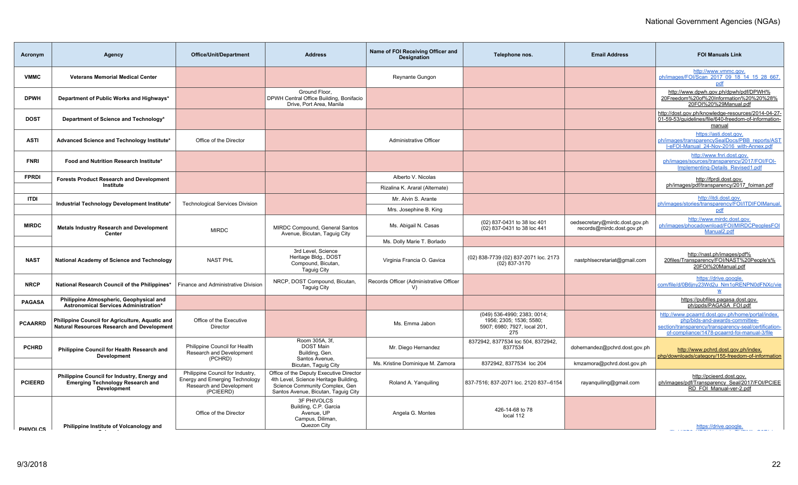| Agency                                                                                                       | <b>Office/Unit/Department</b>                                                                               | <b>Address</b>                                                                                                                                            | Name of FOI Receiving Officer and<br><b>Designation</b>                                   | Telephone nos.                                                                                | <b>Email Address</b>                                        | <b>FOI Manuals Link</b>                                                                                                                                                                      |
|--------------------------------------------------------------------------------------------------------------|-------------------------------------------------------------------------------------------------------------|-----------------------------------------------------------------------------------------------------------------------------------------------------------|-------------------------------------------------------------------------------------------|-----------------------------------------------------------------------------------------------|-------------------------------------------------------------|----------------------------------------------------------------------------------------------------------------------------------------------------------------------------------------------|
| <b>Veterans Memorial Medical Center</b>                                                                      |                                                                                                             |                                                                                                                                                           | <b>Reynante Gungon</b>                                                                    |                                                                                               |                                                             | http://www.vmmc.gov.<br>ph/images/FOI/Scan 2017 09 18 14 15 28 667<br>pdf                                                                                                                    |
| Department of Public Works and Highways*                                                                     |                                                                                                             | Ground Floor.<br>Drive, Port Area, Manila                                                                                                                 |                                                                                           |                                                                                               |                                                             | http://www.dpwh.gov.ph/dpwh/pdf/DPWH%<br>20Freedom%20of%20Information%20%20%28%<br>20FOI%20%29Manual.pdf                                                                                     |
| Department of Science and Technology*                                                                        |                                                                                                             |                                                                                                                                                           |                                                                                           |                                                                                               |                                                             | http://dost.gov.ph/knowledge-resources/2014-04-27-<br>01-59-53/quidelines/file/640-freedom-of-information-<br>manual                                                                         |
| Advanced Science and Technology Institute*                                                                   | Office of the Director                                                                                      |                                                                                                                                                           | Administrative Officer                                                                    |                                                                                               |                                                             | https://asti.dost.gov.<br>ph/images/transparencySealDocs/PBB_reports/AST<br>I-eFOI-Manual 24-Nov-2016 with-Annex.pdf                                                                         |
| Food and Nutrition Research Institute*                                                                       |                                                                                                             |                                                                                                                                                           |                                                                                           |                                                                                               |                                                             | http://www.fnri.dost.gov.<br>ph/images/sources/transparency/2017/FOI/FOI-<br>Implementing-Details Revised1.pdf                                                                               |
| <b>Forests Product Research and Development</b>                                                              |                                                                                                             |                                                                                                                                                           | Alberto V. Nicolas                                                                        |                                                                                               |                                                             | http://fprdi.dost.gov.                                                                                                                                                                       |
| Institute                                                                                                    |                                                                                                             |                                                                                                                                                           | Rizalina K. Araral (Alternate)                                                            |                                                                                               |                                                             | ph/images/pdf/transparency/2017 foiman.pdf                                                                                                                                                   |
|                                                                                                              |                                                                                                             |                                                                                                                                                           | Mr. Alvin S. Arante                                                                       |                                                                                               |                                                             | http://itdi.dost.gov.<br>ph/images/stories/transparency/FOI/ITDIFOIManual.                                                                                                                   |
|                                                                                                              |                                                                                                             |                                                                                                                                                           | Mrs. Josephine B. King                                                                    |                                                                                               |                                                             | pdf                                                                                                                                                                                          |
| <b>Metals Industry Research and Development</b><br>Center                                                    | <b>MIRDC</b>                                                                                                | MIRDC Compound, General Santos                                                                                                                            | Ms. Abigail N. Casas                                                                      | (02) 837-0431 to 38 loc 401<br>(02) 837-0431 to 38 loc 441                                    | oedsecretary@mirdc.dost.gov.ph<br>records@mirdc.dost.gov.ph | http://www.mirdc.dost.gov.<br>ph/images/phocadownload/FOI/MIRDCPeoplesFOI<br>Manual <sub>2.pdf</sub>                                                                                         |
|                                                                                                              |                                                                                                             |                                                                                                                                                           | Ms. Dolly Marie T. Borlado                                                                |                                                                                               |                                                             |                                                                                                                                                                                              |
| National Academy of Science and Technology                                                                   | <b>NAST PHL</b>                                                                                             | 3rd Level, Science<br>Heritage Bldg., DOST<br>Compound, Bicutan,<br>Taguig City                                                                           | Virginia Francia O. Gavica                                                                | (02) 838-7739 (02) 837-2071 loc. 2173<br>(02) 837-3170                                        | nastphlsecretariat@gmail.com                                | http://nast.ph/images/pdf%<br>20files/Transparency/FOI/NAST%20People's%<br>20FOI%20Manual.pdf                                                                                                |
| National Research Council of the Philippines*                                                                | Finance and Administrative Division                                                                         | NRCP, DOST Compound, Bicutan,<br><b>Taguig City</b>                                                                                                       | Records Officer (Administrative Officer<br>V                                              |                                                                                               |                                                             | https://drive.google.<br>com/file/d/0B6jny23Wd2u Nm1oRENPN0dFNXc/vie<br>$\underline{\mathsf{w}}$                                                                                             |
| Philippine Atmospheric, Geophysical and                                                                      |                                                                                                             |                                                                                                                                                           |                                                                                           |                                                                                               |                                                             | https://pubfiles.pagasa.dost.gov.<br>ph/ppds/PAGASA FOI.pdf                                                                                                                                  |
| Philippine Council for Agriculture, Aquatic and<br><b>Natural Resources Research and Development</b>         | Office of the Executive<br>Director                                                                         |                                                                                                                                                           | Ms. Emma Jabon                                                                            | (049) 536-4990; 2383; 0014;<br>1956; 2305; 1536; 5580;<br>5907; 6980; 7927, local 201,<br>275 |                                                             | http://www.pcaarrd.dost.gov.ph/home/portal/index.<br>php/bids-and-awards-committee-<br>section/transparency/transparency-seal/certification-<br>of-compliance/1478-pcaarrd-foi-manual-3/file |
| Philippine Council for Health Research and<br><b>Development</b>                                             | Philippine Council for Health<br>Research and Development                                                   | Room 305A, 3f,<br><b>DOST Main</b><br>Building, Gen.                                                                                                      | Mr. Diego Hernandez                                                                       | 8372942, 8377534 loc 504, 8372942,<br>8377534                                                 | dohernandez@pchrd.dost.gov.ph                               | http://www.pchrd.dost.gov.ph/index.<br>php/downloads/category/155-freedom-of-information                                                                                                     |
|                                                                                                              |                                                                                                             | Bicutan, Taguig City                                                                                                                                      | Ms. Kristine Dominique M. Zamora                                                          | 8372942, 8377534 loc 204                                                                      | kmzamora@pchrd.dost.gov.ph                                  |                                                                                                                                                                                              |
| Philippine Council for Industry, Energy and<br><b>Emerging Technology Research and</b><br><b>Development</b> | Philippine Council for Industry,<br>Energy and Emerging Technology<br>Research and Development<br>(PCIEERD) | Office of the Deputy Executive Director<br>4th Level, Science Heritage Building,<br>Science Community Complex, Gen<br>Santos Avenue, Bicutan, Taguig City | Roland A. Yanguiling                                                                      | 837-7516; 837-2071 loc. 2120 837--6154                                                        | rayanquiling@gmail.com                                      | http://pcieerd.dost.gov.<br>ph/images/pdf/Transparency Seal/2017/FOI/PCIEE<br>RD FOI Manual-ver-2.pdf                                                                                        |
| Philippine Institute of Volcanology and                                                                      | Office of the Director                                                                                      | <b>3F PHIVOLCS</b><br>Building, C.P. Garcia<br>Avenue, UP<br>Campus, Diliman,<br>Quezon City                                                              | Angela G. Montes                                                                          | 426-14-68 to 78<br>local 112                                                                  |                                                             | https://drive.google.                                                                                                                                                                        |
|                                                                                                              | Industrial Technology Development Institute*<br>Astronomical Services Administration*                       | <b>Technological Services Division</b><br>(PCHRD)                                                                                                         | DPWH Central Office Building, Bonifacio<br>Avenue, Bicutan, Taguig City<br>Santos Avenue, |                                                                                               |                                                             |                                                                                                                                                                                              |

**Seismology**

com/file/d/0B8AKPath/international/default/default/default/default/default/default/default/default/default/def<br>The complex of the complex of the complex of the complex of the complex of the complex of the complex of the c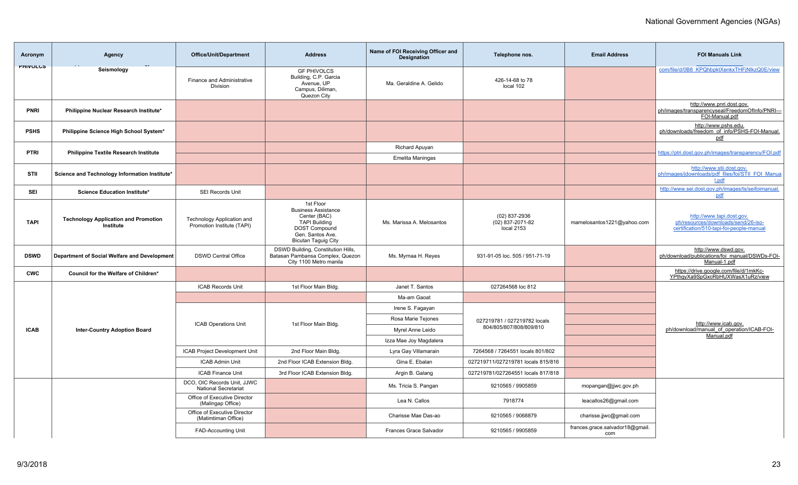| Acronym         | <b>Agency</b>                                            | <b>Office/Unit/Department</b>                              | <b>Address</b>                                                                                                                                            | Name of FOI Receiving Officer and<br><b>Designation</b> | Telephone nos.                                    | <b>Email Address</b>                   | <b>FOI Manuals Link</b>                                                                                      |
|-----------------|----------------------------------------------------------|------------------------------------------------------------|-----------------------------------------------------------------------------------------------------------------------------------------------------------|---------------------------------------------------------|---------------------------------------------------|----------------------------------------|--------------------------------------------------------------------------------------------------------------|
| <b>PHIVULUS</b> | Seismology                                               | Finance and Administrative<br>Division                     | <b>GF PHIVOLCS</b><br>Building, C.P. Garcia<br>Avenue, UP<br>Campus, Diliman,<br>Quezon City                                                              | Ma. Geraldine A. Gelido                                 | 426-14-68 to 78<br>local 102                      |                                        | com/file/d/0B8_KPQhbpktXenkxTHFjNlkzQ0E/view                                                                 |
| <b>PNRI</b>     | Philippine Nuclear Research Institute*                   |                                                            |                                                                                                                                                           |                                                         |                                                   |                                        | http://www.pnri.dost.gov.<br>ph/images/transparencyseal/FreedomOfInfo/PNRI---<br>FOI-Manual.pdf              |
| <b>PSHS</b>     | Philippine Science High School System*                   |                                                            |                                                                                                                                                           |                                                         |                                                   |                                        | http://www.pshs.edu.<br>ph/downloads/freedom_of_info/PSHS-FOI-Manual.<br>pdf                                 |
| <b>PTRI</b>     | <b>Philippine Textile Research Institute</b>             |                                                            |                                                                                                                                                           | Richard Apuyan                                          |                                                   |                                        | https://ptri.dost.gov.ph/images/transparency/FOI.pdf                                                         |
|                 |                                                          |                                                            |                                                                                                                                                           | <b>Emelita Maningas</b>                                 |                                                   |                                        |                                                                                                              |
| STII            | Science and Technology Information Institute*            |                                                            |                                                                                                                                                           |                                                         |                                                   |                                        | http://www.stii.dost.gov.<br>ph/images/jdownloads/pdf files/foi/STII FOI Manua<br>l.pdf                      |
| SEI             | Science Education Institute*                             | SEI Records Unit                                           |                                                                                                                                                           |                                                         |                                                   |                                        | http://www.sei.dost.gov.ph/images/ts/seifoimanual.<br>pdf                                                    |
| <b>TAPI</b>     | <b>Technology Application and Promotion</b><br>Institute | Technology Application and<br>Promotion Institute (TAPI)   | 1st Floor<br><b>Business Assistance</b><br>Center (BAC)<br><b>TAPI Building</b><br><b>DOST Compound</b><br>Gen. Santos Ave.<br><b>Bicutan Taguig City</b> | Ms. Marissa A. Melosantos                               | $(02)$ 837-2936<br>(02) 837-2071-82<br>local 2153 | mamelosantos1221@yahoo.com             | http://www.tapi.dost.gov.<br>ph/resources/downloads/send/26-iso-<br>certification/510-tapi-foi-people-manual |
| <b>DSWD</b>     | Department of Social Welfare and Development             | <b>DSWD Central Office</b>                                 | DSWD Building, Constitution Hills,<br>Batasan Pambansa Complex, Quezon<br>City 1100 Metro manila                                                          | Ms. Myrnaa H. Reyes                                     | 931-91-05 loc. 505 / 951-71-19                    |                                        | http://www.dswd.gov.<br>ph/download/publications/foi_manual/DSWDs-FOI-<br>Manual-1.pdf                       |
| <b>CWC</b>      | Council for the Welfare of Children*                     |                                                            |                                                                                                                                                           |                                                         |                                                   |                                        | https://drive.google.com/file/d/1mkKc-<br>YPthgyXa9SpGxcRbHUXWasX1uRz/view                                   |
|                 |                                                          | <b>ICAB Records Unit</b>                                   | 1st Floor Main Bldg.                                                                                                                                      | Janet T. Santos                                         | 027264568 loc 812                                 |                                        |                                                                                                              |
|                 |                                                          |                                                            |                                                                                                                                                           | Ma-am Gaoat                                             |                                                   |                                        |                                                                                                              |
|                 |                                                          |                                                            |                                                                                                                                                           | Irene S. Fagayan                                        |                                                   |                                        |                                                                                                              |
|                 |                                                          | <b>ICAB Operations Unit</b>                                | 1st Floor Main Bldg.                                                                                                                                      | Rosa Marie Tejones                                      | 027219781 / 027219782 locals                      |                                        | http://www.icab.gov.                                                                                         |
| <b>ICAB</b>     | <b>Inter-Country Adoption Board</b>                      |                                                            |                                                                                                                                                           | Myrel Anne Leido                                        | 804/805/807/808/809/810                           |                                        | ph/download/manual of operation/ICAB-FOI-<br>Manual.pdf                                                      |
|                 |                                                          |                                                            |                                                                                                                                                           | Izza Mae Joy Magdalera                                  |                                                   |                                        |                                                                                                              |
|                 |                                                          | ICAB Project Development Unit                              | 2nd Floor Main Bldg.                                                                                                                                      | Lyra Gay Villamarain                                    | 7264568 / 7264551 locals 801/802                  |                                        |                                                                                                              |
|                 |                                                          | <b>ICAB Admin Unit</b>                                     | 2nd Floor ICAB Extension Bldg.                                                                                                                            | Gina E. Ebalan                                          | 027219711/027219781 locals 815/816                |                                        |                                                                                                              |
|                 |                                                          | <b>ICAB Finance Unit</b>                                   | 3rd Floor ICAB Extension Bldg.                                                                                                                            | Argin B. Galang                                         | 027219781/027264551 locals 817/818                |                                        |                                                                                                              |
|                 |                                                          | DCO, OIC Records Unit, JJWC<br><b>National Secretariat</b> |                                                                                                                                                           | Ms. Tricia S. Pangan                                    | 9210565 / 9905859                                 | mopangan@jjwc.gov.ph                   |                                                                                                              |
|                 |                                                          | Office of Executive Director<br>(Malingap Office)          |                                                                                                                                                           | Lea N. Callos                                           | 7918774                                           | leacallos26@gmail.com                  |                                                                                                              |
|                 |                                                          | Office of Executive Director<br>(Matimtiman Office)        |                                                                                                                                                           | Charisse Mae Das-ao                                     | 9210565 / 9068879                                 | charisse.jjwc@gmail.com                |                                                                                                              |
|                 |                                                          | <b>FAD-Accounting Unit</b>                                 |                                                                                                                                                           | Frances Grace Salvador                                  | 9210565 / 9905859                                 | frances.grace.salvador18@gmail.<br>com |                                                                                                              |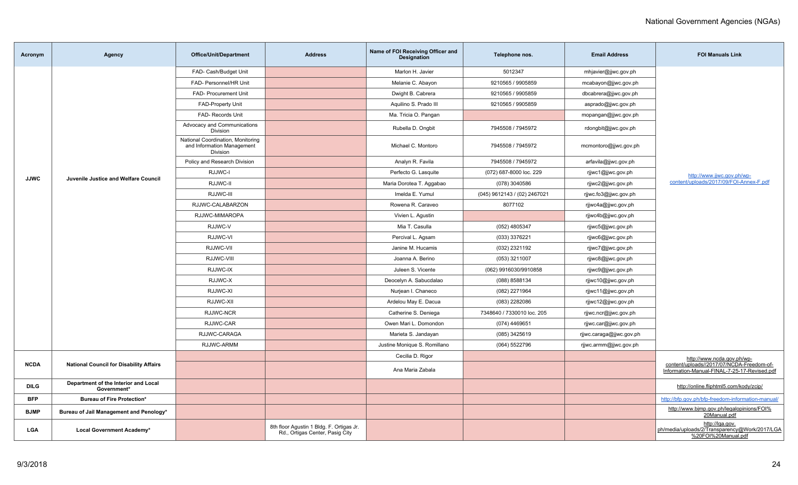| Acronym     | Agency                                              | Office/Unit/Department                                                      | <b>Address</b>                                                              | Name of FOI Receiving Officer and<br><b>Designation</b> | Telephone nos.               | <b>Email Address</b>     | <b>FOI Manuals Link</b>                                                                   |
|-------------|-----------------------------------------------------|-----------------------------------------------------------------------------|-----------------------------------------------------------------------------|---------------------------------------------------------|------------------------------|--------------------------|-------------------------------------------------------------------------------------------|
|             |                                                     | FAD- Cash/Budget Unit                                                       |                                                                             | Marlon H. Javier                                        | 5012347                      | mhjavier@jjwc.gov.ph     |                                                                                           |
|             |                                                     | FAD- Personnel/HR Unit                                                      |                                                                             | Melanie C. Abayon                                       | 9210565 / 9905859            | mcabayon@jjwc.gov.ph     |                                                                                           |
|             |                                                     | FAD- Procurement Unit                                                       |                                                                             | Dwight B. Cabrera                                       | 9210565 / 9905859            | dbcabrera@jjwc.gov.ph    |                                                                                           |
|             |                                                     | <b>FAD-Property Unit</b>                                                    |                                                                             | Aquilino S. Prado III                                   | 9210565 / 9905859            | asprado@jjwc.gov.ph      |                                                                                           |
|             |                                                     | FAD- Records Unit                                                           |                                                                             | Ma. Tricia O. Pangan                                    |                              | mopangan@jjwc.gov.ph     |                                                                                           |
|             |                                                     | Advocacy and Communications<br>Division                                     |                                                                             | Rubella D. Ongbit                                       | 7945508 / 7945972            | rdongbit@jjwc.gov.ph     |                                                                                           |
|             |                                                     | National Coordination, Monitoring<br>and Information Management<br>Division |                                                                             | Michael C. Montoro                                      | 7945508 / 7945972            | mcmontoro@jjwc.gov.ph    |                                                                                           |
|             |                                                     | Policy and Research Division                                                |                                                                             | Analyn R. Favila                                        | 7945508 / 7945972            | arfavila@jjwc.gov.ph     |                                                                                           |
| <b>JJWC</b> | Juvenile Justice and Welfare Council                | RJJWC-I                                                                     |                                                                             | Perfecto G. Lasquite                                    | (072) 687-8000 loc. 229      | rjjwc1@jjwc.gov.ph       | http://www.jjwc.gov.ph/wp-                                                                |
|             |                                                     | RJJWC-II                                                                    |                                                                             | Maria Dorotea T. Aggabao                                | (078) 3040586                | rjjwc2@jjwc.gov.ph       | content/uploads/2017/09/FOI-Annex-F.pdf                                                   |
|             |                                                     | RJJWC-III                                                                   |                                                                             | Imelda E. Yumul                                         | (045) 9612143 / (02) 2467021 | rjjwc.fo3@jjwc.gov.ph    |                                                                                           |
|             |                                                     | RJJWC-CALABARZON                                                            |                                                                             | Rowena R. Caraveo                                       | 8077102                      | rijwc4a@jjwc.gov.ph      |                                                                                           |
|             |                                                     | RJJWC-MIMAROPA                                                              |                                                                             | Vivien L. Agustin                                       |                              | rjjwc4b@jjwc.gov.ph      |                                                                                           |
|             |                                                     | RJJWC-V                                                                     |                                                                             | Mia T. Casulla                                          | (052) 4805347                | rjjwc5@jjwc.gov.ph       |                                                                                           |
|             |                                                     | RJJWC-VI                                                                    |                                                                             | Percival L. Agsam                                       | (033) 3376221                | rjjwc6@jjwc.gov.ph       |                                                                                           |
|             |                                                     | RJJWC-VII                                                                   |                                                                             | Janine M. Hucamis                                       | (032) 2321192                | rjjwc7@jjwc.gov.ph       |                                                                                           |
|             |                                                     | RJJWC-VIII                                                                  |                                                                             | Joanna A. Berino                                        | (053) 3211007                | rjjwc8@jjwc.gov.ph       |                                                                                           |
|             |                                                     | RJJWC-IX                                                                    |                                                                             | Juleen S. Vicente                                       | (062) 9916030/9910858        | rjjwc9@jjwc.gov.ph       |                                                                                           |
|             |                                                     | RJJWC-X                                                                     |                                                                             | Deocelyn A. Sabucdalao                                  | (088) 8588134                | rjjwc10@jjwc.gov.ph      |                                                                                           |
|             |                                                     | RJJWC-XI                                                                    |                                                                             | Nurjean I. Chaneco                                      | (082) 2271964                | rjjwc11@jjwc.gov.ph      |                                                                                           |
|             |                                                     | RJJWC-XII                                                                   |                                                                             | Ardelou May E. Dacua                                    | (083) 2282086                | rjjwc12@jjwc.gov.ph      |                                                                                           |
|             |                                                     | RJJWC-NCR                                                                   |                                                                             | Catherine S. Deniega                                    | 7348640 / 7330010 loc. 205   | rjjwc.ncr@jjwc.gov.ph    |                                                                                           |
|             |                                                     | RJJWC-CAR                                                                   |                                                                             | Owen Mari L. Domondon                                   | (074) 4469651                | rjjwc.car@jjwc.gov.ph    |                                                                                           |
|             |                                                     | RJJWC-CARAGA                                                                |                                                                             | Marieta S. Jandayan                                     | (085) 3425619                | rjjwc.caraga@jjwc.gov.ph |                                                                                           |
|             |                                                     | RJJWC-ARMM                                                                  |                                                                             | Justine Monique S. Romillano                            | (064) 5522796                | rjiwc.armm@jjwc.gov.ph   |                                                                                           |
|             |                                                     |                                                                             |                                                                             | Cecilia D. Rigor                                        |                              |                          | http://www.ncda.gov.ph/wp-                                                                |
| <b>NCDA</b> | <b>National Council for Disability Affairs</b>      |                                                                             |                                                                             | Ana Maria Zabala                                        |                              |                          | content/uploads//2017/07/NCDA-Freedom-of-<br>Information-Manual-FINAL-7-25-17-Revised.pdf |
| <b>DILG</b> | Department of the Interior and Local<br>Government* |                                                                             |                                                                             |                                                         |                              |                          | http://online.fliphtml5.com/kody/zcip/                                                    |
| BFP         | <b>Bureau of Fire Protection*</b>                   |                                                                             |                                                                             |                                                         |                              |                          | http://bfp.gov.ph/bfp-freedom-information-manual/                                         |
| <b>BJMP</b> | Bureau of Jail Management and Penology*             |                                                                             |                                                                             |                                                         |                              |                          | http://www.bjmp.gov.ph/legalopinions/FOI%<br>20Manual.pdf                                 |
| <b>LGA</b>  | Local Government Academy*                           |                                                                             | 8th floor Agustin 1 Bldg. F. Ortigas Jr.<br>Rd., Ortigas Center, Pasig City |                                                         |                              |                          | http://lqa.gov.<br>ph/media/uploads/2/Transparency@Work/2017/LGA<br>%20FOI%20Manual.pdf   |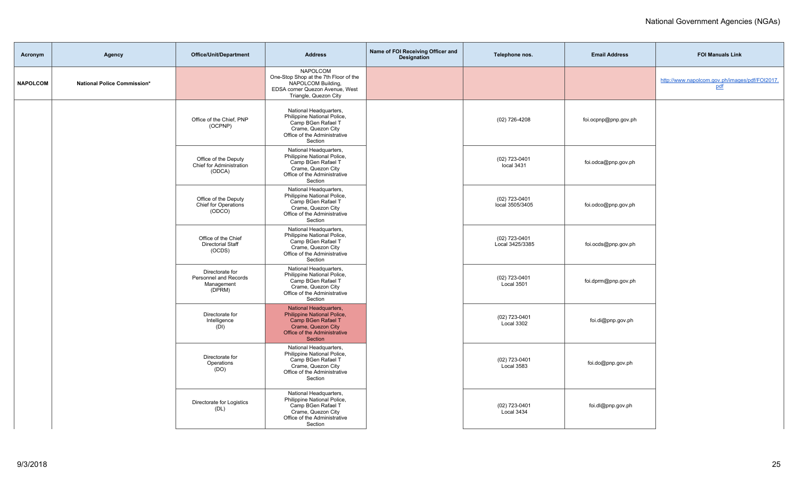| Acronym         | Agency                      | Office/Unit/Department                                           | <b>Address</b>                                                                                                                               | Name of FOI Receiving Officer and<br><b>Designation</b> | Telephone nos.                   | <b>Email Address</b> | <b>FOI Manuals Link</b>                               |
|-----------------|-----------------------------|------------------------------------------------------------------|----------------------------------------------------------------------------------------------------------------------------------------------|---------------------------------------------------------|----------------------------------|----------------------|-------------------------------------------------------|
| <b>NAPOLCOM</b> | National Police Commission* |                                                                  | <b>NAPOLCOM</b><br>One-Stop Shop at the 7th Floor of the<br>NAPOLCOM Building,<br>EDSA corner Quezon Avenue, West<br>Triangle, Quezon City   |                                                         |                                  |                      | http://www.napolcom.gov.ph/images/pdf/FOI2017.<br>pdf |
|                 |                             | Office of the Chief, PNP<br>(OCPNP)                              | National Headquarters,<br>Philippine National Police,<br>Camp BGen Rafael T<br>Crame, Quezon City<br>Office of the Administrative<br>Section |                                                         | (02) 726-4208                    | foi.ocpnp@pnp.gov.ph |                                                       |
|                 |                             | Office of the Deputy<br>Chief for Administration<br>(ODCA)       | National Headquarters,<br>Philippine National Police,<br>Camp BGen Rafael T<br>Crame, Quezon City<br>Office of the Administrative<br>Section |                                                         | $(02)$ 723-0401<br>local 3431    | foi.odca@pnp.gov.ph  |                                                       |
|                 |                             | Office of the Deputy<br>Chief for Operations<br>(ODCO)           | National Headquarters,<br>Philippine National Police,<br>Camp BGen Rafael T<br>Crame, Quezon City<br>Office of the Administrative<br>Section |                                                         | (02) 723-0401<br>local 3505/3405 | foi.odco@pnp.gov.ph  |                                                       |
|                 |                             | Office of the Chief<br><b>Directorial Staff</b><br>(OCDS)        | National Headquarters,<br>Philippine National Police,<br>Camp BGen Rafael T<br>Crame, Quezon City<br>Office of the Administrative<br>Section |                                                         | (02) 723-0401<br>Local 3425/3385 | foi.ocds@pnp.gov.ph  |                                                       |
|                 |                             | Directorate for<br>Personnel and Records<br>Management<br>(DPRM) | National Headquarters,<br>Philippine National Police,<br>Camp BGen Rafael T<br>Crame, Quezon City<br>Office of the Administrative<br>Section |                                                         | (02) 723-0401<br>Local 3501      | foi.dprm@pnp.gov.ph  |                                                       |
|                 |                             | Directorate for<br>Intelligence<br>(DI)                          | National Headquarters,<br>Philippine National Police,<br>Camp BGen Rafael T<br>Crame, Quezon City<br>Office of the Administrative<br>Section |                                                         | (02) 723-0401<br>Local 3302      | foi.di@pnp.gov.ph    |                                                       |
|                 |                             | Directorate for<br>Operations<br>(DO)                            | National Headquarters,<br>Philippine National Police,<br>Camp BGen Rafael T<br>Crame, Quezon City<br>Office of the Administrative<br>Section |                                                         | (02) 723-0401<br>Local 3583      | foi.do@pnp.gov.ph    |                                                       |
|                 |                             | Directorate for Logistics<br>(DL)                                | National Headquarters,<br>Philippine National Police,<br>Camp BGen Rafael T<br>Crame, Quezon City<br>Office of the Administrative<br>Section |                                                         | (02) 723-0401<br>Local 3434      | foi.dl@pnp.gov.ph    |                                                       |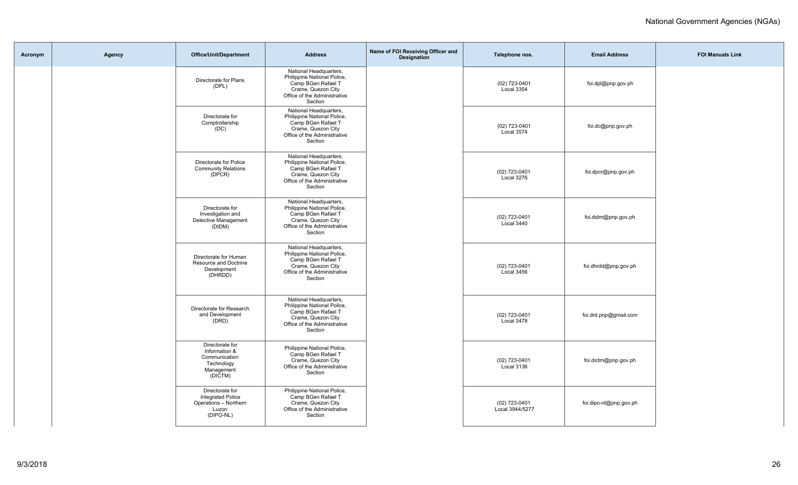| Acronym | Agency | Office/Unit/Department                                                                     | <b>Address</b>                                                                                                                               | Name of FOI Receiving Officer and<br>Designation | Telephone nos.                   | <b>Email Address</b>   | <b>FOI Manuals Link</b> |
|---------|--------|--------------------------------------------------------------------------------------------|----------------------------------------------------------------------------------------------------------------------------------------------|--------------------------------------------------|----------------------------------|------------------------|-------------------------|
|         |        | Directorate for Plans<br>(DPL)                                                             | National Headquarters,<br>Philippine National Police,<br>Camp BGen Rafael T<br>Crame, Quezon City<br>Office of the Administrative<br>Section |                                                  | (02) 723-0401<br>Local 3354      | foi.dpl@pnp.gov.ph     |                         |
|         |        | Directorate for<br>Comptrollership<br>(DC)                                                 | National Headquarters,<br>Philippine National Police,<br>Camp BGen Rafael T<br>Crame, Quezon City<br>Office of the Administrative<br>Section |                                                  | (02) 723-0401<br>Local 3574      | foi.dc@pnp.gov.ph      |                         |
|         |        | Directorate for Police<br><b>Community Relations</b><br>(DPCR)                             | National Headquarters,<br>Philippine National Police,<br>Camp BGen Rafael T<br>Crame, Quezon City<br>Office of the Administrative<br>Section |                                                  | (02) 723-0401<br>Local 3276      | foi.dpcr@pnp.gov.ph    |                         |
|         |        | Directorate for<br>Investigation and<br>Detective Management<br>(DIDM)                     | National Headquarters,<br>Philippine National Police,<br>Camp BGen Rafael T<br>Crame, Quezon City<br>Office of the Administrative<br>Section |                                                  | (02) 723-0401<br>Local 3440      | foi.didm@pnp.gov.ph    |                         |
|         |        | Directorate for Human<br>Resource and Doctrine<br>Development<br>(DHRDD)                   | National Headquarters,<br>Philippine National Police,<br>Camp BGen Rafael T<br>Crame, Quezon City<br>Office of the Administrative<br>Section |                                                  | (02) 723-0401<br>Local 3456      | foi.dhrdd@pnp.gov.ph   |                         |
|         |        | Directorate for Research<br>and Development<br>(DRD)                                       | National Headquarters,<br>Philippine National Police,<br>Camp BGen Rafael T<br>Crame, Quezon City<br>Office of the Administrative<br>Section |                                                  | (02) 723-0401<br>Local 3478      | foi.drd.pnp@gmail.com  |                         |
|         |        | Directorate for<br>Information &<br>Communication<br>Technology<br>Management<br>(DICTM)   | Philippine National Police,<br>Camp BGen Rafael T<br>Crame, Quezon City<br>Office of the Administrative<br>Section                           |                                                  | (02) 723-0401<br>Local 3136      | foi.dictm@pnp.gov.ph   |                         |
|         |        | Directorate for<br><b>Integrated Police</b><br>Operations - Northern<br>Luzon<br>(DIPO-NL) | Philippine National Police,<br>Camp BGen Rafael T<br>Crame, Quezon City<br>Office of the Administrative<br>Section                           |                                                  | (02) 723-0401<br>Local 3944/5277 | foi.dipo-nl@pnp.gov.ph |                         |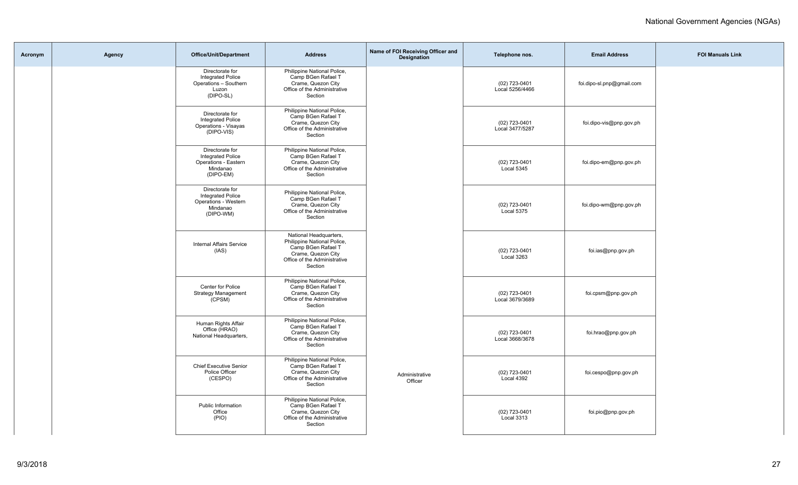| Acronym | Agency | <b>Office/Unit/Department</b>                                                                | <b>Address</b>                                                                                                                               | Name of FOI Receiving Officer and<br><b>Designation</b> | Telephone nos.                     | <b>Email Address</b>      | <b>FOI Manuals Link</b> |
|---------|--------|----------------------------------------------------------------------------------------------|----------------------------------------------------------------------------------------------------------------------------------------------|---------------------------------------------------------|------------------------------------|---------------------------|-------------------------|
|         |        | Directorate for<br><b>Integrated Police</b><br>Operations - Southern<br>Luzon<br>(DIPO-SL)   | Philippine National Police,<br>Camp BGen Rafael T<br>Crame, Quezon City<br>Office of the Administrative<br>Section                           |                                                         | (02) 723-0401<br>Local 5256/4466   | foi.dipo-sl.pnp@gmail.com |                         |
|         |        | Directorate for<br><b>Integrated Police</b><br>Operations - Visayas<br>(DIPO-VIS)            | Philippine National Police,<br>Camp BGen Rafael T<br>Crame, Quezon City<br>Office of the Administrative<br>Section                           |                                                         | (02) 723-0401<br>Local 3477/5287   | foi.dipo-vis@pnp.gov.ph   |                         |
|         |        | Directorate for<br><b>Integrated Police</b><br>Operations - Eastern<br>Mindanao<br>(DIPO-EM) | Philippine National Police,<br>Camp BGen Rafael T<br>Crame, Quezon City<br>Office of the Administrative<br>Section                           |                                                         | (02) 723-0401<br>Local 5345        | foi.dipo-em@pnp.gov.ph    |                         |
|         |        | Directorate for<br><b>Integrated Police</b><br>Operations - Western<br>Mindanao<br>(DIPO-WM) | Philippine National Police,<br>Camp BGen Rafael T<br>Crame, Quezon City<br>Office of the Administrative<br>Section                           |                                                         | (02) 723-0401<br>Local 5375        | foi.dipo-wm@pnp.gov.ph    |                         |
|         |        | <b>Internal Affairs Service</b><br>(IAS)                                                     | National Headquarters,<br>Philippine National Police,<br>Camp BGen Rafael T<br>Crame, Quezon City<br>Office of the Administrative<br>Section |                                                         | (02) 723-0401<br>Local 3263        | foi.ias@pnp.gov.ph        |                         |
|         |        | Center for Police<br><b>Strategy Management</b><br>(CPSM)                                    | Philippine National Police,<br>Camp BGen Rafael T<br>Crame, Quezon City<br>Office of the Administrative<br>Section                           |                                                         | (02) 723-0401<br>Local 3679/3689   | foi.cpsm@pnp.gov.ph       |                         |
|         |        | Human Rights Affair<br>Office (HRAO)<br>National Headquarters,                               | Philippine National Police,<br>Camp BGen Rafael T<br>Crame, Quezon City<br>Office of the Administrative<br>Section                           |                                                         | (02) 723-0401<br>Local 3668/3678   | foi.hrao@pnp.gov.ph       |                         |
|         |        | <b>Chief Executive Senior</b><br>Police Officer<br>(CESPO)                                   | Philippine National Police,<br>Camp BGen Rafael T<br>Crame, Quezon City<br>Office of the Administrative<br>Section                           | Administrative<br>Officer                               | (02) 723-0401<br>Local 4392        | foi.cespo@pnp.gov.ph      |                         |
|         |        | Public Information<br>Office<br>(PIO)                                                        | Philippine National Police,<br>Camp BGen Rafael T<br>Crame, Quezon City<br>Office of the Administrative<br>Section                           |                                                         | (02) 723-0401<br><b>Local 3313</b> | foi.pio@pnp.gov.ph        |                         |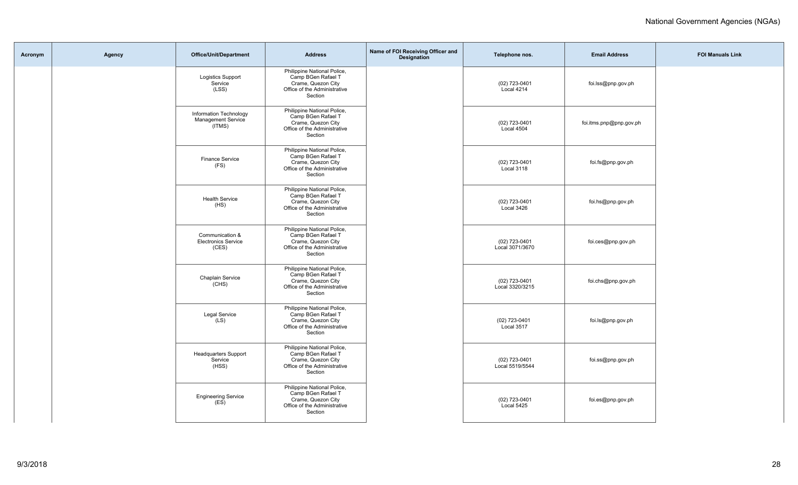| Acronym | Agency | Office/Unit/Department                                        | <b>Address</b>                                                                                                     | Name of FOI Receiving Officer and<br>Designation | Telephone nos.                   | <b>Email Address</b>    | <b>FOI Manuals Link</b> |
|---------|--------|---------------------------------------------------------------|--------------------------------------------------------------------------------------------------------------------|--------------------------------------------------|----------------------------------|-------------------------|-------------------------|
|         |        | <b>Logistics Support</b><br>Service<br>(LSS)                  | Philippine National Police,<br>Camp BGen Rafael T<br>Crame, Quezon City<br>Office of the Administrative<br>Section |                                                  | (02) 723-0401<br>Local 4214      | foi.lss@pnp.gov.ph      |                         |
|         |        | Information Technology<br><b>Management Service</b><br>(ITMS) | Philippine National Police,<br>Camp BGen Rafael T<br>Crame, Quezon City<br>Office of the Administrative<br>Section |                                                  | (02) 723-0401<br>Local 4504      | foi.itms.pnp@pnp.gov.ph |                         |
|         |        | <b>Finance Service</b><br>(FS)                                | Philippine National Police,<br>Camp BGen Rafael T<br>Crame, Quezon City<br>Office of the Administrative<br>Section |                                                  | (02) 723-0401<br>Local 3118      | foi.fs@pnp.gov.ph       |                         |
|         |        | <b>Health Service</b><br>(HS)                                 | Philippine National Police,<br>Camp BGen Rafael T<br>Crame, Quezon City<br>Office of the Administrative<br>Section |                                                  | (02) 723-0401<br>Local 3426      | foi.hs@pnp.gov.ph       |                         |
|         |        | Communication &<br><b>Electronics Service</b><br>(CES)        | Philippine National Police,<br>Camp BGen Rafael T<br>Crame, Quezon City<br>Office of the Administrative<br>Section |                                                  | (02) 723-0401<br>Local 3071/3670 | foi.ces@pnp.gov.ph      |                         |
|         |        | Chaplain Service<br>(CHS)                                     | Philippine National Police,<br>Camp BGen Rafael T<br>Crame, Quezon City<br>Office of the Administrative<br>Section |                                                  | (02) 723-0401<br>Local 3320/3215 | foi.chs@pnp.gov.ph      |                         |
|         |        | <b>Legal Service</b><br>(LS)                                  | Philippine National Police,<br>Camp BGen Rafael T<br>Crame, Quezon City<br>Office of the Administrative<br>Section |                                                  | $(02)$ 723-0401<br>Local 3517    | foi.ls@pnp.gov.ph       |                         |
|         |        | <b>Headquarters Support</b><br>Service<br>(HSS)               | Philippine National Police,<br>Camp BGen Rafael T<br>Crame, Quezon City<br>Office of the Administrative<br>Section |                                                  | (02) 723-0401<br>Local 5519/5544 | foi.ss@pnp.gov.ph       |                         |
|         |        | <b>Engineering Service</b><br>(ES)                            | Philippine National Police,<br>Camp BGen Rafael T<br>Crame, Quezon City<br>Office of the Administrative<br>Section |                                                  | (02) 723-0401<br>Local 5425      | foi.es@pnp.gov.ph       |                         |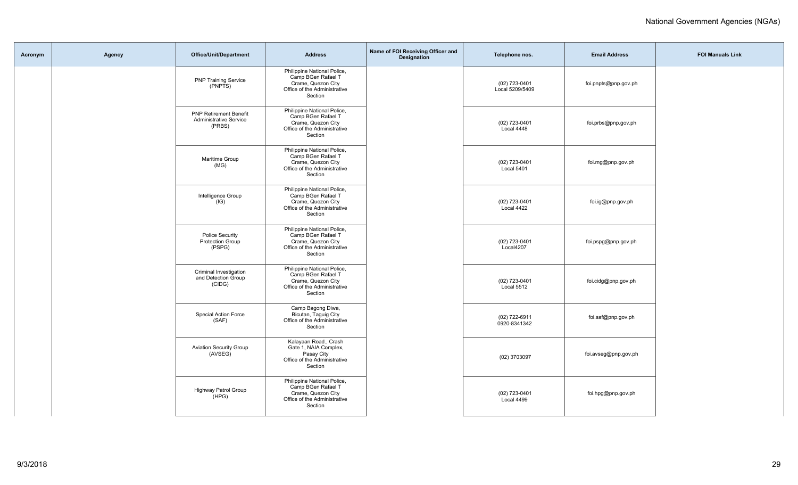| Acronym | Agency | <b>Office/Unit/Department</b>                                            | <b>Address</b>                                                                                                     | Name of FOI Receiving Officer and<br>Designation | Telephone nos.                   | <b>Email Address</b> | <b>FOI Manuals Link</b> |
|---------|--------|--------------------------------------------------------------------------|--------------------------------------------------------------------------------------------------------------------|--------------------------------------------------|----------------------------------|----------------------|-------------------------|
|         |        | <b>PNP Training Service</b><br>(PNPTS)                                   | Philippine National Police,<br>Camp BGen Rafael T<br>Crame, Quezon City<br>Office of the Administrative<br>Section |                                                  | (02) 723-0401<br>Local 5209/5409 | foi.pnpts@pnp.gov.ph |                         |
|         |        | <b>PNP Retirement Benefit</b><br><b>Administrative Service</b><br>(PRBS) | Philippine National Police,<br>Camp BGen Rafael T<br>Crame, Quezon City<br>Office of the Administrative<br>Section |                                                  | (02) 723-0401<br>Local 4448      | foi.prbs@pnp.gov.ph  |                         |
|         |        | Maritime Group<br>(MG)                                                   | Philippine National Police,<br>Camp BGen Rafael T<br>Crame, Quezon City<br>Office of the Administrative<br>Section |                                                  | (02) 723-0401<br>Local 5401      | foi.mg@pnp.gov.ph    |                         |
|         |        | Intelligence Group<br>(IG)                                               | Philippine National Police,<br>Camp BGen Rafael T<br>Crame, Quezon City<br>Office of the Administrative<br>Section |                                                  | (02) 723-0401<br>Local 4422      | foi.ig@pnp.gov.ph    |                         |
|         |        | <b>Police Security</b><br><b>Protection Group</b><br>(PSPG)              | Philippine National Police,<br>Camp BGen Rafael T<br>Crame, Quezon City<br>Office of the Administrative<br>Section |                                                  | (02) 723-0401<br>Local4207       | foi.pspg@pnp.gov.ph  |                         |
|         |        | Criminal Investigation<br>and Detection Group<br>(CIDG)                  | Philippine National Police,<br>Camp BGen Rafael T<br>Crame, Quezon City<br>Office of the Administrative<br>Section |                                                  | (02) 723-0401<br>Local 5512      | foi.cidg@pnp.gov.ph  |                         |
|         |        | Special Action Force<br>(SAF)                                            | Camp Bagong Diwa,<br>Bicutan, Taguig City<br>Office of the Administrative<br>Section                               |                                                  | (02) 722-6911<br>0920-8341342    | foi.saf@pnp.gov.ph   |                         |
|         |        | <b>Aviation Security Group</b><br>(AVSEG)                                | Kalayaan Road., Crash<br>Gate 1, NAIA Complex,<br>Pasay City<br>Office of the Administrative<br>Section            |                                                  | (02) 3703097                     | foi.avseg@pnp.gov.ph |                         |
|         |        | <b>Highway Patrol Group</b><br>(HPG)                                     | Philippine National Police,<br>Camp BGen Rafael T<br>Crame, Quezon City<br>Office of the Administrative<br>Section |                                                  | (02) 723-0401<br>Local 4499      | foi.hpg@pnp.gov.ph   |                         |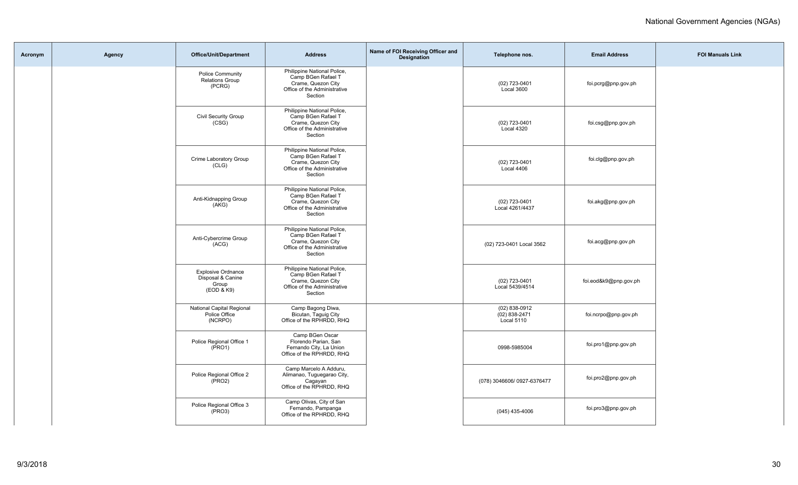| Acronym | Agency | Office/Unit/Department                                                | <b>Address</b>                                                                                                     | Name of FOI Receiving Officer and<br><b>Designation</b> | Telephone nos.                                     | <b>Email Address</b>  | <b>FOI Manuals Link</b> |
|---------|--------|-----------------------------------------------------------------------|--------------------------------------------------------------------------------------------------------------------|---------------------------------------------------------|----------------------------------------------------|-----------------------|-------------------------|
|         |        | Police Community<br><b>Relations Group</b><br>(PCRG)                  | Philippine National Police,<br>Camp BGen Rafael T<br>Crame, Quezon City<br>Office of the Administrative<br>Section |                                                         | (02) 723-0401<br>Local 3600                        | foi.pcrg@pnp.gov.ph   |                         |
|         |        | Civil Security Group<br>(CSG)                                         | Philippine National Police,<br>Camp BGen Rafael T<br>Crame, Quezon City<br>Office of the Administrative<br>Section |                                                         | (02) 723-0401<br>Local 4320                        | foi.csg@pnp.gov.ph    |                         |
|         |        | Crime Laboratory Group<br>(CLG)                                       | Philippine National Police,<br>Camp BGen Rafael T<br>Crame, Quezon City<br>Office of the Administrative<br>Section |                                                         | (02) 723-0401<br>Local 4406                        | foi.clg@pnp.gov.ph    |                         |
|         |        | Anti-Kidnapping Group<br>(AKG)                                        | Philippine National Police,<br>Camp BGen Rafael T<br>Crame, Quezon City<br>Office of the Administrative<br>Section |                                                         | (02) 723-0401<br>Local 4261/4437                   | foi.akg@pnp.gov.ph    |                         |
|         |        | Anti-Cybercrime Group<br>(ACG)                                        | Philippine National Police,<br>Camp BGen Rafael T<br>Crame, Quezon City<br>Office of the Administrative<br>Section |                                                         | (02) 723-0401 Local 3562                           | foi.acg@pnp.gov.ph    |                         |
|         |        | <b>Explosive Ordnance</b><br>Disposal & Canine<br>Group<br>(EOD & K9) | Philippine National Police,<br>Camp BGen Rafael T<br>Crame, Quezon City<br>Office of the Administrative<br>Section |                                                         | (02) 723-0401<br>Local 5439/4514                   | foi.eod&k9@pnp.gov.ph |                         |
|         |        | National Capital Regional<br>Police Office<br>(NCRPO)                 | Camp Bagong Diwa,<br>Bicutan, Taguig City<br>Office of the RPHRDD, RHQ                                             |                                                         | $(02)$ 838-0912<br>$(02) 838 - 2471$<br>Local 5110 | foi.ncrpo@pnp.gov.ph  |                         |
|         |        | Police Regional Office 1<br>(PRO1)                                    | Camp BGen Oscar<br>Florendo Parian, San<br>Fernando City, La Union<br>Office of the RPHRDD, RHQ                    |                                                         | 0998-5985004                                       | foi.pro1@pnp.gov.ph   |                         |
|         |        | Police Regional Office 2<br>(PRO2)                                    | Camp Marcelo A Adduru,<br>Alimanao, Tuguegarao City,<br>Cagayan<br>Office of the RPHRDD, RHQ                       |                                                         | (078) 3046606/ 0927-6376477                        | foi.pro2@pnp.gov.ph   |                         |
|         |        | Police Regional Office 3<br>(PRO3)                                    | Camp Olivas, City of San<br>Fernando, Pampanga<br>Office of the RPHRDD, RHQ                                        |                                                         | $(045)$ 435-4006                                   | foi.pro3@pnp.gov.ph   |                         |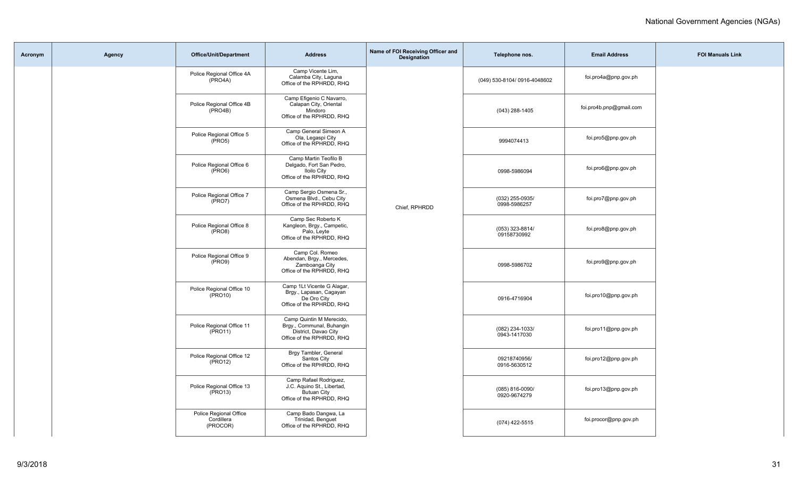| Acronym | Agency | <b>Office/Unit/Department</b>                     | <b>Address</b>                                                                                             | Name of FOI Receiving Officer and<br><b>Designation</b> | Telephone nos.                  | <b>Email Address</b>    | <b>FOI Manuals Link</b> |
|---------|--------|---------------------------------------------------|------------------------------------------------------------------------------------------------------------|---------------------------------------------------------|---------------------------------|-------------------------|-------------------------|
|         |        | Police Regional Office 4A<br>(PRO4A)              | Camp Vicente Lim,<br>Calamba City, Laguna<br>Office of the RPHRDD, RHQ                                     |                                                         | (049) 530-8104/ 0916-4048602    | foi.pro4a@pnp.gov.ph    |                         |
|         |        | Police Regional Office 4B<br>(PRO4B)              | Camp Efigenio C Navarro,<br>Calapan City, Oriental<br>Mindoro<br>Office of the RPHRDD, RHQ                 |                                                         | (043) 288-1405                  | foi.pro4b.pnp@gmail.com |                         |
|         |        | Police Regional Office 5<br>$(\overline{PRO5})$   | Camp General Simeon A<br>Ola, Legaspi City<br>Office of the RPHRDD, RHQ                                    |                                                         | 9994074413                      | foi.pro5@pnp.gov.ph     |                         |
|         |        | Police Regional Office 6<br>$(\overline{PRO6})$   | Camp Martin Teofilo B<br>Delgado, Fort San Pedro,<br><b>Iloilo City</b><br>Office of the RPHRDD, RHQ       |                                                         | 0998-5986094                    | foi.pro6@pnp.gov.ph     |                         |
|         |        | Police Regional Office 7<br>$(\overline{PRO7})$   | Camp Sergio Osmena Sr.,<br>Osmena Blvd., Cebu City<br>Office of the RPHRDD, RHQ                            | Chief, RPHRDD                                           | (032) 255-0935/<br>0998-5986257 | foi.pro7@pnp.gov.ph     |                         |
|         |        | Police Regional Office 8<br>$(\overline{PRO8})$   | Camp Sec Roberto K<br>Kangleon, Brgy., Campetic,<br>Palo, Leyte<br>Office of the RPHRDD, RHQ               |                                                         | (053) 323-8814/<br>09158730992  | foi.pro8@pnp.gov.ph     |                         |
|         |        | Police Regional Office 9<br>$(\text{PRO9})$       | Camp Col. Romeo<br>Abendan, Brgy., Mercedes,<br>Zamboanga City<br>Office of the RPHRDD, RHQ                |                                                         | 0998-5986702                    | foi.pro9@pnp.gov.ph     |                         |
|         |        | Police Regional Office 10<br>(PRO10)              | Camp 1Lt Vicente G Alagar,<br>Brgy., Lapasan, Cagayan<br>De Oro City<br>Office of the RPHRDD, RHQ          |                                                         | 0916-4716904                    | foi.pro10@pnp.gov.ph    |                         |
|         |        | Police Regional Office 11<br>$(\text{PRO11})$     | Camp Quintin M Merecido,<br>Brgy., Communal, Buhangin<br>District, Davao City<br>Office of the RPHRDD, RHQ |                                                         | (082) 234-1033/<br>0943-1417030 | foi.pro11@pnp.gov.ph    |                         |
|         |        | Police Regional Office 12<br>$(\text{PRO12})$     | Brgy Tambler, General<br>Santos City<br>Office of the RPHRDD, RHQ                                          |                                                         | 09218740956/<br>0916-5630512    | foi.pro12@pnp.gov.ph    |                         |
|         |        | Police Regional Office 13<br>$(\overline{PRO13})$ | Camp Rafael Rodriguez,<br>J.C. Aquino St., Libertad,<br><b>Butuan City</b><br>Office of the RPHRDD, RHQ    |                                                         | (085) 816-0090/<br>0920-9674279 | foi.pro13@pnp.gov.ph    |                         |
|         |        | Police Regional Office<br>Cordillera<br>(PROCOR)  | Camp Bado Dangwa, La<br>Trinidad, Benguet<br>Office of the RPHRDD, RHQ                                     |                                                         | (074) 422-5515                  | foi.procor@pnp.gov.ph   |                         |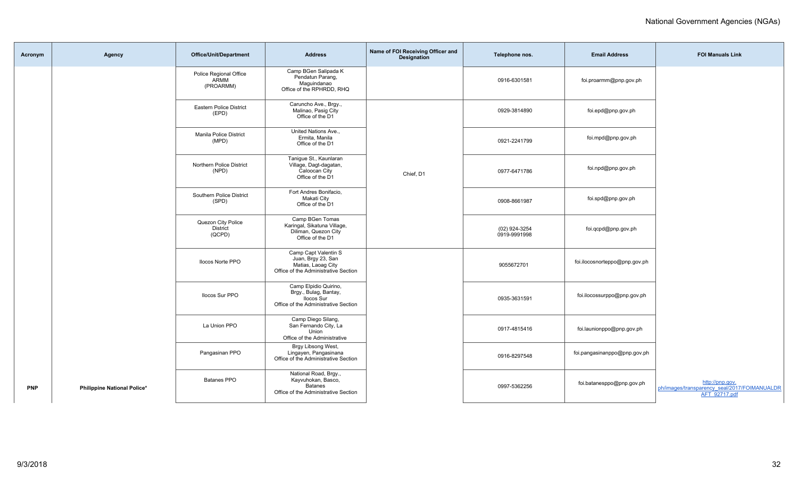| Acronym    | Agency                      | <b>Office/Unit/Department</b>                   | <b>Address</b>                                                                                              | Name of FOI Receiving Officer and<br>Designation | Telephone nos.                | <b>Email Address</b>          | <b>FOI Manuals Link</b>                                                          |
|------------|-----------------------------|-------------------------------------------------|-------------------------------------------------------------------------------------------------------------|--------------------------------------------------|-------------------------------|-------------------------------|----------------------------------------------------------------------------------|
|            |                             | Police Regional Office<br>ARMM<br>(PROARMM)     | Camp BGen Salipada K<br>Pendatun Parang,<br>Maguindanao<br>Office of the RPHRDD, RHQ                        |                                                  | 0916-6301581                  | foi.proarmm@pnp.gov.ph        |                                                                                  |
|            |                             | <b>Eastern Police District</b><br>(EPD)         | Caruncho Ave., Brgy.,<br>Malinao, Pasig City<br>Office of the D1                                            |                                                  | 0929-3814890                  | foi.epd@pnp.gov.ph            |                                                                                  |
|            |                             | Manila Police District<br>(MPD)                 | United Nations Ave<br>Ermita, Manila<br>Office of the D1                                                    |                                                  | 0921-2241799                  | foi.mpd@pnp.gov.ph            |                                                                                  |
|            |                             | Northern Police District<br>(NPD)               | Tanigue St., Kaunlaran<br>Village, Dagt-dagatan,<br>Caloocan City<br>Office of the D1                       | Chief, D1                                        | 0977-6471786                  | foi.npd@pnp.gov.ph            |                                                                                  |
|            |                             | Southern Police District<br>(SPD)               | Fort Andres Bonifacio.<br>Makati City<br>Office of the D1                                                   |                                                  | 0908-8661987                  | foi.spd@pnp.gov.ph            |                                                                                  |
|            |                             | Quezon City Police<br><b>District</b><br>(QCPD) | Camp BGen Tomas<br>Karingal, Sikatuna Village,<br>Diliman, Quezon City<br>Office of the D1                  |                                                  | (02) 924-3254<br>0919-9991998 | foi.qcpd@pnp.gov.ph           |                                                                                  |
|            |                             | <b>Ilocos Norte PPO</b>                         | Camp Capt Valentin S<br>Juan, Brgy 23, San<br>Matias, Laoag City<br>Office of the Administrative Section    |                                                  | 9055672701                    | foi.ilocosnorteppo@pnp.gov.ph |                                                                                  |
|            |                             | Ilocos Sur PPO                                  | Camp Elpidio Quirino,<br>Brgy., Bulag, Bantay,<br><b>Ilocos Sur</b><br>Office of the Administrative Section |                                                  | 0935-3631591                  | foi.ilocossurppo@pnp.gov.ph   |                                                                                  |
|            |                             | La Union PPO                                    | Camp Diego Silang,<br>San Fernando City, La<br>Union<br>Office of the Administrative                        |                                                  | 0917-4815416                  | foi.launionppo@pnp.gov.ph     |                                                                                  |
|            |                             | Pangasinan PPO                                  | Brgy Libsong West,<br>Lingayen, Pangasinana<br>Office of the Administrative Section                         |                                                  | 0916-8297548                  | foi.pangasinanppo@pnp.gov.ph  |                                                                                  |
| <b>PNP</b> | Philippine National Police* | Batanes PPO                                     | National Road, Brgy.,<br>Kayvuhokan, Basco,<br><b>Batanes</b><br>Office of the Administrative Section       |                                                  | 0997-5362256                  | foi.batanesppo@pnp.gov.ph     | http://pnp.gov.<br>ph/images/transparency_seal/2017/FOIMANUALDR<br>AFT 92717.pdf |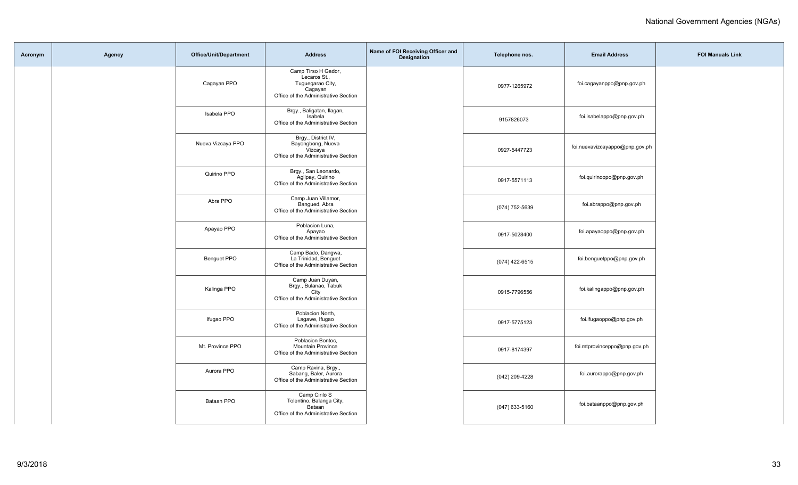| Acronym | Agency | Office/Unit/Department | <b>Address</b>                                                                                             | Name of FOI Receiving Officer and<br>Designation | Telephone nos. | <b>Email Address</b>           | <b>FOI Manuals Link</b> |
|---------|--------|------------------------|------------------------------------------------------------------------------------------------------------|--------------------------------------------------|----------------|--------------------------------|-------------------------|
|         |        | Cagayan PPO            | Camp Tirso H Gador,<br>Lecaros St.,<br>Tuguegarao City,<br>Cagayan<br>Office of the Administrative Section |                                                  | 0977-1265972   | foi.cagayanppo@pnp.gov.ph      |                         |
|         |        | Isabela PPO            | Brgy., Baligatan, Ilagan,<br>Isabela<br>Office of the Administrative Section                               |                                                  | 9157826073     | foi.isabelappo@pnp.gov.ph      |                         |
|         |        | Nueva Vizcaya PPO      | Brgy., District IV,<br>Bayongbong, Nueva<br>Vizcaya<br>Office of the Administrative Section                |                                                  | 0927-5447723   | foi.nuevavizcayappo@pnp.gov.ph |                         |
|         |        | Quirino PPO            | Brgy., San Leonardo,<br>Aglipay, Quirino<br>Office of the Administrative Section                           |                                                  | 0917-5571113   | foi.quirinoppo@pnp.gov.ph      |                         |
|         |        | Abra PPO               | Camp Juan Villamor,<br>Bangued, Abra<br>Office of the Administrative Section                               |                                                  | (074) 752-5639 | foi.abrappo@pnp.gov.ph         |                         |
|         |        | Apayao PPO             | Poblacion Luna,<br>Apayao<br>Office of the Administrative Section                                          |                                                  | 0917-5028400   | foi.apayaoppo@pnp.gov.ph       |                         |
|         |        | Benguet PPO            | Camp Bado, Dangwa,<br>La Trinidad, Benguet<br>Office of the Administrative Section                         |                                                  | (074) 422-6515 | foi.benguetppo@pnp.gov.ph      |                         |
|         |        | Kalinga PPO            | Camp Juan Duyan,<br>Brgy., Bulanao, Tabuk<br>City<br>Office of the Administrative Section                  |                                                  | 0915-7796556   | foi.kalingappo@pnp.gov.ph      |                         |
|         |        | Ifugao PPO             | Poblacion North,<br>Lagawe, Ifugao<br>Office of the Administrative Section                                 |                                                  | 0917-5775123   | foi.ifugaoppo@pnp.gov.ph       |                         |
|         |        | Mt. Province PPO       | Poblacion Bontoc,<br><b>Mountain Province</b><br>Office of the Administrative Section                      |                                                  | 0917-8174397   | foi.mtprovinceppo@pnp.gov.ph   |                         |
|         |        | Aurora PPO             | Camp Ravina, Brgy.,<br>Sabang, Baler, Aurora<br>Office of the Administrative Section                       |                                                  | (042) 209-4228 | foi.aurorappo@pnp.gov.ph       |                         |
|         |        | Bataan PPO             | Camp Cirilo S<br>Tolentino, Balanga City,<br>Bataan<br>Office of the Administrative Section                |                                                  | (047) 633-5160 | foi.bataanppo@pnp.gov.ph       |                         |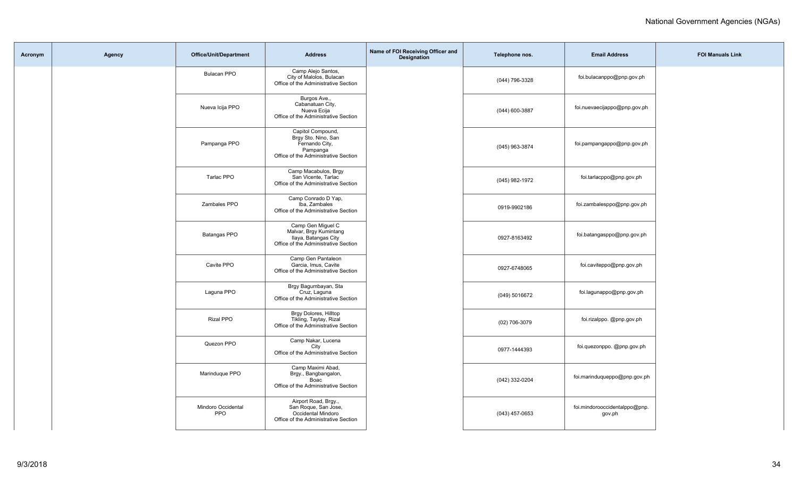| Acronym | Agency | <b>Office/Unit/Department</b>    | <b>Address</b>                                                                                                 | Name of FOI Receiving Officer and<br><b>Designation</b> | Telephone nos.   | <b>Email Address</b>                    | <b>FOI Manuals Link</b> |
|---------|--------|----------------------------------|----------------------------------------------------------------------------------------------------------------|---------------------------------------------------------|------------------|-----------------------------------------|-------------------------|
|         |        | <b>Bulacan PPO</b>               | Camp Alejo Santos,<br>City of Malolos, Bulacan<br>Office of the Administrative Section                         |                                                         | (044) 796-3328   | foi.bulacanppo@pnp.gov.ph               |                         |
|         |        | Nueva Icija PPO                  | Burgos Ave.,<br>Cabanatuan City,<br>Nueva Ecija<br>Office of the Administrative Section                        |                                                         | (044) 600-3887   | foi.nuevaecijappo@pnp.gov.ph            |                         |
|         |        | Pampanga PPO                     | Capitol Compound,<br>Brgy Sto. Nino, San<br>Fernando City,<br>Pampanga<br>Office of the Administrative Section |                                                         | (045) 963-3874   | foi.pampangappo@pnp.gov.ph              |                         |
|         |        | Tarlac PPO                       | Camp Macabulos, Brgy<br>San Vicente, Tarlac<br>Office of the Administrative Section                            |                                                         | (045) 982-1972   | foi.tarlacppo@pnp.gov.ph                |                         |
|         |        | Zambales PPO                     | Camp Conrado D Yap,<br>Iba. Zambales<br>Office of the Administrative Section                                   |                                                         | 0919-9902186     | foi.zambalesppo@pnp.gov.ph              |                         |
|         |        | Batangas PPO                     | Camp Gen Miguel C<br>Malvar, Brgy Kumintang<br>Ilaya, Batangas City<br>Office of the Administrative Section    |                                                         | 0927-8163492     | foi.batangasppo@pnp.gov.ph              |                         |
|         |        | Cavite PPO                       | Camp Gen Pantaleon<br>Garcia, Imus, Cavite<br>Office of the Administrative Section                             |                                                         | 0927-6748065     | foi.caviteppo@pnp.gov.ph                |                         |
|         |        | Laguna PPO                       | Brgy Bagumbayan, Sta<br>Cruz, Laguna<br>Office of the Administrative Section                                   |                                                         | (049) 5016672    | foi.lagunappo@pnp.gov.ph                |                         |
|         |        | Rizal PPO                        | Brgy Dolores, Hilltop<br>Tikling, Taytay, Rizal<br>Office of the Administrative Section                        |                                                         | (02) 706-3079    | foi.rizalppo. @pnp.gov.ph               |                         |
|         |        | Quezon PPO                       | Camp Nakar, Lucena<br>City<br>Office of the Administrative Section                                             |                                                         | 0977-1444393     | foi.quezonppo. @pnp.gov.ph              |                         |
|         |        | Marinduque PPO                   | Camp Maximi Abad,<br>Brgy., Bangbangalon,<br>Boac<br>Office of the Administrative Section                      |                                                         | (042) 332-0204   | foi.marinduqueppo@pnp.gov.ph            |                         |
|         |        | Mindoro Occidental<br><b>PPO</b> | Airport Road, Brgy.,<br>San Roque, San Jose,<br>Occidental Mindoro<br>Office of the Administrative Section     |                                                         | $(043)$ 457-0653 | foi.mindorooccidentalppo@pnp.<br>gov.ph |                         |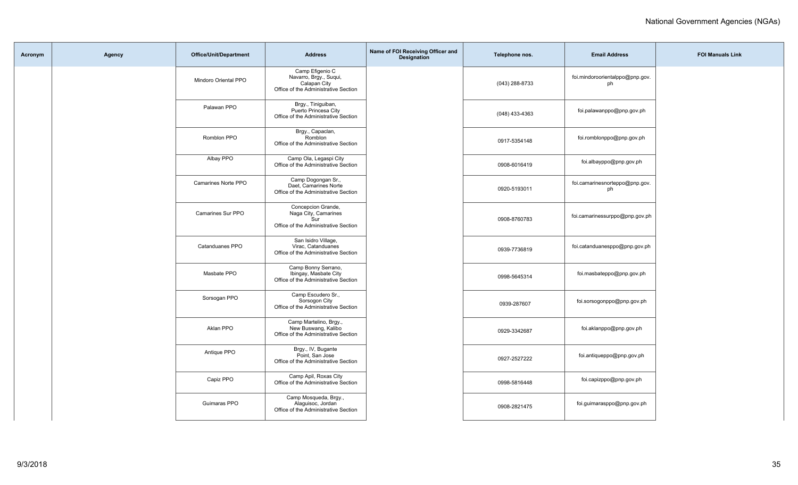| Acronym | Agency | Office/Unit/Department   | <b>Address</b>                                                                                    | Name of FOI Receiving Officer and<br>Designation | Telephone nos.   | <b>Email Address</b>                  | <b>FOI Manuals Link</b> |
|---------|--------|--------------------------|---------------------------------------------------------------------------------------------------|--------------------------------------------------|------------------|---------------------------------------|-------------------------|
|         |        | Mindoro Oriental PPO     | Camp Efigenio C<br>Navarro, Brgy., Suqui,<br>Calapan City<br>Office of the Administrative Section |                                                  | (043) 288-8733   | foi.mindoroorientalppo@pnp.gov.<br>ph |                         |
|         |        | Palawan PPO              | Brgy., Tiniguiban,<br>Puerto Princesa City<br>Office of the Administrative Section                |                                                  | $(048)$ 433-4363 | foi.palawanppo@pnp.gov.ph             |                         |
|         |        | Romblon PPO              | Brgy., Capaclan,<br>Romblon<br>Office of the Administrative Section                               |                                                  | 0917-5354148     | foi.romblonppo@pnp.gov.ph             |                         |
|         |        | Albay PPO                | Camp Ola, Legaspi City<br>Office of the Administrative Section                                    |                                                  | 0908-6016419     | foi.albayppo@pnp.gov.ph               |                         |
|         |        | Camarines Norte PPO      | Camp Dogongan Sr.,<br>Daet, Camarines Norte<br>Office of the Administrative Section               |                                                  | 0920-5193011     | foi.camarinesnorteppo@pnp.gov.<br>ph  |                         |
|         |        | <b>Camarines Sur PPO</b> | Concepcion Grande,<br>Naga City, Camarines<br>Sur<br>Office of the Administrative Section         |                                                  | 0908-8760783     | foi.camarinessurppo@pnp.gov.ph        |                         |
|         |        | Catanduanes PPO          | San Isidro Village,<br>Virac, Catanduanes<br>Office of the Administrative Section                 |                                                  | 0939-7736819     | foi.catanduanesppo@pnp.gov.ph         |                         |
|         |        | Masbate PPO              | Camp Bonny Serrano,<br>Ibingay, Masbate City<br>Office of the Administrative Section              |                                                  | 0998-5645314     | foi.masbateppo@pnp.gov.ph             |                         |
|         |        | Sorsogan PPO             | Camp Escudero Sr.,<br>Sorsogon City<br>Office of the Administrative Section                       |                                                  | 0939-287607      | foi.sorsogonppo@pnp.gov.ph            |                         |
|         |        | Aklan PPO                | Camp Martelino, Brgy.,<br>New Buswang, Kalibo<br>Office of the Administrative Section             |                                                  | 0929-3342687     | foi.aklanppo@pnp.gov.ph               |                         |
|         |        | Antique PPO              | Brgy., IV, Bugante<br>Point, San Jose<br>Office of the Administrative Section                     |                                                  | 0927-2527222     | foi.antiqueppo@pnp.gov.ph             |                         |
|         |        | Capiz PPO                | Camp Apil, Roxas City<br>Office of the Administrative Section                                     |                                                  | 0998-5816448     | foi.capizppo@pnp.gov.ph               |                         |
|         |        | Guimaras PPO             | Camp Mosqueda, Brgy.,<br>Alaguisoc, Jordan<br>Office of the Administrative Section                |                                                  | 0908-2821475     | foi.guimarasppo@pnp.gov.ph            |                         |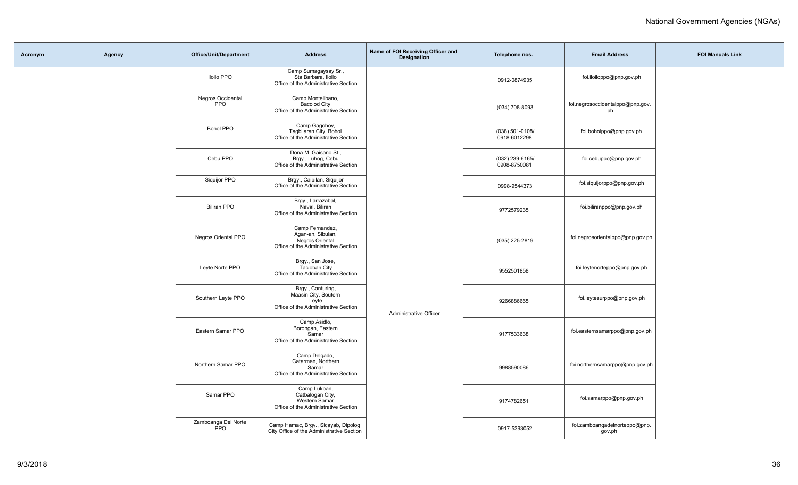| Acronym | Agency | Office/Unit/Department            | <b>Address</b>                                                                                  | Name of FOI Receiving Officer and<br><b>Designation</b> | Telephone nos.                  | <b>Email Address</b>                    | <b>FOI Manuals Link</b> |
|---------|--------|-----------------------------------|-------------------------------------------------------------------------------------------------|---------------------------------------------------------|---------------------------------|-----------------------------------------|-------------------------|
|         |        | <b>Iloilo PPO</b>                 | Camp Sumagaysay Sr.,<br>Sta Barbara, Iloilo<br>Office of the Administrative Section             |                                                         | 0912-0874935                    | foi.iloiloppo@pnp.gov.ph                |                         |
|         |        | Negros Occidental<br><b>PPO</b>   | Camp Montelibano,<br><b>Bacolod City</b><br>Office of the Administrative Section                |                                                         | $(034) 708 - 8093$              | foi.negrosoccidentalppo@pnp.gov.<br>ph  |                         |
|         |        | <b>Bohol PPO</b>                  | Camp Gagohoy,<br>Tagbilaran City, Bohol<br>Office of the Administrative Section                 |                                                         | (038) 501-0108/<br>0918-6012298 | foi.boholppo@pnp.gov.ph                 |                         |
|         |        | Cebu PPO                          | Dona M. Gaisano St.,<br>Brgy., Luhog, Cebu<br>Office of the Administrative Section              |                                                         | (032) 239-6165/<br>0908-8750081 | foi.cebuppo@pnp.gov.ph                  |                         |
|         |        | Siquijor PPO                      | Brgy., Caipilan, Siquijor<br>Office of the Administrative Section                               |                                                         | 0998-9544373                    | foi.siquijorppo@pnp.gov.ph              |                         |
|         |        | <b>Biliran PPO</b>                | Brgy., Larrazabal,<br>Naval, Biliran<br>Office of the Administrative Section                    |                                                         | 9772579235                      | foi.biliranppo@pnp.gov.ph               |                         |
|         |        | <b>Negros Oriental PPO</b>        | Camp Fernandez,<br>Agan-an, Sibulan,<br>Negros Oriental<br>Office of the Administrative Section |                                                         | (035) 225-2819                  | foi.negrosorientalppo@pnp.gov.ph        |                         |
|         |        | Leyte Norte PPO                   | Brgy., San Jose,<br><b>Tacloban City</b><br>Office of the Administrative Section                |                                                         | 9552501858                      | foi.leytenorteppo@pnp.gov.ph            |                         |
|         |        | Southern Leyte PPO                | Brgy., Canturing,<br>Maasin City, Soutern<br>Leyte<br>Office of the Administrative Section      | Administrative Officer                                  | 9266886665                      | foi.leytesurppo@pnp.gov.ph              |                         |
|         |        | Eastern Samar PPO                 | Camp Asidlo,<br>Borongan, Eastern<br>Samar<br>Office of the Administrative Section              |                                                         | 9177533638                      | foi.easternsamarppo@pnp.gov.ph          |                         |
|         |        | Northern Samar PPO                | Camp Delgado,<br>Catarman, Northern<br>Samar<br>Office of the Administrative Section            |                                                         | 9988590086                      | foi.northernsamarppo@pnp.gov.ph         |                         |
|         |        | Samar PPO                         | Camp Lukban,<br>Catbalogan City,<br>Western Samar<br>Office of the Administrative Section       |                                                         | 9174782651                      | foi.samarppo@pnp.gov.ph                 |                         |
|         |        | Zamboanga Del Norte<br><b>PPO</b> | Camp Hamac, Brgy., Sicayab, Dipolog<br>City Office of the Administrative Section                |                                                         | 0917-5393052                    | foi.zamboangadelnorteppo@pnp.<br>gov.ph |                         |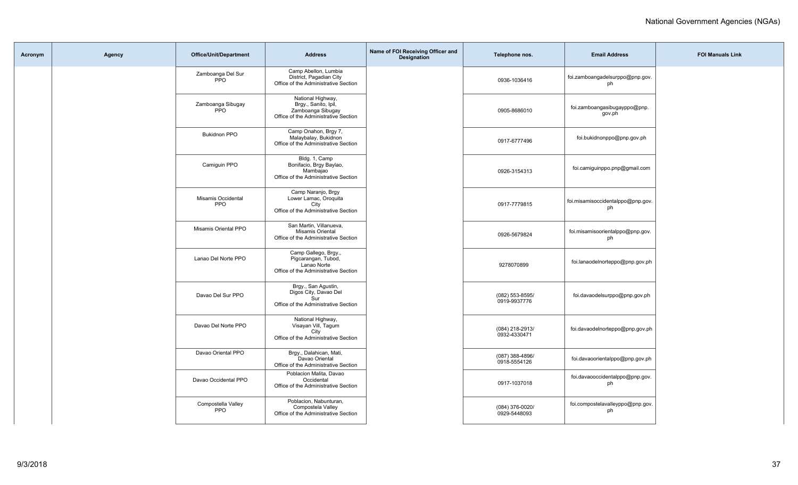| Acronym | Agency | <b>Office/Unit/Department</b>    | <b>Address</b>                                                                                         | Name of FOI Receiving Officer and<br><b>Designation</b> | Telephone nos.                  | <b>Email Address</b>                    | <b>FOI Manuals Link</b> |
|---------|--------|----------------------------------|--------------------------------------------------------------------------------------------------------|---------------------------------------------------------|---------------------------------|-----------------------------------------|-------------------------|
|         |        | Zamboanga Del Sur<br><b>PPO</b>  | Camp Abellon, Lumbia<br>District, Pagadian City<br>Office of the Administrative Section                |                                                         | 0936-1036416                    | foi.zamboangadelsurppo@pnp.gov.<br>ph   |                         |
|         |        | Zamboanga Sibugay<br><b>PPO</b>  | National Highway,<br>Brgy., Sanito, Ipil,<br>Zamboanga Sibugay<br>Office of the Administrative Section |                                                         | 0905-8686010                    | foi.zamboangasibugayppo@pnp.<br>gov.ph  |                         |
|         |        | <b>Bukidnon PPO</b>              | Camp Onahon, Brgy 7,<br>Malaybalay, Bukidnon<br>Office of the Administrative Section                   |                                                         | 0917-6777496                    | foi.bukidnonppo@pnp.gov.ph              |                         |
|         |        | Camiguin PPO                     | Bldg. 1, Camp<br>Bonifacio, Brgy Baylao,<br>Mambajao<br>Office of the Administrative Section           |                                                         | 0926-3154313                    | foi.camiguinppo.pnp@gmail.com           |                         |
|         |        | Misamis Occidental<br><b>PPO</b> | Camp Naranjo, Brgy<br>Lower Lamac, Oroquita<br>City<br>Office of the Administrative Section            |                                                         | 0917-7779815                    | foi.misamisoccidentalppo@pnp.gov.<br>ph |                         |
|         |        | Misamis Oriental PPO             | San Martin, Villanueva,<br>Misamis Oriental<br>Office of the Administrative Section                    |                                                         | 0926-5679824                    | foi.misamisoorientalppo@pnp.gov.<br>ph  |                         |
|         |        | Lanao Del Norte PPO              | Camp Gallego, Brgy.,<br>Pigcarangan, Tubod,<br>Lanao Norte<br>Office of the Administrative Section     |                                                         | 9278070899                      | foi.lanaodelnorteppo@pnp.gov.ph         |                         |
|         |        | Davao Del Sur PPO                | Brgy., San Agustin,<br>Digos City, Davao Del<br>Sur<br>Office of the Administrative Section            |                                                         | (082) 553-8595/<br>0919-9937776 | foi.davaodelsurppo@pnp.gov.ph           |                         |
|         |        | Davao Del Norte PPO              | National Highway,<br>Visayan Vill, Tagum<br>City<br>Office of the Administrative Section               |                                                         | (084) 218-2913/<br>0932-4330471 | foi.davaodelnorteppo@pnp.gov.ph         |                         |
|         |        | Davao Oriental PPO               | Brgy., Dalahican, Mati,<br>Davao Oriental<br>Office of the Administrative Section                      |                                                         | (087) 388-4896/<br>0918-5554126 | foi.davaoorientalppo@pnp.gov.ph         |                         |
|         |        | Davao Occidental PPO             | Poblacion Malita, Davao<br>Occidental<br>Office of the Administrative Section                          |                                                         | 0917-1037018                    | foi.davaooccidentalppo@pnp.gov.<br>ph   |                         |
|         |        | Compostella Valley<br>PPO        | Poblacion, Nabunturan,<br>Compostela Valley<br>Office of the Administrative Section                    |                                                         | (084) 376-0020/<br>0929-5448093 | foi.compostelavalleyppo@pnp.gov.<br>ph  |                         |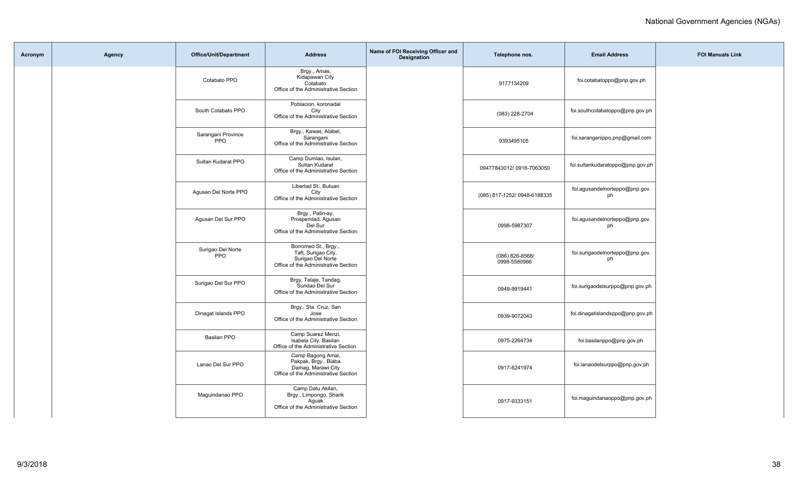| Acronym | Agency | Office/Unit/Department           | <b>Address</b>                                                                                           | Name of FOI Receiving Officer and<br>Designation | Telephone nos.                  | <b>Email Address</b>                  | <b>FOI Manuals Link</b> |
|---------|--------|----------------------------------|----------------------------------------------------------------------------------------------------------|--------------------------------------------------|---------------------------------|---------------------------------------|-------------------------|
|         |        | Cotabato PPO                     | Brgy., Amas,<br>Kidapawan City<br>Cotabato<br>Office of the Administrative Section                       |                                                  | 9177134209                      | foi.cotabatoppo@pnp.gov.ph            |                         |
|         |        | South Cotabato PPO               | Poblacion, koronadal<br>City<br>Office of the Administrative Section                                     |                                                  | (083) 228-2704                  | foi.southcotabatoppo@pnp.gov.ph       |                         |
|         |        | Sarangani Province<br><b>PPO</b> | Brgy., Kawas, Alabel,<br>Sarangani<br>Office of the Administrative Section                               |                                                  | 9393495105                      | foi.saranganippo.pnp@gmail.com        |                         |
|         |        | Sultan Kudarat PPO               | Camp Dumlao, Isulan,<br>Sultan Kudarat<br>Office of the Administrative Section                           |                                                  | 09477843012/0918-7063050        | foi.sultankudaratoppo@pnp.gov.ph      |                         |
|         |        | Agusan Del Norte PPO             | Libertad St., Butuan<br>City<br>Office of the Administrative Section                                     |                                                  | (085) 817-1252/ 0948-6188335    | foi.agusandelnorteppo@pnp.gov.<br>ph  |                         |
|         |        | Agusan Del Sur PPO               | Brgy., Patin-ay,<br>Prosperidad, Agusan<br>Del Sur<br>Office of the Administrative Section               |                                                  | 0998-5987307                    | foi.agusandelnorteppo@pnp.gov.<br>ph  |                         |
|         |        | Surigao Del Norte<br>PPO         | Borromeo St., Brgy.,<br>Taft, Surigao City,<br>Surigao Del Norte<br>Office of the Administrative Section |                                                  | (086) 826-8568/<br>0998-5580966 | foi.surigaodelnorteppo@pnp.gov.<br>ph |                         |
|         |        | Surigao Del Sur PPO              | Brgy, Telaje, Tandag,<br>Suridao Del Sur<br>Office of the Administrative Section                         |                                                  | 0949-9919441                    | foi.surigaodelsurppo@pnp.gov.ph       |                         |
|         |        | Dinagat Islands PPO              | Brgy., Sta. Cruz, San<br>Jose<br>Office of the Administrative Section                                    |                                                  | 0939-9072043                    | foi.dinagatislandsppo@pnp.gov.ph      |                         |
|         |        | <b>Basilan PPO</b>               | Camp Suarez Menzi,<br>Isabela City, Basilan<br>Office of the Administrative Section                      |                                                  | 0975-2264734                    | foi.basilanppo@pnp.gov.ph             |                         |
|         |        | Lanao Del Sur PPO                | Camp Bagong Amai,<br>Pakpak, Brgy., Biaba<br>Damag, Marawi City<br>Office of the Administrative Section  |                                                  | 0917-6241974                    | foi.lanaodelsurppo@pnp.gov.ph         |                         |
|         |        | Maguindanao PPO                  | Camp Datu Akilan,<br>Brgy., Limpongo, Sharik<br>Aquak<br>Office of the Administrative Section            |                                                  | 0917-9333151                    | foi.maguindanaoppo@pnp.gov.ph         |                         |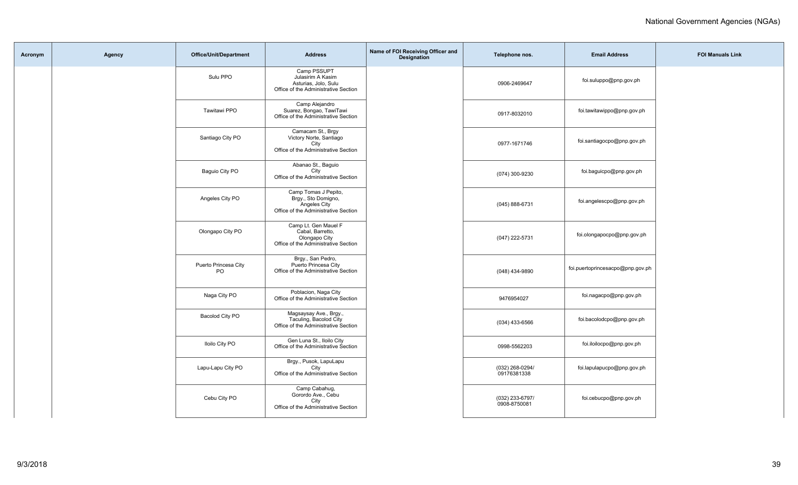| Acronym | Agency | <b>Office/Unit/Department</b> | <b>Address</b>                                                                                      | Name of FOI Receiving Officer and<br>Designation | Telephone nos.                  | <b>Email Address</b>             | <b>FOI Manuals Link</b> |
|---------|--------|-------------------------------|-----------------------------------------------------------------------------------------------------|--------------------------------------------------|---------------------------------|----------------------------------|-------------------------|
|         |        | Sulu PPO                      | Camp PSSUPT<br>Julasirim A Kasim<br>Asturias, Jolo, Sulu<br>Office of the Administrative Section    |                                                  | 0906-2469647                    | foi.suluppo@pnp.gov.ph           |                         |
|         |        | Tawitawi PPO                  | Camp Alejandro<br>Suarez, Bongao, TawiTawi<br>Office of the Administrative Section                  |                                                  | 0917-8032010                    | foi.tawitawippo@pnp.gov.ph       |                         |
|         |        | Santiago City PO              | Camacam St., Brgy<br>Victory Norte, Santiago<br>City<br>Office of the Administrative Section        |                                                  | 0977-1671746                    | foi.santiagocpo@pnp.gov.ph       |                         |
|         |        | Baguio City PO                | Abanao St., Baguio<br>City<br>Office of the Administrative Section                                  |                                                  | (074) 300-9230                  | foi.baguicpo@pnp.gov.ph          |                         |
|         |        | Angeles City PO               | Camp Tomas J Pepito,<br>Brgy., Sto Domigno,<br>Angeles City<br>Office of the Administrative Section |                                                  | (045) 888-6731                  | foi.angelescpo@pnp.gov.ph        |                         |
|         |        | Olongapo City PO              | Camp Lt. Gen Mauel F<br>Cabal, Barretto,<br>Olongapo City<br>Office of the Administrative Section   |                                                  | (047) 222-5731                  | foi.olongapocpo@pnp.gov.ph       |                         |
|         |        | Puerto Princesa City<br>PO    | Brgy., San Pedro,<br>Puerto Princesa City<br>Office of the Administrative Section                   |                                                  | (048) 434-9890                  | foi.puertoprincesacpo@pnp.gov.ph |                         |
|         |        | Naga City PO                  | Poblacion, Naga City<br>Office of the Administrative Section                                        |                                                  | 9476954027                      | foi.nagacpo@pnp.gov.ph           |                         |
|         |        | Bacolod City PO               | Magsaysay Ave., Brgy.,<br>Taculing, Bacolod City<br>Office of the Administrative Section            |                                                  | $(034)$ 433-6566                | foi.bacolodcpo@pnp.gov.ph        |                         |
|         |        | <b>Iloilo City PO</b>         | Gen Luna St., Iloilo City<br>Office of the Administrative Section                                   |                                                  | 0998-5562203                    | foi.iloilocpo@pnp.gov.ph         |                         |
|         |        | Lapu-Lapu City PO             | Brgy., Pusok, LapuLapu<br>City<br>Office of the Administrative Section                              |                                                  | (032) 268-0294/<br>09176381338  | foi.lapulapucpo@pnp.gov.ph       |                         |
|         |        | Cebu City PO                  | Camp Cabahug,<br>Gorordo Ave., Cebu<br>City<br>Office of the Administrative Section                 |                                                  | (032) 233-6797/<br>0908-8750081 | foi.cebucpo@pnp.gov.ph           |                         |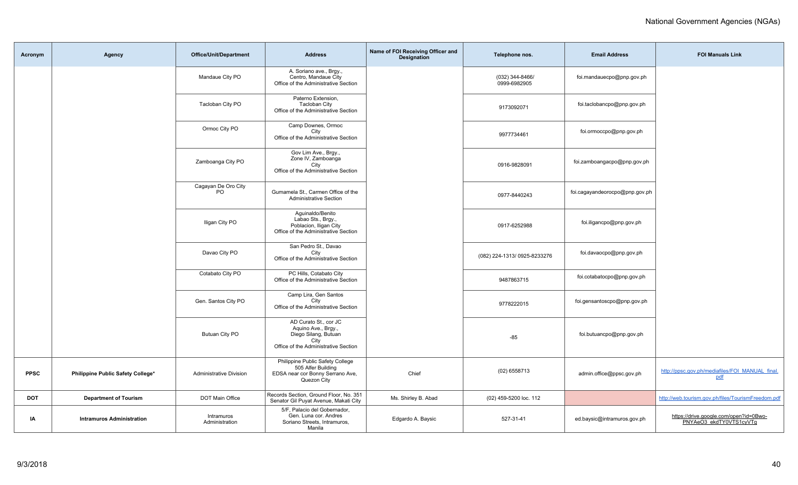| Acronym     | Agency                            | <b>Office/Unit/Department</b>    | <b>Address</b>                                                                                                       | Name of FOI Receiving Officer and<br><b>Designation</b> | Telephone nos.                  | <b>Email Address</b>           | <b>FOI Manuals Link</b>                                           |
|-------------|-----------------------------------|----------------------------------|----------------------------------------------------------------------------------------------------------------------|---------------------------------------------------------|---------------------------------|--------------------------------|-------------------------------------------------------------------|
|             |                                   | Mandaue City PO                  | A. Soriano ave., Brgy.,<br>Centro, Mandaue City<br>Office of the Administrative Section                              |                                                         | (032) 344-8466/<br>0999-6982905 | foi.mandauecpo@pnp.gov.ph      |                                                                   |
|             |                                   | Tacloban City PO                 | Paterno Extension,<br><b>Tacloban City</b><br>Office of the Administrative Section                                   |                                                         | 9173092071                      | foi.taclobancpo@pnp.gov.ph     |                                                                   |
|             |                                   | Ormoc City PO                    | Camp Downes, Ormoc<br>City<br>Office of the Administrative Section                                                   |                                                         | 9977734461                      | foi.ormoccpo@pnp.gov.ph        |                                                                   |
|             |                                   | Zamboanga City PO                | Gov Lim Ave., Brgy.,<br>Zone IV, Zamboanga<br>City<br>Office of the Administrative Section                           |                                                         | 0916-9828091                    | foi.zamboangacpo@pnp.gov.ph    |                                                                   |
|             |                                   | Cagayan De Oro City<br><b>PO</b> | Gumamela St., Carmen Office of the<br><b>Administrative Section</b>                                                  |                                                         | 0977-8440243                    | foi.cagayandeorocpo@pnp.gov.ph |                                                                   |
|             |                                   | Iligan City PO                   | Aguinaldo/Benito<br>Labao Sts., Brgy.,<br>Poblacion, Iligan City<br>Office of the Administrative Section             |                                                         | 0917-6252988                    | foi.iligancpo@pnp.gov.ph       |                                                                   |
|             |                                   | Davao City PO                    | San Pedro St., Davao<br>City<br>Office of the Administrative Section                                                 |                                                         | (082) 224-1313/ 0925-8233276    | foi.davaocpo@pnp.gov.ph        |                                                                   |
|             |                                   | Cotabato City PO                 | PC Hills, Cotabato City<br>Office of the Administrative Section                                                      |                                                         | 9487863715                      | foi.cotabatocpo@pnp.gov.ph     |                                                                   |
|             |                                   | Gen. Santos City PO              | Camp Lira, Gen Santos<br>City<br>Office of the Administrative Section                                                |                                                         | 9778222015                      | foi.gensantoscpo@pnp.gov.ph    |                                                                   |
|             |                                   | Butuan City PO                   | AD Curato St., cor JC<br>Aquino Ave., Brgy.,<br>Diego Silang, Butuan<br>City<br>Office of the Administrative Section |                                                         | $-85$                           | foi.butuancpo@pnp.gov.ph       |                                                                   |
| <b>PPSC</b> | Philippine Public Safety College* | <b>Administrative Division</b>   | Philippine Public Safety College<br>505 Alfer Building<br>EDSA near cor Bonny Serrano Ave,<br>Quezon City            | Chief                                                   | $(02)$ 6558713                  | admin.office@ppsc.gov.ph       | http://ppsc.gov.ph/mediafiles/FOI_MANUAL_final.<br>pdf            |
| <b>DOT</b>  | <b>Department of Tourism</b>      | DOT Main Office                  | Records Section, Ground Floor, No. 351<br>Senator Gil Puyat Avenue, Makati City                                      | Ms. Shirley B. Abad                                     | (02) 459-5200 loc. 112          |                                | http://web.tourism.gov.ph/files/TourismFreedom.pdf                |
| ΙA          | <b>Intramuros Administration</b>  | Intramuros<br>Administration     | 5/F, Palacio del Gobernador,<br>Gen. Luna cor. Andres<br>Soriano Streets, Intramuros,<br>Manila                      | Edgardo A. Baysic                                       | 527-31-41                       | ed.baysic@intramuros.gov.ph    | https://drive.google.com/open?id=0Bwo-<br>PNYAeO3 ekdTY0VTS1cyVTg |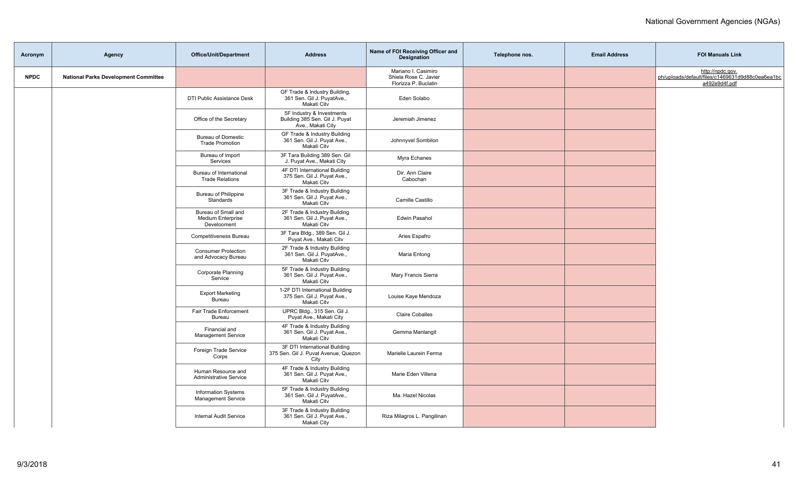| Acronym     | Agency                                      | <b>Office/Unit/Department</b>                                  | <b>Address</b>                                                                   | Name of FOI Receiving Officer and<br>Designation                     | Telephone nos. | <b>Email Address</b> | <b>FOI Manuals Link</b>                                                               |
|-------------|---------------------------------------------|----------------------------------------------------------------|----------------------------------------------------------------------------------|----------------------------------------------------------------------|----------------|----------------------|---------------------------------------------------------------------------------------|
| <b>NPDC</b> | <b>National Parks Development Committee</b> |                                                                |                                                                                  | Mariano I. Casimiro<br>Shiela Rose C. Javier<br>Florizza P. Buclatin |                |                      | http://npdc.gov.<br>ph/uploads/default/files/c1469631d9d88c0ea6ea1bc<br>a492e9d4f.pdf |
|             |                                             | DTI Public Assistance Desk                                     | GF Trade & Industry Building,<br>361 Sen. Gil J. PuyatAve.,<br>Makati Citv       | Eden Solabo                                                          |                |                      |                                                                                       |
|             |                                             | Office of the Secretary                                        | 5F Industry & Investments<br>Building 385 Sen. Gil J. Puyat<br>Ave., Makati City | Jeremiah Jimenez                                                     |                |                      |                                                                                       |
|             |                                             | <b>Bureau of Domestic</b><br><b>Trade Promotion</b>            | GF Trade & Industry Building<br>361 Sen. Gil J. Puyat Ave.,<br>Makati Citv       | Johnnyvel Sombilon                                                   |                |                      |                                                                                       |
|             |                                             | Bureau of Import<br>Services                                   | 3F Tara Building 389 Sen. Gil<br>J. Puyat Ave., Makati City                      | Myra Echanes                                                         |                |                      |                                                                                       |
|             |                                             | Bureau of International<br><b>Trade Relations</b>              | 4F DTI International Building<br>375 Sen. Gil J. Puyat Ave.,<br>Makati Citv      | Dir. Ann Claire<br>Cabochan                                          |                |                      |                                                                                       |
|             |                                             | <b>Bureau of Philippine</b><br>Standards                       | 3F Trade & Industry Building<br>361 Sen. Gil J. Puyat Ave.,<br>Makati Citv       | Camille Castillo                                                     |                |                      |                                                                                       |
|             |                                             | Bureau of Small and<br><b>Medium Enterprise</b><br>Develooment | 2F Trade & Industry Building<br>361 Sen. Gil J. Puyat Ave.,<br>Makati Citv       | Edwin Pasahol                                                        |                |                      |                                                                                       |
|             |                                             | Competitiveness Bureau                                         | 3F Tara Bldg., 389 Sen. Gil J.<br>Puyat Ave., Makati Citv                        | Aries Espafro                                                        |                |                      |                                                                                       |
|             |                                             | <b>Consumer Protection</b><br>and Advocacy Bureau              | 2F Trade & Industry Building<br>361 Sen. Gil J. PuyatAve.,<br>Makati Citv        | Maria Entong                                                         |                |                      |                                                                                       |
|             |                                             | Corporate Planning<br>Service                                  | 5F Trade & Industry Building<br>361 Sen. Gil J. Puyat Ave.,<br>Makati Citv       | Mary Francis Sierra                                                  |                |                      |                                                                                       |
|             |                                             | <b>Export Marketing</b><br>Bureau                              | 1-2F DTI International Building<br>375 Sen. Gil J. Puyat Ave.,<br>Makati Citv    | Louise Kaye Mendoza                                                  |                |                      |                                                                                       |
|             |                                             | Fair Trade Enforcement<br><b>Bureau</b>                        | UPRC Bldg., 315 Sen. Gil J.<br>Puyat Ave., Makati City                           | <b>Claire Coballes</b>                                               |                |                      |                                                                                       |
|             |                                             | Financial and<br><b>Management Service</b>                     | 4F Trade & Industry Building<br>361 Sen. Gil J. Puyat Ave.,<br>Makati Citv       | Gemma Manlangit                                                      |                |                      |                                                                                       |
|             |                                             | Foreign Trade Service<br>Corps                                 | 3F DTI International Building<br>375 Sen. Gil J. Puvat Avenue, Quezon<br>City    | Marielle Laurein Ferma                                               |                |                      |                                                                                       |
|             |                                             | Human Resource and<br><b>Administrative Service</b>            | 4F Trade & Industry Building<br>361 Sen. Gil J. Puyat Ave.,<br>Makati City       | Marie Eden Villena                                                   |                |                      |                                                                                       |
|             |                                             | <b>Information Systems</b><br><b>Management Service</b>        | 5F Trade & Industry Building<br>361 Sen. Gil J. PuyatAve.,<br>Makati City        | Ma. Hazel Nicolas                                                    |                |                      |                                                                                       |
|             |                                             | <b>Internal Audit Service</b>                                  | 3F Trade & Industry Building<br>361 Sen. Gil J. Puyat Ave.,<br>Makati City       | Riza Milagros L. Pangilinan                                          |                |                      |                                                                                       |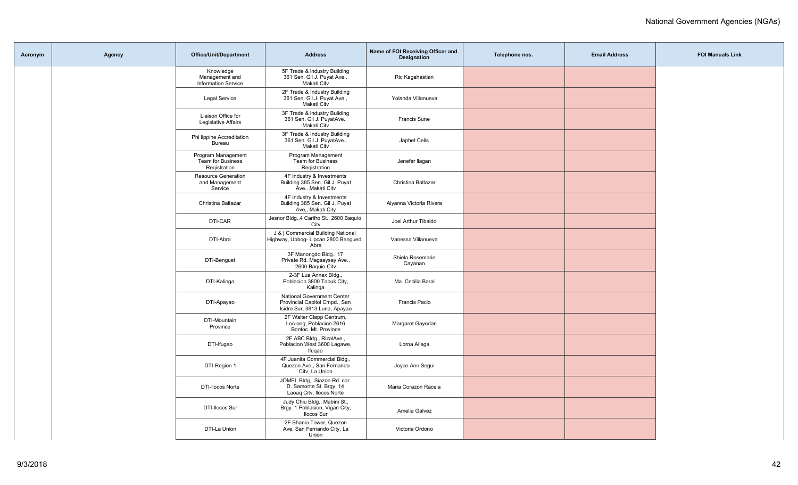| Acronym | Agency | <b>Office/Unit/Department</b>                             | <b>Address</b>                                                                                      | Name of FOI Receiving Officer and<br><b>Designation</b> | Telephone nos. | <b>Email Address</b> | <b>FOI Manuals Link</b> |
|---------|--------|-----------------------------------------------------------|-----------------------------------------------------------------------------------------------------|---------------------------------------------------------|----------------|----------------------|-------------------------|
|         |        | Knowledge<br>Management and<br><b>Information Service</b> | 5F Trade & Industry Building<br>361 Sen. Gil J. Puyat Ave.,<br>Makati Citv                          | Ric Kagahastian                                         |                |                      |                         |
|         |        | <b>Legal Service</b>                                      | 2F Trade & Industry Building<br>361 Sen. Gil J. Puyat Ave.,<br>Makati Citv                          | Yolanda Villanueva                                      |                |                      |                         |
|         |        | Liaison Office for<br>Legislative Affairs                 | 3F Trade & Industry Building<br>361 Sen. Gil J. PuyatAve.,<br>Makati Citv                           | <b>Francis Sune</b>                                     |                |                      |                         |
|         |        | Phi lippine Accreditation<br>Bureau                       | 3F Trade & Industry Building<br>361 Sen. Gil J. PuyatAve.,<br>Makati Citv                           | Japhet Celis                                            |                |                      |                         |
|         |        | Program Management<br>Team for Business<br>Registration   | Program Management<br>Team for Business<br>Registration                                             | Jenefer llagan                                          |                |                      |                         |
|         |        | Resource Generation<br>and Management<br>Service          | 4F Industry & Investments<br>Building 385 Sen. Gil J. Puyat<br>Ave Makati Citv                      | Christina Baltazar                                      |                |                      |                         |
|         |        | Christina Baltazar                                        | 4F Industry & Investments<br>Building 385 Sen. Gil J. Puyat<br>Ave,, Makati City                    | Alyanna Victoria Rivera                                 |                |                      |                         |
|         |        | DTI-CAR                                                   | Jesnor Bldg., 4 Carifro St., 2600 Baquio<br>City                                                    | Joel Arthur Tibaldo                                     |                |                      |                         |
|         |        | DTI-Abra                                                  | J &   Commercial Building National<br>Highway, Ubbog- Lipcan 2800 Bangued,<br>Abra                  | Vanessa Villanueva                                      |                |                      |                         |
|         |        | DTI-Benguet                                               | 3F Manongdo Bldg., 17<br>Private Rd. Magsaysay Ave.,<br>2600 Baquio Citv                            | Shiela Rosemarie<br>Cayanan                             |                |                      |                         |
|         |        | DTI-Kalinga                                               | 2-3F Lua Annex Bldg.,<br>Poblacion 3800 Tabuk City,<br>Kalinga                                      | Ma. Cecilia Baral                                       |                |                      |                         |
|         |        | DTI-Apayao                                                | <b>National Government Center</b><br>Provincial Capitol Cmpd., San<br>Isidro Sur, 3813 Luna, Apayao | Francis Pacio                                           |                |                      |                         |
|         |        | DTI-Mountain<br>Province                                  | 2F Walter Clapp Centrum,<br>Loc-ong, Poblacion 2616<br>Bontoc. Mt. Province                         | Margaret Gayodan                                        |                |                      |                         |
|         |        | DTI-Ifugao                                                | 2F ABC Bldg., RizalAve.,<br>Poblacion West 3600 Lagawe,<br>Ifugao                                   | Lorna Allaga                                            |                |                      |                         |
|         |        | DTI-Region 1                                              | 4F Juanita Commercial Bldg.,<br>Quezon Ave., San Fernando<br>Citv, La Union                         | Joyce Ann Segui                                         |                |                      |                         |
|         |        | <b>DTI-Ilocos Norte</b>                                   | JOMEL Bldg., Siazon Rd. cor.<br>D. Samonte St. Brgy. 14<br>Laoaq Citv, Ilocos Norte                 | Maria Corazon Racela                                    |                |                      |                         |
|         |        | DTI-Ilocos Sur                                            | Judy Chiu Bldg., Mabini St.,<br>Brgy. 1 Poblacion, Vigan City,<br><b>Ilocos Sur</b>                 | Amelia Galvez                                           |                |                      |                         |
|         |        | DTI-La Union                                              | 2F Shania Tower, Quezon<br>Ave. San Fernando City, La<br>Union                                      | Victoria Ordono                                         |                |                      |                         |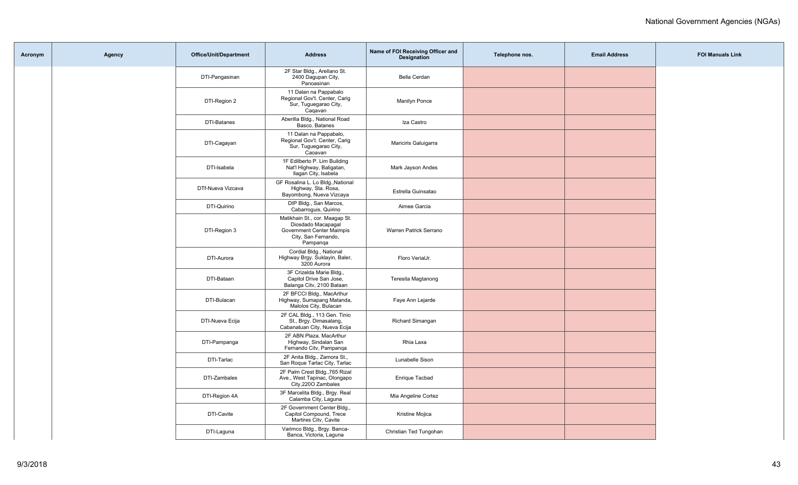| Acronym | Agency | <b>Office/Unit/Department</b> | <b>Address</b>                                                                                                       | Name of FOI Receiving Officer and<br><b>Designation</b> | Telephone nos. | <b>Email Address</b> | <b>FOI Manuals Link</b> |
|---------|--------|-------------------------------|----------------------------------------------------------------------------------------------------------------------|---------------------------------------------------------|----------------|----------------------|-------------------------|
|         |        | DTI-Pangasinan                | 2F Star Bldg., Arellano St.<br>2400 Dagupan City,<br>Panoasinan                                                      | Bella Cerdan                                            |                |                      |                         |
|         |        | DTI-Region 2                  | 11 Dalan na Pappabalo<br>Regional Gov't. Center, Carig<br>Sur, Tuguegarao City,<br>Cagavan                           | Manilyn Ponce                                           |                |                      |                         |
|         |        | DTI-Batanes                   | Aberilla Bldg., National Road<br>Basco. Batanes                                                                      | Iza Castro                                              |                |                      |                         |
|         |        | DTI-Cagayan                   | 11 Dalan na Pappabalo,<br>Regional Gov't. Center, Carig<br>Sur, Tuguegarao City,<br>Caoavan                          | Mariciris Galuigarra                                    |                |                      |                         |
|         |        | DTI-Isabela                   | 1F Edilberto P. Lim Building<br>Nat'l Highway, Baligatan,<br>Ilagan City, Isabela                                    | Mark Jayson Andes                                       |                |                      |                         |
|         |        | DTf-Nueva Vizcava             | GF Rosalina L. Lo Bldg., National<br>Highway, Sta. Rosa,<br>Bayombong, Nueva Vizcaya                                 | Estrella Guinsatao                                      |                |                      |                         |
|         |        | DTI-Quirino                   | DIP Bldg., San Marcos,<br>Cabarroquis, Quirino                                                                       | Aimee Garcia                                            |                |                      |                         |
|         |        | DTI-Region 3                  | Matikhain St., cor. Maagap St.<br>Diosdado Macapagal<br>Government Center Maimpis<br>City, San Fernando,<br>Pampanga | Warren Patrick Serrano                                  |                |                      |                         |
|         |        | DTI-Aurora                    | Cordial Bldg., National<br>Highway Brgy. Suklayin, Baler,<br>3200 Aurora                                             | Floro VerialJr.                                         |                |                      |                         |
|         |        | DTI-Bataan                    | 3F Crizelda Marie Bldg.,<br>Capitol Drive San Jose,<br>Balanga Citv, 2100 Bataan                                     | Teresita Magtanong                                      |                |                      |                         |
|         |        | DTI-Bulacan                   | 2F BFCCI Bldg., MacArthur<br>Highway, Sumapang Matanda,<br>Malolos City, Bulacan                                     | Faye Ann Lejarde                                        |                |                      |                         |
|         |        | DTI-Nueva Ecija               | 2F CAL Bldg., 113 Gen. Tinio<br>St., Brgy. Dimasalang,<br>Cabanatuan City, Nueva Ecija                               | Richard Simangan                                        |                |                      |                         |
|         |        | DTI-Pampanga                  | 2F ABN Plaza. MacArthur<br>Highway, Sindalan San<br>Fernando Citv, Pampanga                                          | Rhia Laxa                                               |                |                      |                         |
|         |        | DTI-Tarlac                    | 2F Anita Bldg., Zamora St.,<br>San Roque Tarlac City, Tarlac                                                         | Lunabelle Sison                                         |                |                      |                         |
|         |        | DTI-Zambales                  | 2F Palm Crest Bldg., 765 Rizal<br>Ave., West Tapinac, Olongapo<br>City, 2200 Zambales                                | Enrique Tacbad                                          |                |                      |                         |
|         |        | DTI-Region 4A                 | 3F Marcelita Bldg., Brgy. Real<br>Calamba City, Laguna                                                               | Mia Angeline Cortez                                     |                |                      |                         |
|         |        | DTI-Cavite                    | 2F Government Center Bldg.,<br>Capitol Compound, Trece<br>Martires City, Cavite                                      | Kristine Mojica                                         |                |                      |                         |
|         |        | DTI-Laguna                    | Varimco Bldg., Brgy. Banca-<br>Banca, Victoria, Laguna                                                               | Christian Ted Tungohan                                  |                |                      |                         |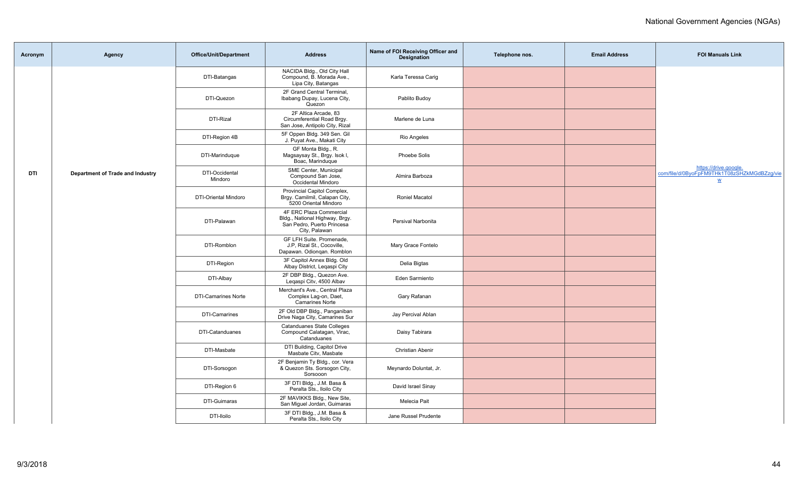| Acronym    | Agency                           | <b>Office/Unit/Department</b> | <b>Address</b>                                                                                           | Name of FOI Receiving Officer and<br><b>Designation</b> | Telephone nos. | <b>Email Address</b> | <b>FOI Manuals Link</b>                                                                          |
|------------|----------------------------------|-------------------------------|----------------------------------------------------------------------------------------------------------|---------------------------------------------------------|----------------|----------------------|--------------------------------------------------------------------------------------------------|
|            |                                  | DTI-Batangas                  | NACIDA Bldg., Old City Hall<br>Compound, B. Morada Ave.,<br>Lipa City, Batangas                          | Karla Teressa Carig                                     |                |                      |                                                                                                  |
|            |                                  | DTI-Quezon                    | 2F Grand Central Terminal,<br>Ibabang Dupay, Lucena City,<br>Quezon                                      | Pablito Budoy                                           |                |                      |                                                                                                  |
|            |                                  | DTI-Rizal                     | 2F Altica Arcade, 83<br>Circumferential Road Brgy.<br>San Jose, Antipolo City, Rizal                     | Marlene de Luna                                         |                |                      |                                                                                                  |
|            |                                  | DTI-Region 4B                 | 5F Oppen Bldg. 349 Sen. Gil<br>J. Puyat Ave., Makati City                                                | Rio Angeles                                             |                |                      |                                                                                                  |
|            |                                  | DTI-Marinduque                | GF Monta Bldg., R.<br>Magsaysay St., Brgy. Isok I,<br>Boac, Marinduque                                   | Phoebe Solis                                            |                |                      |                                                                                                  |
| <b>DTI</b> | Department of Trade and Industry | DTI-Occidental<br>Mindoro     | SME Center, Municipal<br>Compound San Jose,<br>Occidental Mindoro                                        | Almira Barboza                                          |                |                      | https://drive.google.<br>com/file/d/0ByoFpFM9THk1T08zSHZkMGdBZzg/vie<br>$\underline{\mathsf{w}}$ |
|            |                                  | <b>DTI-Oriental Mindoro</b>   | Provincial Capitol Complex,<br>Brgy. Camilmil, Calapan City,<br>5200 Oriental Mindoro                    | <b>Roniel Macatol</b>                                   |                |                      |                                                                                                  |
|            |                                  | DTI-Palawan                   | 4F ERC Plaza Commercial<br>Bldg., National Highway, Brgy.<br>San Pedro, Puerto Princesa<br>City, Palawan | Persival Narbonita                                      |                |                      |                                                                                                  |
|            |                                  | DTI-Romblon                   | GF LFH Suite. Promenade,<br>J.P, Rizal St., Cocoville,<br>Dapawan. Odiongan. Romblon                     | Mary Grace Fontelo                                      |                |                      |                                                                                                  |
|            |                                  | DTI-Region                    | 3F Capitol Annex Bldg. Old<br>Albay District, Legaspi City                                               | Delia Bigtas                                            |                |                      |                                                                                                  |
|            |                                  | DTI-Albay                     | 2F DBP Bldg., Quezon Ave.<br>Legaspi Citv, 4500 Albav                                                    | Eden Sarmiento                                          |                |                      |                                                                                                  |
|            |                                  | <b>DTI-Camarines Norte</b>    | Merchant's Ave., Central Plaza<br>Complex Lag-on, Daet,<br><b>Camarines Norte</b>                        | Gary Rafanan                                            |                |                      |                                                                                                  |
|            |                                  | DTI-Camarines                 | 2F Old DBP Bldg., Panganiban<br>Drive Naga City, Camarines Sur                                           | Jay Percival Ablan                                      |                |                      |                                                                                                  |
|            |                                  | DTI-Catanduanes               | <b>Catanduanes State Colleges</b><br>Compound Calatagan, Virac,<br>Catanduanes                           | Daisy Tabirara                                          |                |                      |                                                                                                  |
|            |                                  | DTI-Masbate                   | DTI Building, Capitol Drive<br>Masbate Citv, Masbate                                                     | Christian Abenir                                        |                |                      |                                                                                                  |
|            |                                  | DTI-Sorsogon                  | 2F Benjamin Ty Bldg., cor. Vera<br>& Quezon Sts. Sorsogon City,<br>Sorsooon                              | Meynardo Doluntat, Jr.                                  |                |                      |                                                                                                  |
|            |                                  | DTI-Region 6                  | 3F DTI Bldg., J.M. Basa &<br>Peralta Sts., Iloilo City                                                   | David Israel Sinay                                      |                |                      |                                                                                                  |
|            |                                  | DTI-Guimaras                  | 2F MAVIKKS Bldg., New Site,<br>San Miguel Jordan, Guimaras                                               | Melecia Pait                                            |                |                      |                                                                                                  |
|            |                                  | DTI-lloilo                    | 3F DTI Bldg., J.M. Basa &<br>Peralta Sts., Iloilo City                                                   | Jane Russel Prudente                                    |                |                      |                                                                                                  |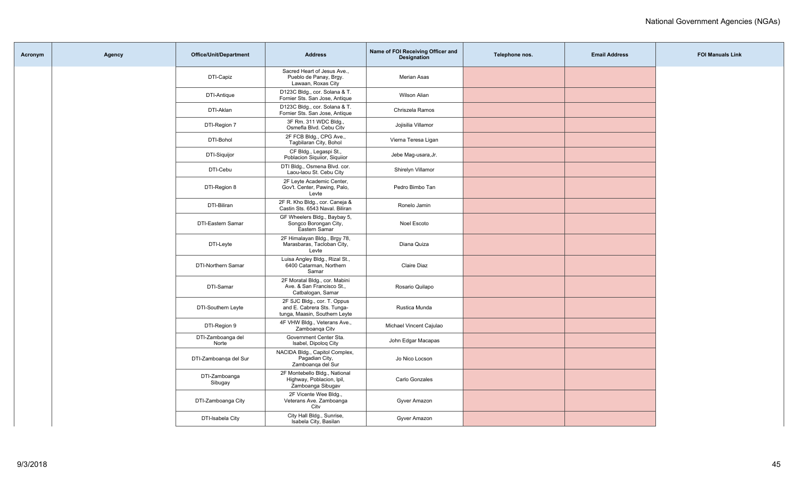| Acronym | Agency | <b>Office/Unit/Department</b> | <b>Address</b>                                                                             | Name of FOI Receiving Officer and<br>Designation | Telephone nos. | <b>Email Address</b> | <b>FOI Manuals Link</b> |
|---------|--------|-------------------------------|--------------------------------------------------------------------------------------------|--------------------------------------------------|----------------|----------------------|-------------------------|
|         |        | DTI-Capiz                     | Sacred Heart of Jesus Ave.,<br>Pueblo de Panay, Brgy.<br>Lawaan, Roxas City                | <b>Merian Asas</b>                               |                |                      |                         |
|         |        | DTI-Antique                   | D123C Bldg., cor. Solana & T.<br>Fornier Sts. San Jose, Antique                            | Wilson Alian                                     |                |                      |                         |
|         |        | DTI-Aklan                     | D123C Bldg., cor. Solana & T.<br>Fornier Sts. San Jose, Antique                            | Chriszela Ramos                                  |                |                      |                         |
|         |        | DTI-Region 7                  | 3F Rm. 311 WDC Bldg.,<br>Osmefla Blvd. Cebu Citv                                           | Jojisilia Villamor                               |                |                      |                         |
|         |        | DTI-Bohol                     | 2F FCB Bldg., CPG Ave.,<br>Tagbilaran City, Bohol                                          | Vierna Teresa Ligan                              |                |                      |                         |
|         |        | DTI-Siquijor                  | CF Bldg., Legaspi St.,<br>Poblacion Siguiior, Siguiior                                     | Jebe Mag-usara, Jr.                              |                |                      |                         |
|         |        | DTI-Cebu                      | DTI Bldg., Osmena Blvd. cor.<br>Laou-laou St. Cebu City                                    | Shirelyn Villamor                                |                |                      |                         |
|         |        | DTI-Region 8                  | 2F Leyte Academic Center,<br>Gov't. Center, Pawing, Palo,<br>Levte                         | Pedro Bimbo Tan                                  |                |                      |                         |
|         |        | DTI-Biliran                   | 2F R. Kho Bldg., cor. Caneja &<br>Castin Sts. 6543 Naval. Biliran                          | Ronelo Jamin                                     |                |                      |                         |
|         |        | DTI-Eastern Samar             | GF Wheelers Bldg., Baybay 5,<br>Songco Borongan City,<br>Eastern Samar                     | Noel Escoto                                      |                |                      |                         |
|         |        | DTI-Leyte                     | 2F Himalayan Bldg., Brgy 78,<br>Marasbaras, Tacloban City,<br>Levte                        | Diana Quiza                                      |                |                      |                         |
|         |        | DTI-Northern Samar            | Luisa Angley Bldg., Rizal St.,<br>6400 Catarman, Northern<br>Samar                         | Claire Diaz                                      |                |                      |                         |
|         |        | DTI-Samar                     | 2F Moratal Bldg., cor. Mabini<br>Ave. & San Francisco St.,<br>Catbalogan, Samar            | Rosario Quilapo                                  |                |                      |                         |
|         |        | DTI-Southern Leyte            | 2F SJC Bldg., cor. T. Oppus<br>and E. Cabrera Sts. Tunga-<br>tunga, Maasin, Southern Leyte | Rustica Munda                                    |                |                      |                         |
|         |        | DTI-Region 9                  | 4F VHW Bldg., Veterans Ave.,<br>Zamboanga Citv                                             | Michael Vincent Cajulao                          |                |                      |                         |
|         |        | DTI-Zamboanga del<br>Norte    | Government Center Sta.<br>Isabel, Dipolog City                                             | John Edgar Macapas                               |                |                      |                         |
|         |        | DTI-Zamboanga del Sur         | NACIDA Bldg., Capitol Complex,<br>Pagadian City,<br>Zamboanga del Sur                      | Jo Nico Locson                                   |                |                      |                         |
|         |        | DTI-Zamboanga<br>Sibugay      | 2F Montebello Bldg., National<br>Highway, Poblacion, Ipil,<br>Zamboanga Sibugav            | Carlo Gonzales                                   |                |                      |                         |
|         |        | DTI-Zamboanga City            | 2F Vicente Wee Bldg.,<br>Veterans Ave. Zamboanga<br>City                                   | Gyver Amazon                                     |                |                      |                         |
|         |        | DTI-Isabela City              | City Hall Bldg., Sunrise,<br>Isabela City, Basilan                                         | Gyver Amazon                                     |                |                      |                         |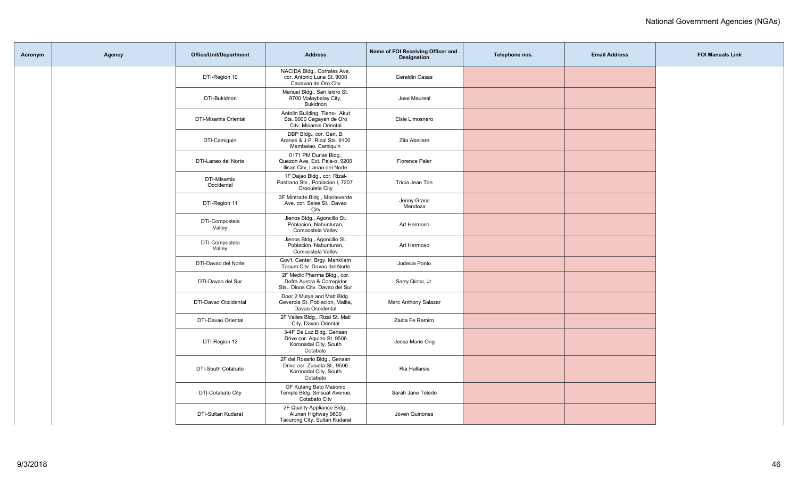| Acronym | <b>Agency</b> | Office/Unit/Department    | <b>Address</b>                                                                                    | Name of FOI Receiving Officer and<br><b>Designation</b> | Telephone nos. | <b>Email Address</b> | <b>FOI Manuals Link</b> |
|---------|---------------|---------------------------|---------------------------------------------------------------------------------------------------|---------------------------------------------------------|----------------|----------------------|-------------------------|
|         |               | DTI-Region 10             | NACIDA Bldg., Corrales Ave.<br>cor. Antonio Luna St. 9000<br>Caoavan de Oro Citv                  | Geraldin Casas                                          |                |                      |                         |
|         |               | DTI-Bukidnon              | Manuel Bldg., San Isidro St.<br>8700 Malaybalay City,<br>Bukidnon                                 | Jose Maureal                                            |                |                      |                         |
|         |               | DTI-Misamis Oriental      | Antolin Building, Tiano-, Akut<br>Sts. 9000 Cagayan de Oro<br>Citv. Misamis Oriental              | Elsie Limosnero                                         |                |                      |                         |
|         |               | DTI-Camiguin              | DBP Bldg., cor. Gen. B.<br>Aranas & J.P. Rizal Sts. 9100<br>Mambaiao. Camiquin                    | Zita Abellare                                           |                |                      |                         |
|         |               | DTI-Lanao del Norte       | 0171 PM Durias Bldg.,<br>Quezon Ave. Ext. Pala-o, 9200<br>Ilisan Citv, Lanao del Norte            | Florence Paler                                          |                |                      |                         |
|         |               | DTI-Misamis<br>Occidental | 1F Dajao Bldg., cor. Rizal-<br>Pastrano Sts., Poblacion I, 7207<br>Oroouieta City                 | Tricia Jean Tan                                         |                |                      |                         |
|         |               | DTI-Region 11             | 3F Mintrade Bldg., Monteverde<br>Ave. cor. Sales St., Davao<br>Citv                               | Jenny Grace<br>Mendoza                                  |                |                      |                         |
|         |               | DTI-Compostela<br>Valley  | Jienos Bldg., Agoncillo St.<br>Poblacion, Nabunturan,<br>Comoostela Vallev                        | Art Hermoso                                             |                |                      |                         |
|         |               | DTI-Compostela<br>Valley  | Jienos Bldg., Agoncillo St.<br>Poblacion, Nabunturan,<br>Comoostela Vallev                        | Art Hermoso                                             |                |                      |                         |
|         |               | DTI-Davao del Norte       | Gov't. Center, Brgy. Mankilam<br>Taoum Citv. Davao del Norte                                      | Judecia Ponio                                           |                |                      |                         |
|         |               | DTI-Davao del Sur         | 2F Medic Pharma Bldg., cor.<br>Dofra Aurora & Corregidor<br>Sts Dioos Citv. Davao del Sur         | Sarry Qinoc, Jr.                                        |                |                      |                         |
|         |               | DTI-Davao Occidental      | Door 2 Mutya and Matt Bldg.<br>Geverola St. Poblacion, Malita,<br>Davao Occidental                | Marc Anthony Salazar                                    |                |                      |                         |
|         |               | DTI-Davao Oriental        | 2F Valles Bldg., Rizal St. Mati<br>City, Davao Oriental                                           | Zaida Fe Ramiro                                         |                |                      |                         |
|         |               | DTI-Region 12             | 3-4F De Luz Bldg. Gensan<br>Drive cor. Aquino St. 9506<br>Koronadal City, South<br>Cotabato       | Jessa Marie Ong                                         |                |                      |                         |
|         |               | DTI-South Cotabato        | 2F del Rosario Bldg., Gensan<br>Drive cor. Zulueta St., 9506<br>Koronadal City, South<br>Cotabato | Ria Hallarsis                                           |                |                      |                         |
|         |               | DT -Cotabato City         | GF Kutang Bato Masonic<br>Temple Bldg. Sinsuat Avenue,<br>Cotabato Citv                           | Sarah Jane Toledo                                       |                |                      |                         |
|         |               | DTI-Sultan Kudarat        | 2F Quality Appliance Bldg.,<br>Alunan Highway 9800<br>Tacurong City, Sultan Kudarat               | Joven Quiriones                                         |                |                      |                         |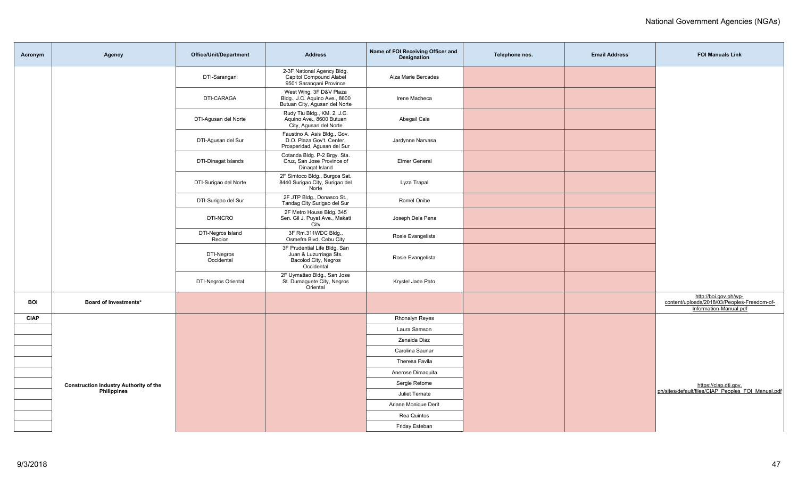| Acronym     | Agency                                                              | <b>Office/Unit/Department</b> | <b>Address</b>                                                                               | Name of FOI Receiving Officer and<br><b>Designation</b> | Telephone nos. | <b>Email Address</b> | <b>FOI Manuals Link</b>                                                                        |
|-------------|---------------------------------------------------------------------|-------------------------------|----------------------------------------------------------------------------------------------|---------------------------------------------------------|----------------|----------------------|------------------------------------------------------------------------------------------------|
|             |                                                                     | DTI-Sarangani                 | 2-3F National Agency Bldg.<br>Capitol Compound Alabel<br>9501 Sarangani Province             | Aiza Marie Bercades                                     |                |                      |                                                                                                |
|             |                                                                     | DTI-CARAGA                    | West Wing, 3F D&V Plaza<br>Bldg., J.C. Aquino Ave., 8600<br>Butuan City, Agusan del Norte    | Irene Macheca                                           |                |                      |                                                                                                |
|             |                                                                     | DTI-Agusan del Norte          | Rudy Tiu Bldg., KM. 2, J.C.<br>Aquino Ave., 8600 Butuan<br>City, Agusan del Norte            | Abegail Cala                                            |                |                      |                                                                                                |
|             |                                                                     | DTI-Agusan del Sur            | Faustino A. Asis Bldg., Gov.<br>D.O. Plaza Gov't. Center,<br>Prosperidad, Agusan del Sur     | Jardynne Narvasa                                        |                |                      |                                                                                                |
|             |                                                                     | DTI-Dinagat Islands           | Cotanda Bldg. P-2 Brgy. Sta.<br>Cruz, San Jose Province of<br>Dinagat Island                 | <b>Elmer General</b>                                    |                |                      |                                                                                                |
|             |                                                                     | DTI-Surigao del Norte         | 2F Simtoco Bldg., Burgos Sat.<br>8440 Surigao City, Surigao del<br>Norte                     | Lyza Trapal                                             |                |                      |                                                                                                |
|             |                                                                     | DTI-Surigao del Sur           | 2F JTP Bldg., Donasco St.,<br>Tandag City Surigao del Sur                                    | Romel Onibe                                             |                |                      |                                                                                                |
|             |                                                                     | DTI-NCRO                      | 2F Metro House Bldg. 345<br>Sen. Gil J. Puyat Ave., Makati<br>City                           | Joseph Dela Pena                                        |                |                      |                                                                                                |
|             |                                                                     | DTI-Negros Island<br>Reoion   | 3F Rm.311WDC Bldg.,<br>Osmefra Blvd. Cebu City                                               | Rosie Evangelista                                       |                |                      |                                                                                                |
|             |                                                                     | DTI-Negros<br>Occidental      | 3F Prudential Life Bldg. San<br>Juan & Luzurriaga Sts.<br>Bacolod City, Negros<br>Occidental | Rosie Evangelista                                       |                |                      |                                                                                                |
|             |                                                                     | <b>DTI-Negros Oriental</b>    | 2F Uymatiao Bldg., San Jose<br>St. Dumaguete City, Negros<br>Oriental                        | Krystel Jade Pato                                       |                |                      |                                                                                                |
| <b>BOI</b>  | <b>Board of Investments*</b>                                        |                               |                                                                                              |                                                         |                |                      | http://boi.gov.ph/wp-<br>content/uploads/2018/03/Peoples-Freedom-of-<br>Information-Manual.pdf |
| <b>CIAP</b> |                                                                     |                               |                                                                                              | <b>Rhonalyn Reyes</b>                                   |                |                      |                                                                                                |
|             |                                                                     |                               |                                                                                              | Laura Samson                                            |                |                      |                                                                                                |
|             |                                                                     |                               |                                                                                              | Zenaida Diaz                                            |                |                      |                                                                                                |
|             |                                                                     |                               |                                                                                              | Carolina Saunar                                         |                |                      |                                                                                                |
|             | <b>Construction Industry Authority of the</b><br><b>Philippines</b> |                               |                                                                                              | Theresa Favila                                          |                |                      |                                                                                                |
|             |                                                                     |                               |                                                                                              | Anerose Dimaguita                                       |                |                      |                                                                                                |
|             |                                                                     |                               |                                                                                              | Sergie Retome                                           |                |                      | https://ciap.dti.gov.<br>ph/sites/default/files/CIAP_Peoples_FOI_Manual.pdf                    |
|             |                                                                     |                               |                                                                                              | Juliet Ternate                                          |                |                      |                                                                                                |
|             |                                                                     |                               |                                                                                              | Ariane Monique Derit                                    |                |                      |                                                                                                |
|             |                                                                     |                               |                                                                                              | Rea Quintos                                             |                |                      |                                                                                                |
|             |                                                                     |                               |                                                                                              | Friday Esteban                                          |                |                      |                                                                                                |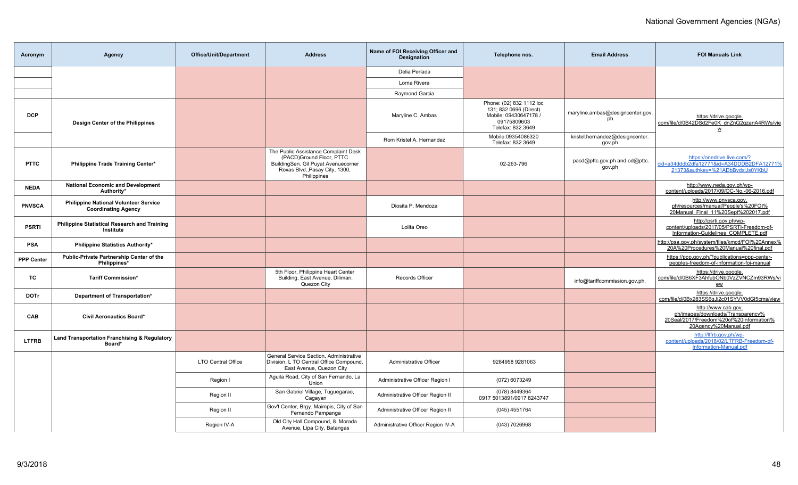| Acronym           | Agency                                                                     | Office/Unit/Department    | <b>Address</b>                                                                                                                                           | Name of FOI Receiving Officer and<br><b>Designation</b> | Telephone nos.                                                                                                  | <b>Email Address</b>                      | <b>FOI Manuals Link</b>                                                                                                      |
|-------------------|----------------------------------------------------------------------------|---------------------------|----------------------------------------------------------------------------------------------------------------------------------------------------------|---------------------------------------------------------|-----------------------------------------------------------------------------------------------------------------|-------------------------------------------|------------------------------------------------------------------------------------------------------------------------------|
|                   |                                                                            |                           |                                                                                                                                                          | Delia Perlada                                           |                                                                                                                 |                                           |                                                                                                                              |
|                   |                                                                            |                           |                                                                                                                                                          | Lorna Rivera                                            |                                                                                                                 |                                           |                                                                                                                              |
|                   |                                                                            |                           |                                                                                                                                                          | Raymond Garcia                                          |                                                                                                                 |                                           |                                                                                                                              |
| <b>DCP</b>        | Design Center of the Philippines                                           |                           |                                                                                                                                                          | Maryline C. Ambas                                       | Phone: (02) 832 1112 loc<br>131; 832 0696 (Direct)<br>Mobile: 09430647178 /<br>09175809603<br>Telefax: 832.3649 | maryline.ambas@designcenter.gov.<br>ph    | https://drive.google.<br>com/file/d/0B42DSd2Fe0K dnZnQ2qzanA4RWs/vie<br>W                                                    |
|                   |                                                                            |                           |                                                                                                                                                          | Rom Kristel A. Hernandez                                | Mobile:09354086320<br>Telefax: 832 3649                                                                         | kristel.hernandez@designcenter.<br>gov.ph |                                                                                                                              |
| <b>PTTC</b>       | Philippine Trade Training Center*                                          |                           | The Public Assistance Complaint Desk<br>(PACD)Ground Floor, PTTC<br>BuildingSen. Gil Puyat Avenuecorner<br>Roxas Blvd., Pasay City, 1300,<br>Philippines |                                                         | 02-263-796                                                                                                      | pacd@pttc.gov.ph and od@pttc.<br>gov.ph   | https://onedrive.live.com/?<br>id=a34dddb2dfa12771&id=A34DDDB2DFA12771%<br>21373&authkev=%21ADbBvdxiJs0YKbU                  |
| <b>NEDA</b>       | <b>National Economic and Development</b><br>Authority*                     |                           |                                                                                                                                                          |                                                         |                                                                                                                 |                                           | http://www.neda.gov.ph/wp-<br>content/uploads/2017/09/OC-No.-06-2016.pdf                                                     |
| <b>PNVSCA</b>     | <b>Philippine National Volunteer Service</b><br><b>Coordinating Agency</b> |                           |                                                                                                                                                          | Diosita P. Mendoza                                      |                                                                                                                 |                                           | http://www.pnvsca.gov.<br>ph/resources/manual/People's%20FOI%<br>20Manual_Final_11%20Sept%202017.pdf                         |
| <b>PSRTI</b>      | <b>Philippine Statistical Research and Training</b><br>Institute           |                           |                                                                                                                                                          | Lolita Oreo                                             |                                                                                                                 |                                           | http://psrti.gov.ph/wp-<br>content/uploads/2017/05/PSRTI-Freedom-of-<br>Information-Guidelines COMPLETE.pdf                  |
| PSA               | Philippine Statistics Authority*                                           |                           |                                                                                                                                                          |                                                         |                                                                                                                 |                                           | http://psa.gov.ph/system/files/kmcd/FOI%20Annex%<br>20A%20Procedures%20Manual%20final.pdf                                    |
| <b>PPP Center</b> | Public-Private Partnership Center of the<br>Philippines*                   |                           |                                                                                                                                                          |                                                         |                                                                                                                 |                                           | https://ppp.gov.ph/?publications=ppp-center-<br>peoples-freedom-of-information-foi-manual                                    |
| <b>TC</b>         | <b>Tariff Commission*</b>                                                  |                           | 5th Floor, Philippine Heart Center<br>Building, East Avenue, Diliman,<br>Quezon City                                                                     | Records Officer                                         |                                                                                                                 | info@tariffcommission.gov.ph.             | https://drive.google.<br>com/file/d/0B6XF3AhfubONb0VzZVNCZm93RWs/vi<br>ew                                                    |
| <b>DOTr</b>       | Department of Transportation*                                              |                           |                                                                                                                                                          |                                                         |                                                                                                                 |                                           | https://drive.google.<br>com/file/d/0Bx283SS6qJi2c01SYVV0dGl5cms/view                                                        |
| CAB               | <b>Civil Aeronautics Board*</b>                                            |                           |                                                                                                                                                          |                                                         |                                                                                                                 |                                           | http://www.cab.gov.<br>ph/images/downloads/Transparency%<br>20Seal/2017/Freedom%20of%20Information%<br>20Agency%20Manual.pdf |
| <b>LTFRB</b>      | Land Transportation Franchising & Regulatory<br>Board*                     |                           |                                                                                                                                                          |                                                         |                                                                                                                 |                                           | http://ltfrb.gov.ph/wp-<br>content/uploads/2018/02/LTFRB-Freedom-of-<br>Information-Manual.pdf                               |
|                   |                                                                            | <b>LTO Central Office</b> | General Service Section. Administrative<br>Division, L TO Central Office Compound,<br>East Avenue, Quezon City                                           | Administrative Officer                                  | 9284958 9281063                                                                                                 |                                           |                                                                                                                              |
|                   |                                                                            | Region I                  | Aguila Road, City of San Fernando, La<br>Union                                                                                                           | Administrative Officer Region I                         | (072) 6073249                                                                                                   |                                           |                                                                                                                              |
|                   |                                                                            | Region II                 | San Gabriel Village, Tuguegarao,<br>Cagayan                                                                                                              | Administrative Officer Region II                        | (078) 8449364<br>0917 5013891/0917 8243747                                                                      |                                           |                                                                                                                              |
|                   |                                                                            | Region II                 | Gov't Center, Brgy. Maimpis, City of San<br>Fernando Pampanga                                                                                            | Administrative Officer Region II                        | (045) 4551764                                                                                                   |                                           |                                                                                                                              |
|                   |                                                                            | Region IV-A               | Old City Hall Compound, 8. Morada<br>Avenue, Lipa City, Batangas                                                                                         | Administrative Officer Region IV-A                      | (043) 7026968                                                                                                   |                                           |                                                                                                                              |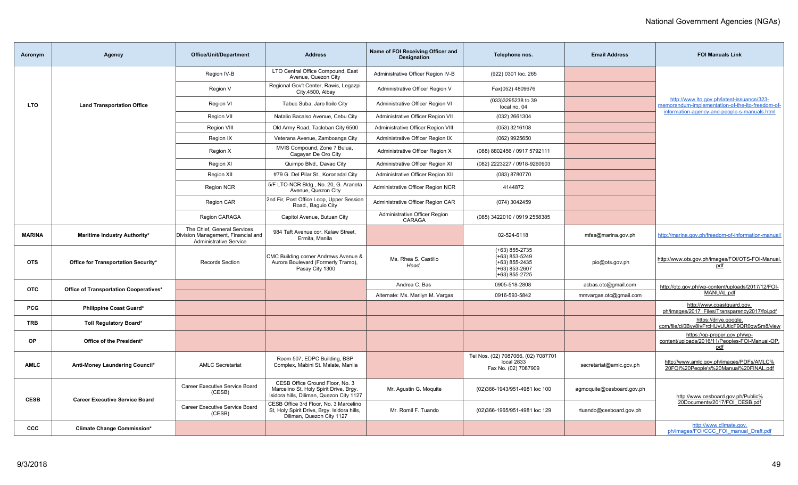| Acronym       | <b>Agency</b>                          | <b>Office/Unit/Department</b>                                                                      | <b>Address</b>                                                                                                        | Name of FOI Receiving Officer and<br><b>Designation</b> | Telephone nos.                                                                                   | <b>Email Address</b>      | <b>FOI Manuals Link</b>                                                                        |
|---------------|----------------------------------------|----------------------------------------------------------------------------------------------------|-----------------------------------------------------------------------------------------------------------------------|---------------------------------------------------------|--------------------------------------------------------------------------------------------------|---------------------------|------------------------------------------------------------------------------------------------|
|               |                                        | Region IV-B                                                                                        | LTO Central Office Compound, East<br>Avenue, Quezon City                                                              | Administrative Officer Region IV-B                      | (922) 0301 loc. 265                                                                              |                           |                                                                                                |
|               |                                        | Region V                                                                                           | Regional Gov't Center, Rawis, Legazpi<br>City, 4500, Albay                                                            | Administrative Officer Region V                         | Fax(052) 4809676                                                                                 |                           |                                                                                                |
| <b>LTO</b>    | <b>Land Transportation Office</b>      | Region VI                                                                                          | Tabuc Suba, Jaro Iloilo City                                                                                          | Administrative Officer Region VI                        | (033)3295238 to 39<br>local no. 04                                                               |                           | http://www.lto.gov.ph/latest-issuance/323-<br>memorandum-implementation-of-the-lto-freedom-of- |
|               |                                        | Region VII                                                                                         | Natalio Bacalso Avenue, Cebu City                                                                                     | Administrative Officer Region VII                       | (032) 2661304                                                                                    |                           | information-agency-and-people-s-manuals.html                                                   |
|               |                                        | <b>Region VIII</b>                                                                                 | Old Army Road, Tacloban City 6500                                                                                     | Administrative Officer Region VIII                      | (053) 3216108                                                                                    |                           |                                                                                                |
|               |                                        | Region IX                                                                                          | Veterans Avenue, Zamboanga City                                                                                       | Administrative Officer Region IX                        | (062) 9925650                                                                                    |                           |                                                                                                |
|               |                                        | Region X                                                                                           | MVIS Compound, Zone 7 Bulua,<br>Cagayan De Oro City                                                                   | Administrative Officer Region X                         | (088) 8802456 / 0917 5792111                                                                     |                           |                                                                                                |
|               |                                        | Region XI                                                                                          | Quimpo Blvd., Davao City                                                                                              | Administrative Officer Region XI                        | (082) 2223227 / 0918-9260903                                                                     |                           |                                                                                                |
|               |                                        | Region XII                                                                                         | #79 G. Del Pilar St., Koronadal City                                                                                  | Administrative Officer Region XII                       | (083) 8780770                                                                                    |                           |                                                                                                |
|               |                                        | Region NCR                                                                                         | 5/F LTO-NCR Bldg., No. 20, G. Araneta<br>Avenue, Quezon City                                                          | Administrative Officer Region NCR                       | 4144872                                                                                          |                           |                                                                                                |
|               |                                        | <b>Region CAR</b>                                                                                  | 2nd Fir, Post Office Loop, Upper Session<br>Road., Baguio City                                                        | Administrative Officer Region CAR                       | (074) 3042459                                                                                    |                           |                                                                                                |
|               |                                        | Region CARAGA                                                                                      | Capitol Avenue, Butuan City                                                                                           | Administrative Officer Region<br>CARAGA                 | (085) 3422010 / 0919 2558385                                                                     |                           |                                                                                                |
| <b>MARINA</b> | Maritime Industry Authority*           | The Chief, General Services<br>Division Management, Financial and<br><b>Administrative Service</b> | 984 Taft Avenue cor. Kalaw Street.<br>Ermita, Manila                                                                  |                                                         | 02-524-6118                                                                                      | mfas@marina.gov.ph        | http://marina.gov.ph/freedom-of-information-manual.                                            |
| <b>OTS</b>    | Office for Transportation Security*    | <b>Records Section</b>                                                                             | CMC Building corner Andrews Avenue &<br>Aurora Boulevard (Formerly Tramo),<br>Pasay City 1300                         | Ms. Rhea S. Castillo<br>Head.                           | $(+63)$ 855-2735<br>$(+63)$ 853-5249<br>$(+63)$ 855-2435<br>$(+63)$ 853-2607<br>$(+63)$ 855-2725 | pio@ots.gov.ph            | http://www.ots.gov.ph/images/FOI/OTS-FOI-Manual.<br>pdf                                        |
| <b>OTC</b>    | Office of Transportation Cooperatives* |                                                                                                    |                                                                                                                       | Andrea C. Bas                                           | 0905-518-2808                                                                                    | acbas.otc@gmail.com       | http://otc.gov.ph/wp-content/uploads/2017/12/FOI-                                              |
|               |                                        |                                                                                                    |                                                                                                                       | Alternate: Ms. Marilyn M. Vargas                        | 0916-593-5842                                                                                    | mmvargas.otc@gmail.com    | MANUAL.pdf                                                                                     |
| <b>PCG</b>    | <b>Philippine Coast Guard*</b>         |                                                                                                    |                                                                                                                       |                                                         |                                                                                                  |                           | http://www.coastguard.gov.<br>ph/images/2017_Files/Transparency2017/foi.pdf                    |
| <b>TRB</b>    | <b>Toll Regulatory Board*</b>          |                                                                                                    |                                                                                                                       |                                                         |                                                                                                  |                           | https://drive.google.<br>com/file/d/0Byy8IyFrcHUyUUticF9QR0gwSm8/view                          |
| OP            | Office of the President*               |                                                                                                    |                                                                                                                       |                                                         |                                                                                                  |                           | https://op-proper.gov.ph/wp-<br>content/uploads/2016/11/Peoples-FOI-Manual-OP.<br>pdf          |
| <b>AMLC</b>   | Anti-Money Laundering Council*         | <b>AMLC Secretariat</b>                                                                            | Room 507, EDPC Building, BSP<br>Complex, Mabini St. Malate, Manila                                                    |                                                         | Tel Nos. (02) 7087066, (02) 7087701<br>local 2833<br>Fax No. (02) 7087909                        | secretariat@amlc.gov.ph   | http://www.amlc.gov.ph/images/PDFs/AMLC%<br>20FOI%20People's%20Manual%20FINAL.pdf              |
| <b>CESB</b>   |                                        | Career Executive Service Board<br>(CESB)                                                           | CESB Office Ground Floor, No. 3<br>Marcelino St, Holy Spirit Drive, Brgy.<br>Isidora hills, Diliman, Quezon City 1127 | Mr. Agustin G. Moguite                                  | (02)366-1943/951-4981 loc 100                                                                    | agmoquite@cesboard.gov.ph | http://www.cesboard.gov.ph/Public%                                                             |
|               | <b>Career Executive Service Board</b>  | Career Executive Service Board<br>(CESB)                                                           | CESB Office 3rd Floor, No. 3 Marcelino<br>St, Holy Spirit Drive, Brgy. Isidora hills,<br>Diliman, Quezon City 1127    | Mr. Romil F. Tuando                                     | (02)366-1965/951-4981 loc 129                                                                    | rtuando@cesboard.gov.ph   | 20Documents/2017/FOI CESB.pdf                                                                  |
| <b>CCC</b>    | <b>Climate Change Commission*</b>      |                                                                                                    |                                                                                                                       |                                                         |                                                                                                  |                           | http://www.climate.gov.<br>ph/images/FOI/CCC FOI manual Draft.pdf                              |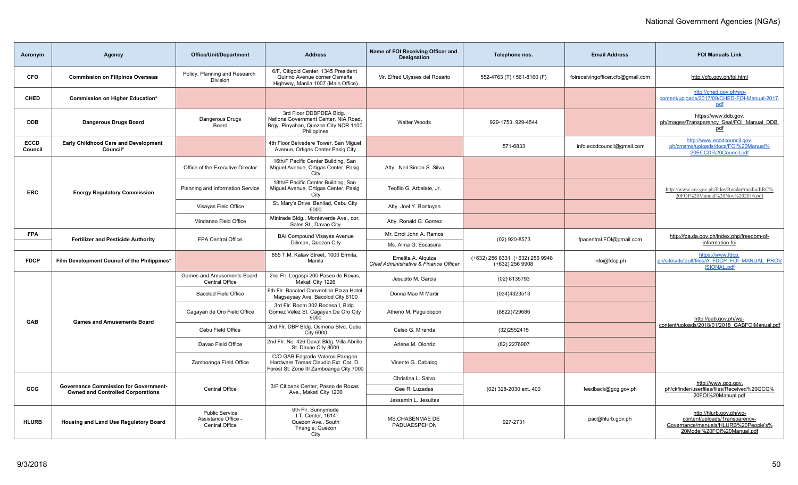| Acronym                | Agency                                                                                   | <b>Office/Unit/Department</b>                                  | <b>Address</b>                                                                                                          | Name of FOI Receiving Officer and<br><b>Designation</b>      | Telephone nos.                                       | <b>Email Address</b>              | <b>FOI Manuals Link</b>                                                                                                        |
|------------------------|------------------------------------------------------------------------------------------|----------------------------------------------------------------|-------------------------------------------------------------------------------------------------------------------------|--------------------------------------------------------------|------------------------------------------------------|-----------------------------------|--------------------------------------------------------------------------------------------------------------------------------|
| CFO                    | <b>Commission on Filipinos Overseas</b>                                                  | Policy, Planning and Research<br>Division                      | 6/F, Citigold Center, 1345 President<br>Quirino Avenue corner Osmeña<br>Highway, Manila 1007 (Main Office)              | Mr. Elfred Ulysses del Rosario                               | 552-4763 (T) / 561-8160 (F)                          | foireceivingofficer.cfo@gmail.com | http://cfo.gov.ph/foi.html                                                                                                     |
| <b>CHED</b>            | Commission on Higher Education*                                                          |                                                                |                                                                                                                         |                                                              |                                                      |                                   | http://ched.gov.ph/wp-<br>content/uploads/2017/09/CHED-FOI-Manual-2017.<br><u>pdf</u>                                          |
| <b>DDB</b>             | <b>Dangerous Drugs Board</b>                                                             | Dangerous Drugs<br>Board                                       | 3rd Floor DDBPDEA Bldg.,<br>NationalGovernment Center, NIA Road,<br>Brgy. Pinyahan, Quezon City NCR 1100<br>Philippines | <b>Walter Woods</b>                                          | 929-1753, 929-4544                                   |                                   | https://www.ddb.gov.<br>ph/images/Transparency_Seal/FOI_Manual_DDB.<br>pdf                                                     |
| <b>ECCD</b><br>Council | Early Childhood Care and Development<br>Council*                                         |                                                                | 4th Floor Belvedere Tower, San Miguel<br>Avenue, Ortigas Center Pasig City                                              |                                                              | 571-6833                                             | info.eccdcouncil@gmail.com        | http://www.eccdcouncil.gov.<br>ph/cmsms/uploads/docs/FOI%20Manual%<br>20ECCD%20Council.pdf                                     |
|                        |                                                                                          | Office of the Executive Director                               | 16th/F Pacific Center Building, San<br>Miguel Avenue, Ortigas Center, Pasig<br>City                                     | Atty. Neil Simon S. Silva                                    |                                                      |                                   |                                                                                                                                |
| <b>ERC</b>             | <b>Energy Regulatory Commission</b>                                                      | Planning and Information Service                               | 18th/F Pacific Center Building, San<br>Miguel Avenue, Ortigas Center, Pasig<br>City                                     | Teofilo G. Arbalate, Jr.                                     |                                                      |                                   | http://www.erc.gov.ph/Files/Render/media/ERC%<br>20FOI%20Manual%20Nov%202016.pdf                                               |
|                        |                                                                                          | Visayas Field Office                                           | St. Mary's Drive, Banilad, Cebu City<br>6000                                                                            | Atty. Joel Y. Bontuyan                                       |                                                      |                                   |                                                                                                                                |
|                        |                                                                                          | Mindanao Field Office                                          | Mintrade Bldg., Monteverde Ave., cor.<br>Sales St., Davao City                                                          | Atty. Ronald G. Gomez                                        |                                                      |                                   |                                                                                                                                |
| <b>FPA</b>             | <b>Fertilizer and Pesticide Authority</b>                                                | FPA Central Office                                             | <b>BAI Compound Visayas Avenue</b><br>Diliman, Quezon City                                                              | Mr. Errol John A. Ramos<br>Ms. Alma G. Escasura              | (02) 920-8573                                        | fpacentral.FOI@gmail.com          | http://fpa.da.gov.ph/index.php/freedom-of-<br>information-foi                                                                  |
| <b>FDCP</b>            | Film Development Council of the Philippines*                                             |                                                                | 855 T.M. Kalaw Street, 1000 Ermita,<br>Manila                                                                           | Emelita A. Alguiza<br>Chief Administrative & Finance Officer | (+632) 256 8331 (+632) 256 9948<br>$(+632)$ 256 9908 | info@fdcp.ph                      | https://www.fdcp.<br>ph/sites/default/files/A FDCP FOI MANUAL PROV<br><b>ISIONAL.pdf</b>                                       |
|                        |                                                                                          | Games and Amusements Board<br><b>Central Office</b>            | 2nd Flr. Legaspi 200 Paseo de Roxas,<br>Makati City 1226                                                                | Jesucito M. Garcia                                           | (02) 8135793                                         |                                   |                                                                                                                                |
|                        |                                                                                          | <b>Bacolod Field Office</b>                                    | 6th Flr. Bacolod Convention Plaza Hotel<br>Magsaysay Ave. Bacolod City 6100                                             | Donna Mae M Martir                                           | (034)4323513                                         |                                   |                                                                                                                                |
| <b>GAB</b>             | <b>Games and Amusements Board</b>                                                        | Cagayan de Oro Field Office                                    | 3rd Flr. Room 302 Rodesa I, Bldg.<br>Gomez Velez St. Cagayan De Oro City<br>9000                                        | Atheno M. Paquidopon                                         | (8822)729686                                         |                                   | http://gab.gov.ph/wp-                                                                                                          |
|                        |                                                                                          | Cebu Field Office                                              | 2nd Flr. DBP Bldg. Osmeña Blvd. Cebu<br><b>City 6000</b>                                                                | Celso G. Miranda                                             | (32)2552415                                          |                                   | content/uploads/2018/01/2018 GABFOIManual.pdf                                                                                  |
|                        |                                                                                          | Davao Field Office                                             | 2nd Flr. No. 426 Davat Bldg. Villa Abrille<br>St. Davao City 8000                                                       | Arlene M. Olonriz                                            | (82) 2276907                                         |                                   |                                                                                                                                |
|                        |                                                                                          | Zamboanga Fleld Office                                         | C/O GAB Edgrado Valeros Paragon<br>Hardware Tomas Claudio Ext. Cor. D.<br>Forest St. Zone III Zamboanga City 7000       | Vicente G. Cabalog                                           |                                                      |                                   |                                                                                                                                |
|                        |                                                                                          |                                                                |                                                                                                                         | Christina L. Salvo                                           |                                                      |                                   | http://www.gcg.gov.                                                                                                            |
| GCG                    | <b>Governance Commission for Government-</b><br><b>Owned and Controlled Corporations</b> | <b>Central Office</b>                                          | 3/F Citibank Center, Paseo de Roxas<br>Ave., Makati City 1200                                                           | Gee R. Luzadas                                               | (02) 328-2030 ext. 400                               | feedback@gcg.gov.ph               | ph/ckfinder/userfiles/files/Received%20GCG%<br>20FOI%20Manual.pdf                                                              |
|                        |                                                                                          |                                                                |                                                                                                                         | Jessamin L. Jesuitas                                         |                                                      |                                   |                                                                                                                                |
| <b>HLURB</b>           | Housing and Land Use Regulatory Board                                                    | <b>Public Service</b><br>Assistance Office -<br>Central Office | 6th Flr. Sunnymede<br>I.T. Center, 1614<br>Quezon Ave., South<br>Triangle, Quezon<br>City                               | <b>MS.CHASENMAE DE</b><br>PADUAESPEHON                       | 927-2731                                             | pac@hlurb.gov.ph                  | http://hlurb.gov.ph/wp-<br>content/uploads/Transparency-<br>Governance/manuals/HLURB%20People's%<br>20Model%20FOI%20Manual.pdf |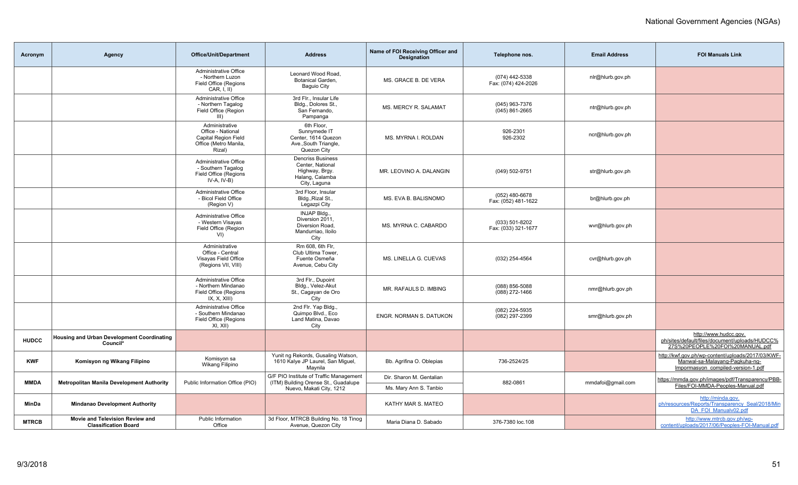| Acronym      | Agency                                                         | <b>Office/Unit/Department</b>                                                                         | <b>Address</b>                                                                                              | Name of FOI Receiving Officer and<br><b>Designation</b> | Telephone nos.                          | <b>Email Address</b> | <b>FOI Manuals Link</b>                                                                                                   |
|--------------|----------------------------------------------------------------|-------------------------------------------------------------------------------------------------------|-------------------------------------------------------------------------------------------------------------|---------------------------------------------------------|-----------------------------------------|----------------------|---------------------------------------------------------------------------------------------------------------------------|
|              |                                                                | Administrative Office<br>- Northern Luzon<br>Field Office (Regions<br>CAR, I, II)                     | Leonard Wood Road<br>Botanical Garden,<br><b>Baguio City</b>                                                | MS. GRACE B. DE VERA                                    | (074) 442-5338<br>Fax: (074) 424-2026   | nlr@hlurb.gov.ph     |                                                                                                                           |
|              |                                                                | Administrative Office<br>- Northern Tagalog<br>Field Office (Region<br>$III$ )                        | 3rd Flr., Insular Life<br>Bldg., Dolores St.,<br>San Fernando,<br>Pampanga                                  | MS. MERCY R. SALAMAT                                    | (045) 963-7376<br>$(045)$ 861-2665      | ntr@hlurb.gov.ph     |                                                                                                                           |
|              |                                                                | Administrative<br>Office - National<br><b>Capital Region Field</b><br>Office (Metro Manila,<br>Rizal) | 6th Floor.<br>Sunnymede IT<br>Center, 1614 Quezon<br>Ave., South Triangle,<br>Quezon City                   | MS. MYRNA I. ROLDAN                                     | 926-2301<br>926-2302                    | ncr@hlurb.gov.ph     |                                                                                                                           |
|              |                                                                | <b>Administrative Office</b><br>- Southern Tagalog<br>Field Office (Regions<br>$IV-A, IV-B)$          | <b>Dencriss Business</b><br>Center, National<br>Highway, Brgy.<br>Halang, Calamba<br>City, Laguna           | MR. LEOVINO A. DALANGIN                                 | (049) 502-9751                          | str@hlurb.gov.ph     |                                                                                                                           |
|              |                                                                | Administrative Office<br>- Bicol Field Office<br>(Region V)                                           | 3rd Floor, Insular<br>Bldg., Rizal St.,<br>Legazpi City                                                     | MS. EVA B. BALISNOMO                                    | $(052)$ 480-6678<br>Fax: (052) 481-1622 | br@hlurb.gov.ph      |                                                                                                                           |
|              |                                                                | Administrative Office<br>- Western Visayas<br>Field Office (Region<br>V <sub>1</sub>                  | INJAP Bldg.,<br>Diversion 2011,<br>Diversion Road.<br>Mandurriao, Iloilo<br>City                            | MS. MYRNA C. CABARDO                                    | (033) 501-8202<br>Fax: (033) 321-1677   | wvr@hlurb.gov.ph     |                                                                                                                           |
|              |                                                                | Administrative<br>Office - Central<br>Visayas Field Office<br>(Regions VII, VIII)                     | Rm 608, 6th Flr,<br>Club Ultima Tower,<br>Fuente Osmeña<br>Avenue, Cebu City                                | MS. LINELLA G. CUEVAS                                   | (032) 254-4564                          | cvr@hlurb.gov.ph     |                                                                                                                           |
|              |                                                                | Administrative Office<br>- Northern Mindanao<br>Field Office (Regions<br>IX, X, XIII)                 | 3rd Flr., Dupoint<br>Bldg., Velez-Akut<br>St., Cagayan de Oro<br>City                                       | MR. RAFAULS D. IMBING                                   | (088) 856-5088<br>(088) 272-1466        | nmr@hlurb.gov.ph     |                                                                                                                           |
|              |                                                                | <b>Administrative Office</b><br>- Southern Mindanao<br>Field Office (Regions<br>XI, XII)              | 2nd Flr. Yap Bldg.,<br>Quimpo Blvd., Eco<br>Land Matina, Davao<br>City                                      | ENGR. NORMAN S. DATUKON                                 | (082) 224-5935<br>(082) 297-2399        | smr@hlurb.gov.ph     |                                                                                                                           |
| <b>HUDCC</b> | <b>Housing and Urban Development Coordinating</b><br>Council*  |                                                                                                       |                                                                                                             |                                                         |                                         |                      | http://www.hudcc.gov.<br>ph/sites/default/files/document/uploads/HUDCC%<br>27S%20PEOPLE%20FOI%20MANUAL.pdf                |
| <b>KWF</b>   | Komisyon ng Wikang Filipino                                    | Komisyon sa<br>Wikang Filipino                                                                        | Yunit ng Rekords, Gusaling Watson,<br>1610 Kalye JP Laurel, San Miguel,<br>Maynila                          | Bb. Agrifina O. Oblepias                                | 736-2524/25                             |                      | http://kwf.gov.ph/wp-content/uploads/2017/03/KWF-<br>Manwal-sa-Malayang-Pagkuha-ng-<br>Impormasyon_compiled-version-1.pdf |
| <b>MMDA</b>  | <b>Metropolitan Manila Development Authority</b>               | Public Information Office (PIO)                                                                       | G/F PIO Institute of Traffic Management<br>(ITM) Building Orense St., Guadalupe<br>Nuevo, Makati City, 1212 | Dir. Sharon M. Gentalian<br>Ms. Mary Ann S. Tanbio      | 882-0861                                | mmdafoi@gmail.com    | https://mmda.gov.ph/images/pdf/Transparency/PBB-<br>Files/FOI-MMDA-Peoples-Manual.pdf                                     |
| MinDa        | <b>Mindanao Development Authority</b>                          |                                                                                                       |                                                                                                             | KATHY MAR S. MATEO                                      |                                         |                      | http://minda.gov.<br>ph/resources/Reports/Transparency Seal/2018/Min<br>DA FOI Manualv02.pdf                              |
| <b>MTRCB</b> | Movie and Television Review and<br><b>Classification Board</b> | <b>Public Information</b><br>Office                                                                   | 3d Floor, MTRCB Building No. 18 Tinog<br>Avenue, Quezon City                                                | Maria Diana D. Sabado                                   | 376-7380 loc.108                        |                      | http://www.mtrcb.gov.ph/wp-<br>content/uploads/2017/06/Peoples-FOI-Manual.pdf                                             |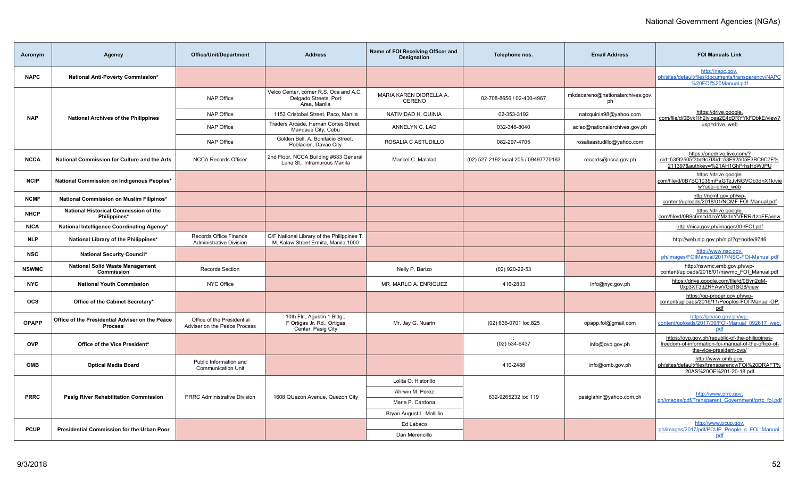| Acronym      | Agency                                                            | <b>Office/Unit/Department</b>                              | <b>Address</b>                                                                    | Name of FOI Receiving Officer and<br><b>Designation</b> | Telephone nos.                        | <b>Email Address</b>                   | <b>FOI Manuals Link</b>                                                                                                           |
|--------------|-------------------------------------------------------------------|------------------------------------------------------------|-----------------------------------------------------------------------------------|---------------------------------------------------------|---------------------------------------|----------------------------------------|-----------------------------------------------------------------------------------------------------------------------------------|
| <b>NAPC</b>  | National Anti-Poverty Commission*                                 |                                                            |                                                                                   |                                                         |                                       |                                        | http://napc.gov.<br>ph/sites/default/files/documents/transparency/NAPC<br>%20FOI%20Manual.pdf                                     |
|              |                                                                   | <b>NAP Office</b>                                          | Velco Center, corner R.S. Oca and A.C.<br>Delgado Streets, Port<br>Area, Manila   | MARIA KAREN DIORELLA A.<br>CERENO                       | 02-708-8656 / 02-400-4967             | mkdacereno@nationalarchives.gov.<br>ph |                                                                                                                                   |
| <b>NAP</b>   | <b>National Archives of the Philippines</b>                       | <b>NAP Office</b>                                          | 1153 Cristobal Street, Paco, Manila                                               | NATIVIDAD H. QUINIA                                     | 02-353-3192                           | natzquinia98@yahoo.com                 | https://drive.google.<br>com/file/d/0Byk1lh2jvicea2E4cDRYYkFDbkE/view?                                                            |
|              |                                                                   | <b>NAP Office</b>                                          | Traders Arcade, Hernan Cortes Street,<br>Mandaue City, Cebu                       | ANNELYN C. LAO                                          | 032-346-8040                          | aclao@nationalarchives.gov.ph          | usp=drive web                                                                                                                     |
|              |                                                                   | <b>NAP Office</b>                                          | Golden Bell, A. Bonifacio Street,<br>Poblacion, Davao City                        | ROSALIA C ASTUDILLO                                     | 082-297-4705                          | rosaliaastudillo@yahoo.com             |                                                                                                                                   |
| <b>NCCA</b>  | National Commission for Culture and the Arts                      | <b>NCCA Records Officer</b>                                | 2nd Floor, NCCA Building #633 General<br>Luna St., Intramurous Manila             | Maricel C. Malalad                                      | (02) 527-2192 local 205 / 09497770163 | records@ncca.gov.ph                    | https://onedrive.live.com/?<br>cid=53f92505f3bc9c7f&id=53F92505F3BC9C7F%<br>211397&authkey=%21AH1GhFrhsHoWJPU                     |
| <b>NCIP</b>  | National Commission on Indigenous Peoples*                        |                                                            |                                                                                   |                                                         |                                       |                                        | https://drive.google.<br>com/file/d/0B7SC1035mPaGTzJvNGVOb3dnX1k/vie<br>w?usp=drive web                                           |
| <b>NCMF</b>  | National Commission on Muslim Filipinos*                          |                                                            |                                                                                   |                                                         |                                       |                                        | http://ncmf.gov.ph/wp-<br>content/uploads/2018/01/NCMF-FOI-Manual.pdf                                                             |
| <b>NHCP</b>  | National Historical Commission of the<br>Philippines*             |                                                            |                                                                                   |                                                         |                                       |                                        | https://drive.google.<br>com/file/d/0B9c6mrxl4zoYMzdnYVFRRi1zbFE/view                                                             |
| <b>NICA</b>  | National Intelligence Coordinating Agency*                        |                                                            |                                                                                   |                                                         |                                       |                                        | http://nica.gov.ph/images/XII/FOI.pdf                                                                                             |
| <b>NLP</b>   | National Library of the Philippines*                              | Records Office Finance<br><b>Administrative Division</b>   | G/F National Library of the Philippines T.<br>M. Kalaw Street Ermita, Manila 1000 |                                                         |                                       |                                        | http://web.nlp.gov.ph/nlp/?g=node/9746                                                                                            |
| <b>NSC</b>   | National Security Council*                                        |                                                            |                                                                                   |                                                         |                                       |                                        | http://www.nsc.gov.<br>ph/images/FOIManual/2017/NSC-FOI-Manual.pdf                                                                |
| <b>NSWMC</b> | <b>National Solid Waste Management</b><br>Commission              | <b>Records Section</b>                                     |                                                                                   | Nelly P. Barizo                                         | (02) 920-22-53                        |                                        | http://nswmc.emb.gov.ph/wp-<br>content/uploads/2018/01/nswmc FOI Manual.pdf                                                       |
| <b>NYC</b>   | <b>National Youth Commission</b>                                  | NYC Office                                                 |                                                                                   | MR. MARLO A. ENRIQUEZ                                   | 416-2833                              | info@nyc.gov.ph                        | https://drive.google.com/file/d/0Byn2gM-<br>0xp3XT3dZRFAwVGd1SG8/view                                                             |
| <b>OCS</b>   | Office of the Cabinet Secretary*                                  |                                                            |                                                                                   |                                                         |                                       |                                        | https://op-proper.gov.ph/wp-<br>content/uploads/2016/11/Peoples-FOI-Manual-OP.<br>pdf                                             |
| <b>OPAPP</b> | Office of the Presidential Adviser on the Peace<br><b>Process</b> | Office of the Presidential<br>Adviser on the Peace Process | 10th Flr., Agustin 1 Bldg.,<br>F Ortigas Jr. Rd., Ortigas<br>Center, Pasig City   | Mr. Jay G. Nuarin                                       | (02) 636-0701 loc.825                 | opapp.foi@gmail.com                    | https://peace.gov.ph/wp-<br>content/uploads/2017/09/FOI-Manual 092617 web<br>pdf                                                  |
| <b>OVP</b>   | Office of the Vice President*                                     |                                                            |                                                                                   |                                                         | (02) 534-6437                         | info@ovp.gov.ph                        | https://ovp.gov.ph/republic-of-the-philippines-<br>freedom-of-information-foi-manual-of-the-office-of-<br>the-vice-president-ovp/ |
| <b>OMB</b>   | <b>Optical Media Board</b>                                        | Public Information and<br><b>Communication Unit</b>        |                                                                                   |                                                         | 410-2488                              | info@omb.gov.ph                        | http://www.omb.gov.<br>ph/sites/default/files/transparency/FOI%20DRAFT%<br>20AS%20OF%201-20-18.pdf                                |
|              |                                                                   |                                                            |                                                                                   | Lolita O. Historillo                                    |                                       |                                        |                                                                                                                                   |
| <b>PRRC</b>  | <b>Pasig River Rehabilitation Commission</b>                      | <b>PRRC Administrative Division</b>                        | 1608 QUezon Avenue, Quezon City                                                   | Ahrwin M. Perez                                         | 632-9265232 loc 119                   |                                        | http://www.prrc.gov.                                                                                                              |
|              |                                                                   |                                                            |                                                                                   | Maria P. Cardona                                        |                                       | pasiglahin@yahoo.com.ph                | ph/images/pdf/Transparent Government/prrc foi.pdf                                                                                 |
|              |                                                                   |                                                            |                                                                                   | Bryan August L. Mallillin                               |                                       |                                        |                                                                                                                                   |
| <b>PCUP</b>  | Presidential Commission for the Urban Poor                        |                                                            |                                                                                   | Ed Labaco                                               |                                       |                                        | http://www.pcup.gov.<br>ph/images/2017/pdf/PCUP People s FOI Manual.                                                              |
|              |                                                                   |                                                            |                                                                                   | Dan Merencillo                                          |                                       |                                        | pdf                                                                                                                               |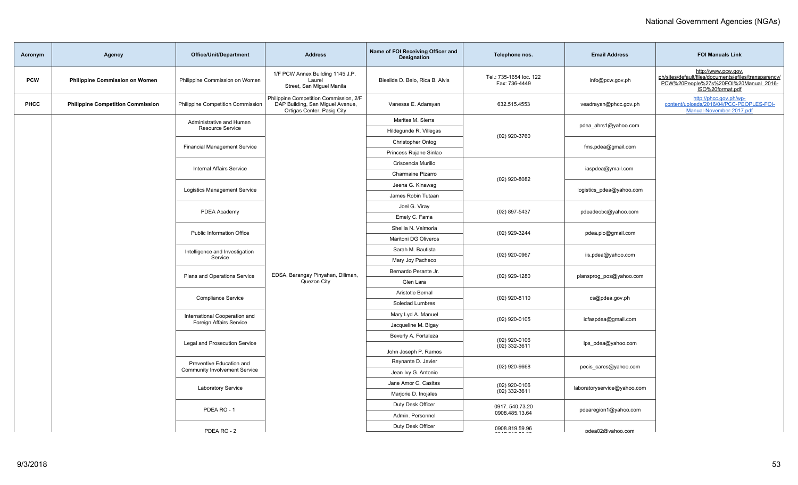| Acronym    | Agency                                   | <b>Office/Unit/Department</b>                                                                       | <b>Address</b>                                                                                           | Name of FOI Receiving Officer and<br><b>Designation</b> | Telephone nos.                           | <b>Email Address</b>        | <b>FOI Manuals Link</b>                                                                                                                   |                                |  |                     |  |
|------------|------------------------------------------|-----------------------------------------------------------------------------------------------------|----------------------------------------------------------------------------------------------------------|---------------------------------------------------------|------------------------------------------|-----------------------------|-------------------------------------------------------------------------------------------------------------------------------------------|--------------------------------|--|---------------------|--|
| <b>PCW</b> | <b>Philippine Commission on Women</b>    | Philippine Commission on Women                                                                      | 1/F PCW Annex Building 1145 J.P.<br>Laurel<br>Street, San Miguel Manila                                  | Blesilda D. Belo, Rica B. Alvis                         | Tel.: 735-1654 loc. 122<br>Fax: 736-4449 | info@pcw.gov.ph             | http://www.pcw.gov.<br>ph/sites/default/files/documents/efiles/transparency/<br>PCW%20People%27s%20FOI%20Manual_2016-<br>ISO%20format.pdf |                                |  |                     |  |
| PHCC       | <b>Philippine Competition Commission</b> | Philippine Competition Commission                                                                   | Philippine Competition Commission, 2/F<br>DAP Building, San Miguel Avenue,<br>Ortigas Center, Pasig City | Vanessa E. Adarayan                                     | 632.515.4553                             | veadrayan@phcc.gov.ph       | http://phcc.gov.ph/wp-<br>content/uploads/2016/04/PCC-PEOPLES-FOI-<br>Manual-November-2017.pdf                                            |                                |  |                     |  |
|            |                                          | Administrative and Human                                                                            |                                                                                                          | Marites M. Sierra                                       |                                          | pdea_ahrs1@yahoo.com        |                                                                                                                                           |                                |  |                     |  |
|            |                                          | Resource Service                                                                                    |                                                                                                          | Hildegunde R. Villegas                                  | (02) 920-3760                            |                             |                                                                                                                                           |                                |  |                     |  |
|            |                                          | <b>Financial Management Service</b>                                                                 |                                                                                                          | Christopher Ontog                                       |                                          | fms.pdea@gmail.com          |                                                                                                                                           |                                |  |                     |  |
|            |                                          |                                                                                                     |                                                                                                          | Princess Rujane Sinlao                                  |                                          |                             |                                                                                                                                           |                                |  |                     |  |
|            |                                          | <b>Internal Affairs Service</b>                                                                     |                                                                                                          | Criscencia Murillo                                      |                                          | iaspdea@ymail.com           |                                                                                                                                           |                                |  |                     |  |
|            |                                          |                                                                                                     |                                                                                                          | Charmaine Pizarro                                       | $(02)$ 920-8082                          |                             |                                                                                                                                           |                                |  |                     |  |
|            |                                          | <b>Logistics Management Service</b>                                                                 |                                                                                                          | Jeena G. Kinawag                                        |                                          | logistics pdea@yahoo.com    |                                                                                                                                           |                                |  |                     |  |
|            |                                          | PDEA Academy<br><b>Public Information Office</b>                                                    |                                                                                                          | James Robin Tutaan                                      |                                          |                             |                                                                                                                                           |                                |  |                     |  |
|            |                                          |                                                                                                     |                                                                                                          |                                                         |                                          |                             |                                                                                                                                           | Joel G. Viray<br>(02) 897-5437 |  | pdeadeobc@yahoo.com |  |
|            |                                          |                                                                                                     |                                                                                                          | Emely C. Fama                                           | (02) 929-3244                            | pdea.pio@gmail.com          |                                                                                                                                           |                                |  |                     |  |
|            |                                          |                                                                                                     |                                                                                                          | Sheilla N. Valmoria                                     |                                          |                             |                                                                                                                                           |                                |  |                     |  |
|            |                                          |                                                                                                     |                                                                                                          | Maritoni DG Oliveros                                    | (02) 920-0967                            | iis.pdea@yahoo.com          |                                                                                                                                           |                                |  |                     |  |
|            |                                          | Intelligence and Investigation<br>Service                                                           |                                                                                                          | Sarah M. Bautista                                       |                                          |                             |                                                                                                                                           |                                |  |                     |  |
|            |                                          |                                                                                                     |                                                                                                          | Mary Joy Pacheco                                        | $(02)$ 929-1280                          | plansprog_pos@yahoo.com     |                                                                                                                                           |                                |  |                     |  |
|            |                                          | Plans and Operations Service                                                                        | EDSA, Barangay Pinyahan, Diliman,                                                                        | Bernardo Perante Jr.                                    |                                          |                             |                                                                                                                                           |                                |  |                     |  |
|            |                                          |                                                                                                     | Quezon City                                                                                              | Glen Lara<br>Aristotle Bernal                           |                                          |                             |                                                                                                                                           |                                |  |                     |  |
|            |                                          | Compliance Service                                                                                  |                                                                                                          | Soledad Lumbres                                         | (02) 920-8110                            | cs@pdea.gov.ph              |                                                                                                                                           |                                |  |                     |  |
|            |                                          |                                                                                                     |                                                                                                          | Mary Lyd A. Manuel                                      |                                          |                             |                                                                                                                                           |                                |  |                     |  |
|            |                                          | International Cooperation and<br>Foreign Affairs Service                                            |                                                                                                          | Jacqueline M. Bigay                                     | $(02)$ 920-0105                          | icfaspdea@gmail.com         |                                                                                                                                           |                                |  |                     |  |
|            |                                          |                                                                                                     |                                                                                                          | Beverly A. Fortaleza                                    |                                          |                             |                                                                                                                                           |                                |  |                     |  |
|            |                                          | Legal and Prosecution Service                                                                       |                                                                                                          |                                                         | $(02)$ 920-0106<br>$(02)$ 332-3611       | lps_pdea@yahoo.com          |                                                                                                                                           |                                |  |                     |  |
|            |                                          | Preventive Education and<br>Community Involvement Service<br><b>Laboratory Service</b><br>PDEA RO-1 |                                                                                                          | John Joseph P. Ramos                                    |                                          |                             |                                                                                                                                           |                                |  |                     |  |
|            |                                          |                                                                                                     |                                                                                                          | Reynante D. Javier                                      | $(02)$ 920-9668                          | pecis_cares@yahoo.com       |                                                                                                                                           |                                |  |                     |  |
|            |                                          |                                                                                                     |                                                                                                          | Jean Ivy G. Antonio                                     |                                          |                             |                                                                                                                                           |                                |  |                     |  |
|            |                                          |                                                                                                     |                                                                                                          | Jane Amor C. Casitas                                    | $(02)$ 920-0106                          | laboratoryservice@yahoo.com |                                                                                                                                           |                                |  |                     |  |
|            |                                          |                                                                                                     |                                                                                                          | Marjorie D. Inojales                                    | $(02)$ 332-3611                          |                             |                                                                                                                                           |                                |  |                     |  |
|            |                                          |                                                                                                     |                                                                                                          | Duty Desk Officer                                       | 0917.540.73.20<br>0908.485.13.64         | pdearegion1@yahoo.com       |                                                                                                                                           |                                |  |                     |  |
|            |                                          |                                                                                                     |                                                                                                          | Admin. Personnel                                        |                                          |                             |                                                                                                                                           |                                |  |                     |  |
|            |                                          | PDFA RO - 2                                                                                         |                                                                                                          | Duty Desk Officer                                       | 0908.819.59.96                           | ndea02@vahoo.com            |                                                                                                                                           |                                |  |                     |  |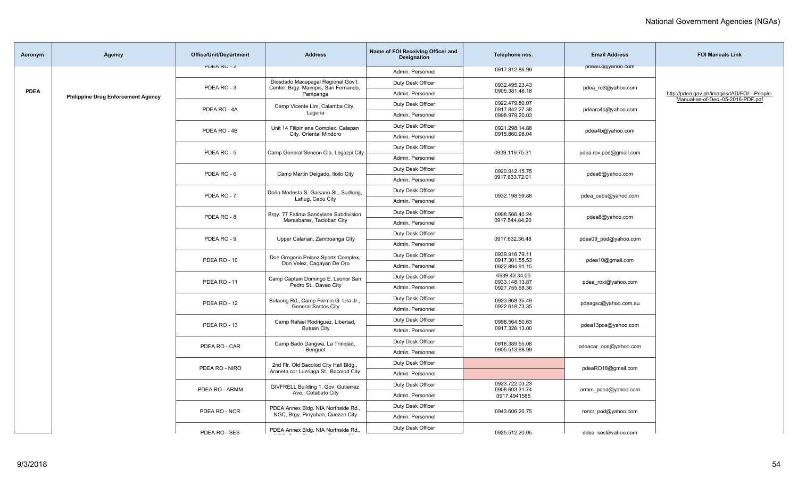| Acronym     | <b>Agency</b>                             | <b>Office/Unit/Department</b> | <b>Address</b>                                                                  | Name of FOI Receiving Officer and<br>Designation | Telephone nos.                                     | <b>Email Address</b>   | <b>FOI Manuals Link</b>                     |
|-------------|-------------------------------------------|-------------------------------|---------------------------------------------------------------------------------|--------------------------------------------------|----------------------------------------------------|------------------------|---------------------------------------------|
|             |                                           | <b>PULARU-Z</b>               |                                                                                 | Admin. Personnel                                 | 0917.812.86.99                                     | paeauz@yanoo.com       |                                             |
|             |                                           |                               | Diosdado Macapagal Regional Gov't.                                              | Duty Desk Officer                                | 0932.495.23.43                                     |                        | http://pdea.gov.ph/images/IAD/FOI---People- |
| <b>PDEA</b> | <b>Philippine Drug Enforcement Agency</b> | PDEA RO-3                     | Center, Brgy. Maimpis, San Fernando,<br>Pampanga                                | Admin. Personnel                                 | 0905.381.48.18                                     | pdea_ro3@yahoo.com     |                                             |
|             |                                           | PDEA RO - 4A                  | Camp Vicente Lim, Calamba City,                                                 | Duty Desk Officer                                | 0922.479.80.07<br>0917.842.27.38                   | pdearo4a@yahoo.com     | Manual-as-of-Dec.-05-2016-PDF.pdf           |
|             |                                           |                               | Laguna                                                                          | Admin. Personnel                                 | 0998.979.20.03                                     |                        |                                             |
|             |                                           | PDEA RO - 4B                  | Unit 14 Filipiniana Complex, Calapan                                            | Duty Desk Officer                                | 0921.298.14.88                                     | pdea4b@yahoo.com       |                                             |
|             |                                           |                               | City, Oriental Mindoro                                                          | Admin. Personnel                                 | 0915.860.98.04                                     |                        |                                             |
|             |                                           | PDEA RO-5                     | Camp General Simeon Ola, Legazpi City                                           | Duty Desk Officer                                | 0939.119.75.31                                     | pdea.rov.pod@gmail.com |                                             |
|             |                                           |                               |                                                                                 | Admin. Personnel                                 |                                                    |                        |                                             |
|             |                                           | PDEA RO-6                     | Camp Martin Delgado, Iloilo City                                                | Duty Desk Officer                                | 0920.912.15.75                                     | pdea6@yahoo.com        |                                             |
|             |                                           |                               |                                                                                 | Admin. Personnel                                 | 0917.633.72.01                                     |                        |                                             |
|             |                                           | PDEA RO-7                     | Doña Modesta S. Gaisano St., Sudlong,                                           | Duty Desk Officer                                | 0932.198.59.88                                     | pdea cebu@yahoo.com    |                                             |
|             |                                           |                               | Lahug, Cebu City                                                                | Admin. Personnel                                 |                                                    |                        |                                             |
|             |                                           | PDEA RO-8                     | Brgy. 77 Fatima Sandylane Subdivision                                           | Duty Desk Officer                                | 0998.566.40.24                                     | pdea8@yahoo.com        |                                             |
|             |                                           |                               | Marasbaras, Tacloban City                                                       | Admin. Personnel                                 | 0917.544.84.20                                     |                        |                                             |
|             |                                           | PDEA RO - 9                   | Upper Calarian, Zamboanga City                                                  | Duty Desk Officer                                | 0917.632.36.48                                     | pdea09_pod@yahoo.com   |                                             |
|             |                                           |                               |                                                                                 | Admin. Personnel                                 |                                                    |                        |                                             |
|             |                                           | PDEA RO - 10                  | Don Gregorio Pelaez Sports Complex,<br>Don Velez, Cagayan De Oro                | Duty Desk Officer                                | 0939.916.79.11<br>0917.301.55.53<br>0922.894.91.15 | pdea10@gmail.com       |                                             |
|             |                                           |                               |                                                                                 | Admin. Personnel                                 |                                                    |                        |                                             |
|             |                                           | PDEA RO-11                    | Camp Captain Domingo E. Leonor San<br>Pedro St., Davao City                     | Duty Desk Officer                                | 0939.43.34.05<br>0933.148.13.87<br>0927.755.68.36  | pdea_roxi@yahoo.com    |                                             |
|             |                                           |                               |                                                                                 | Admin, Personnel                                 |                                                    |                        |                                             |
|             |                                           | PDEA RO - 12                  | Bulaong Rd., Camp Fermin G. Lira Jr.,                                           | Duty Desk Officer                                | 0923.868.35.49                                     | pdeagsc@yahoo.com.au   |                                             |
|             |                                           |                               | <b>General Santos City</b>                                                      | Admin, Personnel                                 | 0922.618.73.35                                     |                        |                                             |
|             |                                           | PDEA RO - 13                  | Camp Rafael Rodriguez, Libertad,                                                | Duty Desk Officer                                | 0998.564.50.63                                     | pdea13pos@yahoo.com    |                                             |
|             |                                           |                               | <b>Butuan City</b>                                                              | Admin. Personnel                                 | 0917.326.13.00                                     |                        |                                             |
|             |                                           | PDEA RO - CAR                 | Camp Bado Dangwa, La Trinidad,                                                  | Duty Desk Officer                                | 0918.389.55.08                                     | pdeacar_opn@yahoo.com  |                                             |
|             |                                           |                               | Benguet                                                                         | Admin. Personnel                                 | 0905.513.68.99                                     |                        |                                             |
|             |                                           | PDEA RO - NIRO                | 2nd Flr. Old Bacolod City Hall Bldg.,<br>Araneta cor Luzriaga St., Bacolod City | Duty Desk Officer                                |                                                    | pdeaRO18@gmail.com     |                                             |
|             |                                           |                               |                                                                                 | Admin. Personnel                                 |                                                    |                        |                                             |
|             |                                           | PDEA RO - ARMM                | GIVFRELL Building 1, Gov. Gutierrez<br>Ave., Cotabato City                      | Duty Desk Officer                                | 0923.722.03.23<br>0908.603.31.74                   | armm pdea@yahoo.com    |                                             |
|             |                                           |                               |                                                                                 | Admin. Personnel                                 | 0917.4941585                                       |                        |                                             |
|             |                                           | PDEA RO - NCR                 | PDEA Annex Bldg. NIA Northside Rd.,<br>NGC, Brgy. Pinyahan, Quezon City         | Duty Desk Officer                                | 0943.606.20.75                                     | roncr pod@yahoo.com    |                                             |
|             |                                           |                               |                                                                                 | Admin. Personnel                                 |                                                    |                        |                                             |
|             |                                           | PDFA RO - SES                 | PDEA Annex Bldg. NIA Northside Rd.,                                             | Duty Desk Officer                                | 0925 512 20 05                                     | ndea sesmuahoo com     |                                             |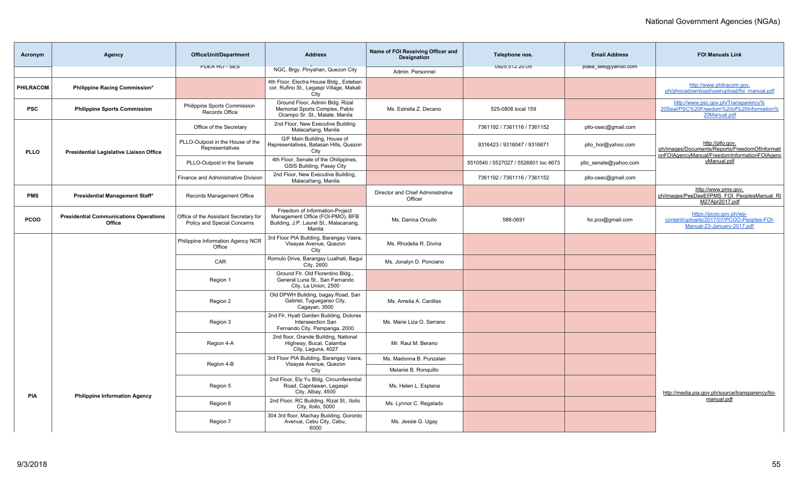| Acronym     | Agency                                                  | <b>Office/Unit/Department</b>                                        | <b>Address</b>                                                                                                         | Name of FOI Receiving Officer and<br><b>Designation</b> | Telephone nos.                       | <b>Email Address</b>  | <b>FOI Manuals Link</b>                                                                                            |
|-------------|---------------------------------------------------------|----------------------------------------------------------------------|------------------------------------------------------------------------------------------------------------------------|---------------------------------------------------------|--------------------------------------|-----------------------|--------------------------------------------------------------------------------------------------------------------|
|             |                                                         | <b>PULA RU - SES</b>                                                 | NGC, Brgy. Pinyahan, Quezon City                                                                                       | Admin, Personnel                                        | UYZ0.01Z.ZU.UD                       | paea_ses@yanoo.com    |                                                                                                                    |
| PHILRACOM   | Philippine Racing Commission*                           |                                                                      | 4th Floor, Electra House Bldg., Esteban<br>cor. Rufino St., Legaspi Village, Makati<br>City                            |                                                         |                                      |                       | http://www.philracom.gov.<br>ph/phocadownload/userupload/foi manual.pdf                                            |
| <b>PSC</b>  | <b>Philippine Sports Commission</b>                     | Philippine Sports Commission<br>Records Office                       | Ground Floor, Admin Bldg. Rizal<br>Memorial Sports Complex, Pablo<br>Ocampo Sr. St., Malate, Manila                    | Ms. Estrella Z. Decano                                  | 525-0808 local 159                   |                       | http://www.psc.gov.ph/Transparency%<br>20Seal/PSC%20Freedom%20of%20Information%<br>20Manual.pdf                    |
|             |                                                         | Office of the Secretary                                              | 2nd Floor, New Executive Building<br>Malacañang, Manila                                                                |                                                         | 7361192 / 7361116 / 7361152          | pllo-osec@gmail.com   |                                                                                                                    |
| <b>PLLO</b> | Presidential Legislative Liaison Office                 | PLLO-Outpost in the House of the<br>Representatives                  | G/F Main Building, House of<br>Representatives, Batasan Hills, Quezon<br>City                                          |                                                         | 9316423 / 9316047 / 9316671          | pllo hor@yahoo.com    | http://pllo.gov.<br>ph/images/Documents/Reports/FreedomOfInformati<br>onFOIAgencyManual/FreedomInformationFOIAgenc |
|             |                                                         | PLLO-Outpost in the Senate                                           | 4th Floor, Senate of the Ohilippines,<br>GSIS Building, Pasay City                                                     |                                                         | 5510540 / 5527027 / 5526601 loc 4673 | pllo senate@yahoo.com | yManual.pdf                                                                                                        |
|             |                                                         | <b>Finance and Administrative Division</b>                           | 2nd Floor, New Executive Building,<br>Malacañang, Manila                                                               |                                                         | 7361192 / 7361116 / 7361152          | pllo-osec@gmail.com   |                                                                                                                    |
| <b>PMS</b>  | <b>Presidential Management Staff*</b>                   | Records Management Office                                            |                                                                                                                        | Director and Chief Administrative<br>Officer            |                                      |                       | http://www.pms.gov.<br>ph/images/PeeDeeEf/PMS FOI PeoplesManual RI<br>M27Apr2017.pdf                               |
| <b>PCOO</b> | <b>Presidential Communications Operations</b><br>Office | Office of the Assistant Secretary for<br>Policy and Special Concerns | Freedom of Information-Project<br>Management Office (FOI-PMO), BFB<br>Building, J.P. Laurel St., Malacanang,<br>Manila | Ms. Danica Orcullo                                      | 588-0691                             | foi.pco@gmail.com     | https://pcoo.gov.ph/wp-<br>content/uploads/2017/07/PCOO-Peoples-FOI-<br>Manual-23-January-2017.pdf                 |
|             |                                                         | Philippine Information Agency NCR<br>Office                          | 3rd Floor PIA Building, Barangay Vasra,<br>Visayas Avenue, Quezon<br>City                                              | Ms. Rhodelia R. Divina                                  |                                      |                       |                                                                                                                    |
|             |                                                         | CAR                                                                  | Romulo Drive, Barangay Lualhati, Bagui<br>City, 2600                                                                   | Ms. Jonalyn D. Ponciano                                 |                                      |                       |                                                                                                                    |
|             |                                                         | Region 1                                                             | Ground Flr. Old Florentino Bldg.,<br>General Luna St., San Fernando<br>City, La Union, 2500                            |                                                         |                                      |                       |                                                                                                                    |
|             |                                                         | Region 2                                                             | Old DPWH Building, bagay Road, San<br>Gabriel, Tuguegarao City,<br>Cagayan, 3500                                       | Ms. Amelia A. Canillas                                  |                                      |                       |                                                                                                                    |
|             |                                                         | Region 3                                                             | 2nd Flr, Hyatt Garden Building, Dolores<br>Interseection San<br>Fernando City, Pampanga, 2000                          | Ms. Marie Liza O. Serrano                               |                                      |                       |                                                                                                                    |
|             |                                                         | Region 4-A                                                           | 2nd floor, Grande Building, National<br>Highway, Bucal, Calamba<br>City, Laguna, 4027                                  | Mr. Raul M. Berano                                      |                                      |                       |                                                                                                                    |
|             |                                                         | Region 4-B                                                           | 3rd Floor PIA Building, Barangay Vasra,<br>Visayas Avenue, Quezon                                                      | Ms. Madonna B. Punzalan                                 |                                      |                       |                                                                                                                    |
|             |                                                         |                                                                      | City                                                                                                                   | Melanie B. Ronguillo                                    |                                      |                       |                                                                                                                    |
| <b>PIA</b>  | <b>Philippine Information Agency</b>                    | Region 5                                                             | 2nd Floor, Ely Yu Bldg. Circumferential<br>Road, Capntawan, Legaspi<br>City, Albay, 4500                               | Ms. Helen L. Esplana                                    |                                      |                       | http://media.pia.gov.ph/source/transparency/foi-                                                                   |
|             |                                                         | Region 6                                                             | 2nd Floor, RC Building, Rizal St., Iloilo<br>City, Iloilo, 5000                                                        | Ms. Lynnor C. Regalado                                  |                                      |                       | manual.pdf                                                                                                         |
|             |                                                         | Region 7                                                             | 304 3rd floor, Machay Building, Gorordo<br>Avenue, Cebu City, Cebu,<br>6000                                            | Ms. Jessie G. Ugay                                      |                                      |                       |                                                                                                                    |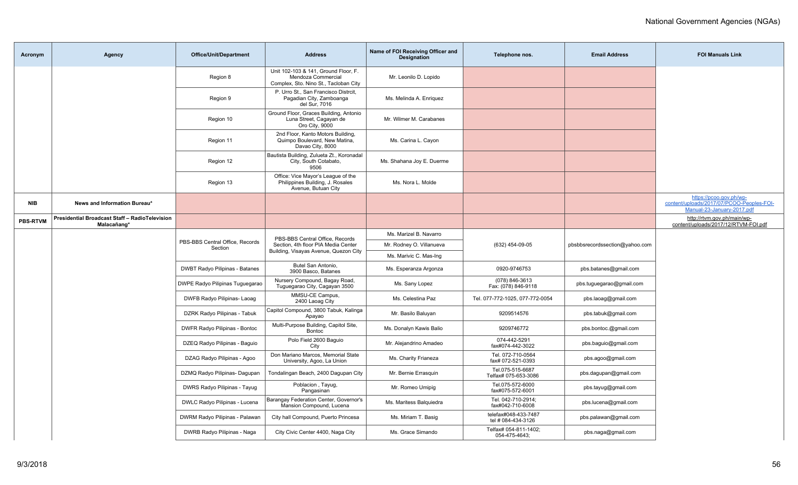| Acronym         | <b>Agency</b>                                                 | <b>Office/Unit/Department</b>              | <b>Address</b>                                                                                      | Name of FOI Receiving Officer and<br><b>Designation</b> | Telephone nos.                             | <b>Email Address</b>           | <b>FOI Manuals Link</b>                                                                            |
|-----------------|---------------------------------------------------------------|--------------------------------------------|-----------------------------------------------------------------------------------------------------|---------------------------------------------------------|--------------------------------------------|--------------------------------|----------------------------------------------------------------------------------------------------|
|                 |                                                               | Region 8                                   | Unit 102-103 & 141, Ground Floor, F.<br>Mendoza Commercial<br>Complex, Sto. Nino St., Tacloban City | Mr. Leonilo D. Lopido                                   |                                            |                                |                                                                                                    |
|                 |                                                               | Region 9                                   | P. Urro St., San Francisco Distrcit,<br>Pagadian City, Zamboanga<br>del Sur, 7016                   | Ms. Melinda A. Enriguez                                 |                                            |                                |                                                                                                    |
|                 |                                                               | Region 10                                  | Ground Floor, Graces Building, Antonio<br>Luna Street, Cagayan de<br>Oro City, 9000                 | Mr. Wilmer M. Carabanes                                 |                                            |                                |                                                                                                    |
|                 |                                                               | Region 11                                  | 2nd Floor, Kanto Motors Building,<br>Quimpo Boulevard, New Matina,<br>Davao City, 8000              | Ms. Carina L. Cayon                                     |                                            |                                |                                                                                                    |
|                 |                                                               | Region 12                                  | Bautista Building, Zulueta Zt., Koronadal<br>City, South Cotabato,<br>9506                          | Ms. Shahana Joy E. Duerme                               |                                            |                                |                                                                                                    |
|                 |                                                               | Region 13                                  | Office: Vice Mayor's League of the<br>Philippines Building, J. Rosales<br>Avenue, Butuan City       | Ms. Nora L. Molde                                       |                                            |                                |                                                                                                    |
| <b>NIB</b>      | News and Information Bureau*                                  |                                            |                                                                                                     |                                                         |                                            |                                | https://pcoo.gov.ph/wp-<br>content/uploads/2017/07/PCOO-Peoples-FOI-<br>Manual-23-January-2017.pdf |
| <b>PBS-RTVM</b> | Presidential Broadcast Staff - RadioTelevision<br>Malacañang* |                                            |                                                                                                     |                                                         |                                            |                                | http://rtvm.gov.ph/main/wp-<br>content/uploads/2017/12/RTVM-FOI.pdf                                |
|                 |                                                               | PBS-BBS Central Office, Records<br>Section | PBS-BBS Central Office, Records                                                                     | Ms. Marizel B. Navarro                                  |                                            |                                |                                                                                                    |
|                 |                                                               |                                            | Section, 4th floor PIA Media Center<br>Building, Visayas Avenue, Quezon City                        | Mr. Rodney O. Villanueva                                | (632) 454-09-05                            | pbsbbsrecordssection@yahoo.com |                                                                                                    |
|                 |                                                               |                                            |                                                                                                     | Ms. Marivic C. Mas-Ing                                  |                                            |                                |                                                                                                    |
|                 |                                                               | <b>DWBT Radyo Pilipinas - Batanes</b>      | Butel San Antonio,<br>3900 Basco, Batanes                                                           | Ms. Esperanza Argonza                                   | 0920-9746753                               | pbs.batanes@gmail.com          |                                                                                                    |
|                 |                                                               | DWPE Radyo Pilipinas Tuguegarao            | Nursery Compound, Bagay Road,<br>Tuguegarao City, Cagayan 3500                                      | Ms. Sany Lopez                                          | (078) 846-3613<br>Fax: (078) 846-9118      | pbs.tuguegarao@gmail.com       |                                                                                                    |
|                 |                                                               | DWFB Radyo Pilipinas- Laoag                | MMSU-CE Campus,<br>2400 Laoag City                                                                  | Ms. Celestina Paz                                       | Tel. 077-772-1025, 077-772-0054            | pbs.laoag@gmail.com            |                                                                                                    |
|                 |                                                               | DZRK Radyo Pilipinas - Tabuk               | Capitol Compound, 3800 Tabuk, Kalinga<br>Apayao                                                     | Mr. Basilo Baluyan                                      | 9209514576                                 | pbs.tabuk@gmail.com            |                                                                                                    |
|                 |                                                               | <b>DWFR Radyo Pilipinas - Bontoc</b>       | Multi-Purpose Building, Capitol Site,<br><b>Bontoc</b>                                              | Ms. Donalyn Kawis Balio                                 | 9209746772                                 | pbs.bontoc.@gmail.com          |                                                                                                    |
|                 |                                                               | DZEQ Radyo Pilipinas - Baguio              | Polo Field 2600 Baquio<br>City                                                                      | Mr. Alejandrino Amadeo                                  | 074-442-5291<br>fax#074-442-3022           | pbs.baguio@gmail.com           |                                                                                                    |
|                 |                                                               | DZAG Radyo Pilipinas - Agoo                | Don Mariano Marcos, Memorial State<br>University, Agoo, La Union                                    | Ms. Charity Frianeza                                    | Tel. 072-710-0564<br>fax# 072-521-0393     | pbs.agoo@gmail.com             |                                                                                                    |
|                 |                                                               | DZMQ Radyo Pilipinas- Dagupan              | Tondalingan Beach, 2400 Dagupan City                                                                | Mr. Bernie Errasquin                                    | Tel.075-515-6687<br>Telfax# 075-653-3086   | pbs.dagupan@gmail.com          |                                                                                                    |
|                 |                                                               | DWRS Radyo Pilipinas - Tayug               | Poblacion, Tayug,<br>Pangasinan                                                                     | Mr. Romeo Umipig                                        | Tel.075-572-6000<br>fax#075-572-6001       | pbs.tayug@gmail.com            |                                                                                                    |
|                 |                                                               | DWLC Radyo Pilipinas - Lucena              | Barangay Federation Center, Governor's<br>Mansion Compound, Lucena                                  | Ms. Maritess Balquiedra                                 | Tel. 042-710-2914;<br>fax#042-710-6008     | pbs.lucena@gmail.com           |                                                                                                    |
|                 |                                                               | DWRM Radyo Pilipinas - Palawan             | City hall Compound, Puerto Princesa                                                                 | Ms. Miriam T. Basig                                     | telefax#048-433-7487<br>tel # 084-434-3126 | pbs.palawan@gmail.com          |                                                                                                    |
|                 |                                                               | DWRB Radyo Pilipinas - Naga                | City Civic Center 4400, Naga City                                                                   | Ms. Grace Simando                                       | Telfax# 054-811-1402;<br>054-475-4643;     | pbs.naga@gmail.com             |                                                                                                    |